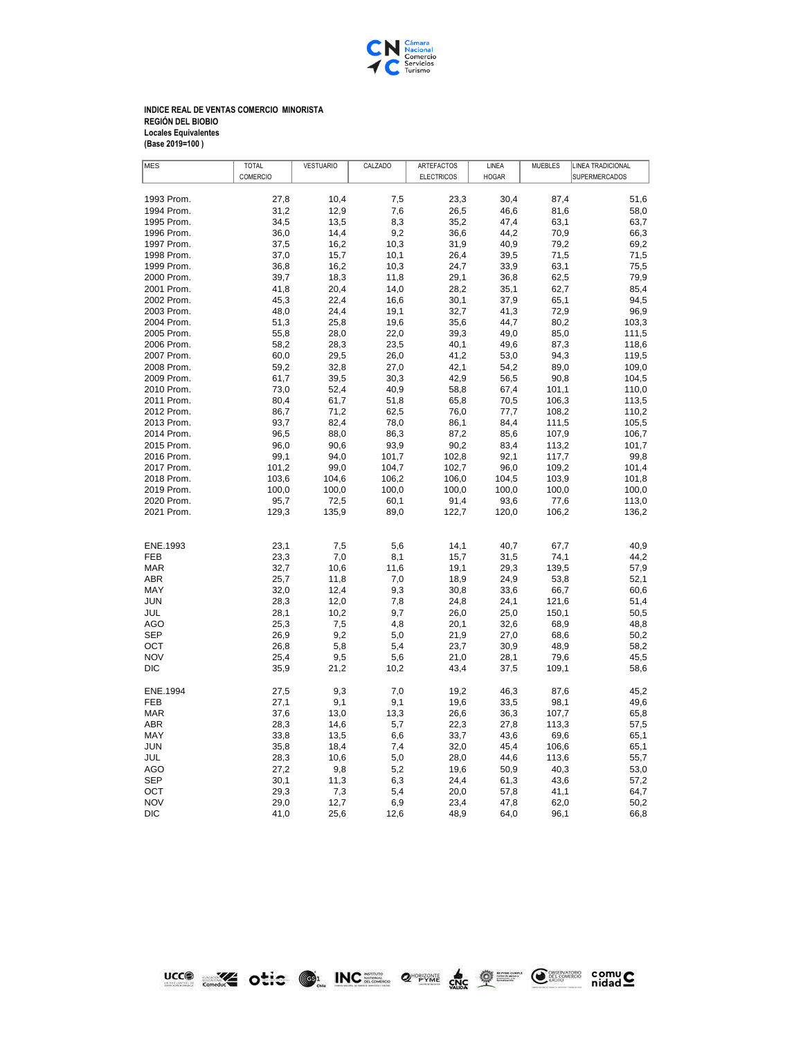

## **INDICE REAL DE VENTAS COMERCIO MINORISTA REGIÓN DEL BIOBIO Locales Equivalentes (Base 2019=100 )**

| <b>MES</b> | <b>TOTAL</b> | <b>VESTUARIO</b> | CALZADO | ARTEFACTOS        | LINEA        | <b>MUEBLES</b> | <b>LINEA TRADICIONAL</b> |
|------------|--------------|------------------|---------|-------------------|--------------|----------------|--------------------------|
|            | COMERCIO     |                  |         | <b>ELECTRICOS</b> | <b>HOGAR</b> |                | <b>SUPERMERCADOS</b>     |
|            |              |                  |         |                   |              |                |                          |
| 1993 Prom. | 27,8         | 10,4             | 7,5     | 23,3              | 30,4         | 87,4           | 51,6                     |
| 1994 Prom. | 31,2         | 12,9             | 7,6     | 26,5              | 46,6         | 81,6           | 58,0                     |
| 1995 Prom. | 34,5         | 13,5             | 8,3     | 35,2              | 47,4         | 63,1           | 63,7                     |
| 1996 Prom. | 36.0         | 14,4             | 9,2     | 36,6              | 44,2         | 70,9           | 66,3                     |
| 1997 Prom. | 37,5         | 16,2             | 10,3    | 31,9              | 40,9         | 79,2           | 69,2                     |
| 1998 Prom. | 37,0         | 15,7             | 10,1    | 26,4              | 39,5         | 71,5           | 71,5                     |
| 1999 Prom. | 36,8         | 16,2             | 10,3    | 24,7              | 33,9         | 63,1           | 75,5                     |
| 2000 Prom. | 39,7         | 18,3             | 11,8    | 29,1              | 36,8         | 62,5           | 79,9                     |
| 2001 Prom. | 41,8         | 20,4             | 14,0    | 28,2              | 35,1         | 62,7           | 85,4                     |
| 2002 Prom. | 45,3         | 22,4             | 16,6    | 30,1              | 37,9         | 65,1           | 94,5                     |
| 2003 Prom. | 48,0         | 24,4             | 19,1    | 32,7              | 41,3         | 72,9           | 96,9                     |
| 2004 Prom. | 51,3         | 25,8             | 19,6    | 35,6              | 44,7         | 80,2           | 103,3                    |
| 2005 Prom. | 55,8         | 28,0             | 22,0    | 39,3              | 49,0         | 85,0           | 111,5                    |
| 2006 Prom. | 58,2         | 28,3             | 23,5    | 40,1              | 49,6         | 87,3           | 118,6                    |
| 2007 Prom. | 60,0         | 29,5             | 26,0    | 41,2              | 53,0         | 94,3           | 119,5                    |
| 2008 Prom. | 59,2         | 32,8             | 27,0    | 42,1              | 54,2         | 89,0           | 109,0                    |
| 2009 Prom. | 61,7         | 39,5             | 30,3    | 42,9              | 56,5         | 90,8           | 104,5                    |
| 2010 Prom. | 73,0         | 52,4             | 40,9    | 58,8              | 67,4         | 101,1          | 110,0                    |
| 2011 Prom. | 80.4         | 61,7             | 51,8    | 65.8              | 70,5         | 106,3          | 113,5                    |
| 2012 Prom. | 86,7         | 71,2             | 62,5    | 76,0              | 77,7         | 108,2          | 110,2                    |
| 2013 Prom. | 93,7         | 82,4             | 78,0    | 86,1              | 84,4         | 111,5          | 105,5                    |
| 2014 Prom. | 96,5         | 88,0             | 86,3    | 87,2              | 85,6         | 107,9          | 106,7                    |
| 2015 Prom. | 96,0         | 90,6             | 93,9    | 90,2              | 83,4         | 113,2          | 101,7                    |
| 2016 Prom. | 99,1         | 94,0             | 101,7   | 102,8             | 92,1         | 117,7          | 99,8                     |
| 2017 Prom. | 101,2        | 99,0             | 104,7   | 102,7             | 96,0         | 109,2          | 101,4                    |
| 2018 Prom. | 103,6        | 104,6            | 106,2   | 106,0             | 104,5        | 103,9          | 101,8                    |
| 2019 Prom. | 100,0        | 100,0            | 100,0   | 100,0             | 100,0        | 100,0          | 100,0                    |
| 2020 Prom. | 95,7         | 72,5             | 60,1    | 91,4              | 93,6         | 77,6           | 113,0                    |
| 2021 Prom. | 129,3        | 135,9            | 89,0    | 122,7             | 120,0        | 106,2          | 136,2                    |
|            |              |                  |         |                   |              |                |                          |
|            |              |                  |         |                   |              |                |                          |
| ENE.1993   | 23,1         | 7,5              | 5,6     | 14,1              | 40,7         | 67,7           | 40,9                     |
| <b>FEB</b> | 23,3         | 7,0              | 8,1     | 15,7              | 31,5         | 74,1           | 44,2                     |
| <b>MAR</b> | 32,7         | 10,6             | 11,6    | 19,1              | 29,3         | 139,5          | 57,9                     |
| ABR        | 25,7         | 11,8             | 7,0     | 18,9              | 24,9         | 53,8           | 52,1                     |
| MAY        | 32,0         | 12,4             | 9,3     | 30,8              | 33,6         | 66,7           | 60,6                     |
| <b>JUN</b> | 28,3         | 12,0             | 7,8     | 24,8              | 24,1         | 121,6          | 51,4                     |
| JUL        | 28,1         | 10,2             | 9,7     | 26,0              | 25,0         | 150,1          | 50,5                     |
| <b>AGO</b> | 25,3         | 7,5              | 4,8     | 20,1              | 32,6         | 68,9           | 48,8                     |
| <b>SEP</b> | 26,9         | 9,2              | 5,0     | 21,9              | 27,0         | 68,6           | 50,2                     |
| OCT        | 26,8         | 5,8              | 5,4     | 23,7              | 30,9         | 48,9           | 58,2                     |
| <b>NOV</b> | 25,4         | 9,5              | 5,6     | 21,0              | 28,1         | 79,6           | 45,5                     |
| DIC        | 35,9         | 21,2             | 10,2    | 43,4              | 37,5         | 109,1          | 58,6                     |
|            |              |                  |         |                   |              |                |                          |
| ENE.1994   | 27,5         | 9,3              | 7,0     | 19,2              | 46,3         | 87,6           | 45,2                     |
| <b>FEB</b> | 27,1         | 9,1              | 9,1     | 19,6              | 33,5         | 98,1           | 49,6                     |
| <b>MAR</b> | 37,6         | 13,0             | 13,3    | 26,6              | 36,3         | 107,7          | 65,8                     |
| <b>ABR</b> | 28,3         | 14,6             | 5,7     | 22,3              | 27,8         | 113,3          | 57,5                     |
| <b>MAY</b> | 33,8         | 13,5             | 6,6     | 33,7              | 43,6         | 69,6           | 65,1                     |
| <b>JUN</b> | 35,8         | 18,4             | 7,4     | 32,0              | 45,4         | 106,6          | 65,1                     |
| JUL        | 28,3         | 10,6             | 5,0     | 28,0              | 44,6         | 113,6          | 55,7                     |
| AGO        | 27,2         | 9,8              | 5,2     | 19,6              | 50,9         | 40,3           | 53,0                     |
| <b>SEP</b> | 30.1         | 11,3             | 6,3     | 24.4              | 61,3         | 43,6           | 57,2                     |
| OCT        | 29,3         | 7,3              | 5,4     | 20,0              | 57,8         | 41,1           | 64,7                     |
| <b>NOV</b> | 29.0         | 12,7             | 6,9     | 23,4              | 47,8         | 62,0           | 50,2                     |
| <b>DIC</b> | 41,0         | 25,6             | 12,6    | 48,9              | 64,0         | 96,1           | 66,8                     |

**UCCO WAS ONCE ON INCREASE OF A SHOP OF SHOP COMPUS**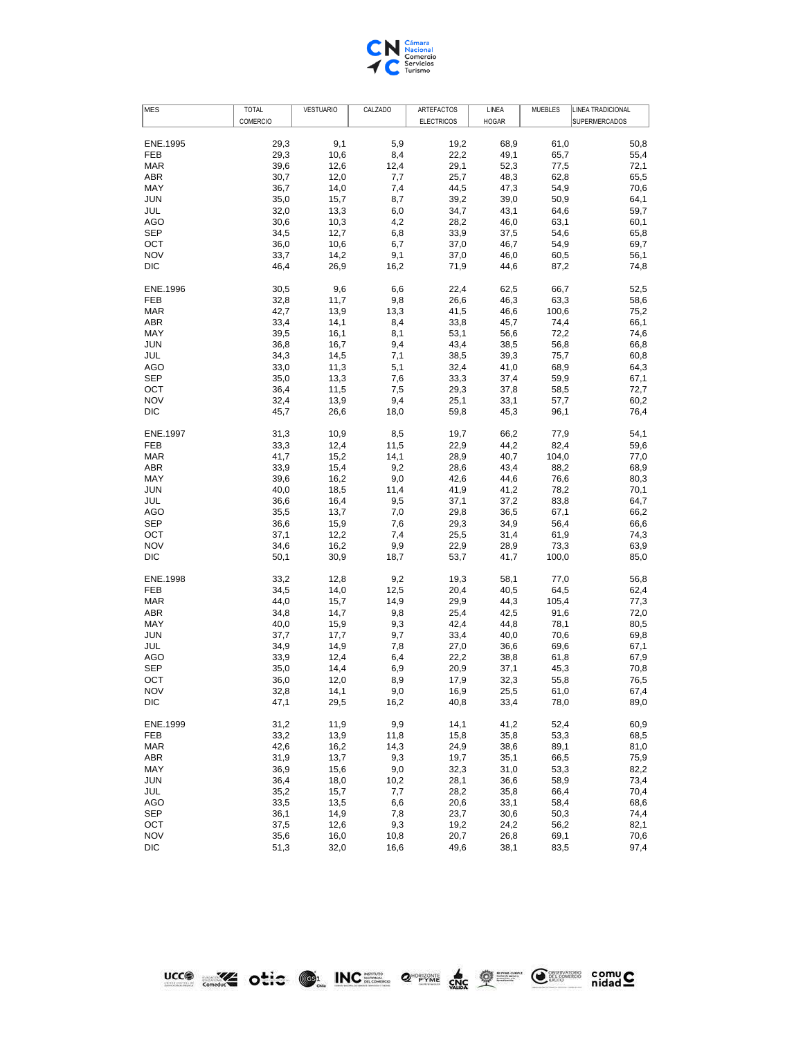

| <b>MES</b> | <b>TOTAL</b> | <b>VESTUARIO</b> | CALZADO | ARTEFACTOS        | LINEA        | <b>MUEBLES</b> | LINEA TRADICIONAL    |
|------------|--------------|------------------|---------|-------------------|--------------|----------------|----------------------|
|            | COMERCIO     |                  |         | <b>ELECTRICOS</b> | <b>HOGAR</b> |                | <b>SUPERMERCADOS</b> |
| ENE.1995   | 29,3         | 9,1              | 5,9     | 19,2              | 68,9         | 61,0           | 50,8                 |
| FEB        | 29,3         | 10,6             | 8,4     | 22,2              | 49,1         | 65,7           | 55,4                 |
| <b>MAR</b> | 39,6         | 12,6             | 12,4    | 29,1              | 52,3         | 77,5           | 72,1                 |
| ABR        | 30,7         | 12,0             | 7,7     | 25,7              | 48,3         | 62,8           | 65,5                 |
| MAY        | 36,7         | 14,0             | 7,4     | 44,5              | 47,3         | 54,9           | 70,6                 |
|            |              |                  |         |                   |              |                |                      |
| <b>JUN</b> | 35,0         | 15,7             | 8,7     | 39,2              | 39,0         | 50,9           | 64,1                 |
| JUL        | 32,0         | 13,3             | 6,0     | 34,7              | 43,1         | 64,6           | 59,7                 |
| AGO        | 30,6         | 10,3             | 4,2     | 28,2              | 46,0         | 63,1           | 60,1                 |
| <b>SEP</b> | 34,5         | 12,7             | 6,8     | 33,9              | 37,5         | 54,6           | 65,8                 |
| OCT        | 36,0         | 10,6             | 6,7     | 37,0              | 46,7         | 54,9           | 69,7                 |
| <b>NOV</b> | 33,7         | 14,2             | 9,1     | 37,0              | 46,0         | 60,5           | 56,1                 |
| DIC        | 46,4         | 26,9             | 16,2    | 71,9              | 44,6         | 87,2           | 74,8                 |
| ENE.1996   | 30,5         | 9,6              | 6,6     | 22,4              | 62,5         | 66,7           | 52,5                 |
| FEB        | 32,8         | 11,7             | 9,8     | 26,6              | 46,3         | 63,3           | 58,6                 |
| <b>MAR</b> | 42,7         | 13,9             | 13,3    | 41,5              | 46,6         | 100,6          | 75,2                 |
| ABR        | 33,4         | 14,1             | 8,4     | 33,8              | 45,7         | 74,4           | 66,1                 |
| MAY        | 39,5         | 16,1             | 8,1     | 53,1              | 56,6         | 72,2           | 74,6                 |
| <b>JUN</b> | 36,8         | 16,7             | 9,4     | 43,4              | 38,5         | 56,8           | 66,8                 |
| JUL        | 34,3         | 14,5             | 7,1     | 38,5              | 39,3         | 75,7           | 60,8                 |
| AGO        | 33,0         | 11,3             | 5,1     | 32,4              | 41,0         | 68,9           | 64,3                 |
| <b>SEP</b> | 35,0         | 13,3             | 7,6     | 33,3              | 37,4         | 59,9           | 67,1                 |
| OCT        | 36,4         | 11,5             | 7,5     | 29,3              | 37,8         | 58,5           | 72,7                 |
| <b>NOV</b> | 32,4         | 13,9             | 9,4     | 25,1              | 33,1         | 57,7           | 60,2                 |
| DIC        | 45,7         | 26,6             | 18,0    | 59,8              | 45,3         | 96,1           | 76,4                 |
| ENE.1997   | 31,3         | 10,9             | 8,5     | 19,7              | 66,2         | 77,9           | 54,1                 |
| <b>FEB</b> | 33,3         | 12,4             | 11,5    | 22,9              | 44,2         | 82,4           | 59,6                 |
| <b>MAR</b> | 41,7         | 15,2             | 14,1    | 28,9              | 40,7         | 104,0          | 77,0                 |
| ABR        | 33,9         | 15,4             | 9,2     | 28,6              | 43,4         | 88,2           | 68,9                 |
| MAY        | 39,6         | 16,2             | 9,0     | 42,6              | 44,6         | 76,6           | 80,3                 |
| <b>JUN</b> | 40,0         | 18,5             | 11,4    | 41,9              | 41,2         | 78,2           | 70,1                 |
| JUL        | 36,6         | 16,4             | 9,5     | 37,1              | 37,2         | 83,8           | 64,7                 |
| AGO        | 35,5         | 13,7             | 7,0     | 29,8              | 36,5         | 67,1           | 66,2                 |
| <b>SEP</b> | 36,6         | 15,9             | 7,6     | 29,3              | 34,9         | 56,4           | 66,6                 |
| OCT        | 37,1         | 12,2             | 7,4     | 25,5              | 31,4         | 61,9           | 74,3                 |
| <b>NOV</b> | 34,6         | 16,2             | 9,9     | 22,9              | 28,9         | 73,3           | 63,9                 |
| DIC        | 50,1         | 30,9             | 18,7    | 53,7              | 41,7         | 100,0          | 85,0                 |
| ENE.1998   | 33,2         | 12,8             | 9,2     | 19,3              | 58,1         | 77,0           | 56,8                 |
| FEB        | 34,5         | 14,0             | 12,5    | 20,4              | 40,5         | 64,5           | 62,4                 |
| <b>MAR</b> | 44,0         | 15,7             | 14,9    | 29,9              | 44,3         | 105,4          | 77,3                 |
| ABR        | 34,8         | 14,7             | 9,8     | 25,4              | 42,5         | 91,6           | 72,0                 |
| MAY        | 40,0         | 15,9             | 9,3     | 42,4              | 44,8         | 78,1           | 80,5                 |
| <b>JUN</b> | 37,7         | 17,7             | 9,7     | 33,4              | 40,0         | 70,6           | 69,8                 |
| JUL        | 34,9         | 14,9             | 7,8     | 27,0              | 36,6         | 69,6           | 67,1                 |
| AGO        | 33,9         | 12,4             | 6,4     | 22,2              | 38,8         |                | 67,9                 |
| <b>SEP</b> |              |                  |         |                   |              | 61,8           |                      |
|            | 35,0         | 14,4             | 6,9     | 20,9              | 37,1         | 45,3           | 70,8                 |
| OCT        | 36,0         | 12,0             | 8,9     | 17,9              | 32,3         | 55,8           | 76,5                 |
| <b>NOV</b> | 32,8         | 14,1             | 9,0     | 16,9              | 25,5         | 61,0           | 67,4                 |
| DIC        | 47,1         | 29,5             | 16,2    | 40,8              | 33,4         | 78,0           | 89,0                 |
| ENE.1999   | 31,2         | 11,9             | 9,9     | 14,1              | 41,2         | 52,4           | 60,9                 |
| FEB        | 33,2         | 13,9             | 11,8    | 15,8              | 35,8         | 53,3           | 68,5                 |
| <b>MAR</b> | 42,6         | 16,2             | 14,3    | 24,9              | 38,6         | 89,1           | 81,0                 |
| ABR        | 31,9         | 13,7             | 9,3     | 19,7              | 35,1         | 66,5           | 75,9                 |
| MAY        | 36,9         | 15,6             | 9,0     | 32,3              | 31,0         | 53,3           | 82,2                 |
| <b>JUN</b> | 36,4         | 18,0             | 10,2    | 28,1              | 36,6         | 58,9           | 73,4                 |
| JUL        | 35,2         | 15,7             | 7,7     | 28,2              | 35,8         | 66,4           | 70,4                 |
| <b>AGO</b> | 33,5         | 13,5             | 6,6     | 20,6              | 33,1         | 58,4           | 68,6                 |
| <b>SEP</b> | 36,1         | 14,9             | 7,8     | 23,7              | 30,6         | 50,3           | 74,4                 |
| OCT        | 37,5         | 12,6             | 9,3     | 19,2              | 24,2         | 56,2           | 82,1                 |
| <b>NOV</b> | 35,6         | 16,0             | 10,8    | 20,7              | 26,8         | 69,1           | 70,6                 |
| DIC        | 51,3         | 32,0             | 16,6    | 49,6              | 38,1         | 83,5           | 97,4                 |
|            |              |                  |         |                   |              |                |                      |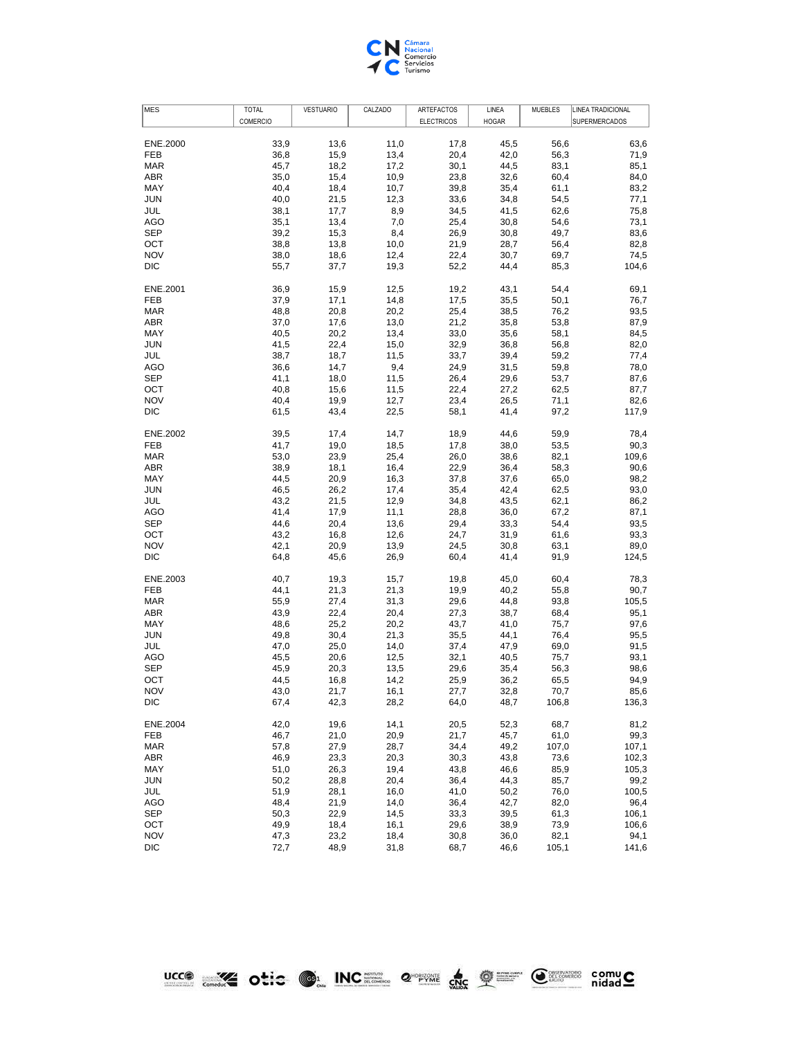

| <b>MES</b>        | <b>TOTAL</b> | <b>VESTUARIO</b> | CALZADO      | ARTEFACTOS        | LINEA        | <b>MUEBLES</b> | LINEA TRADICIONAL    |
|-------------------|--------------|------------------|--------------|-------------------|--------------|----------------|----------------------|
|                   | COMERCIO     |                  |              | <b>ELECTRICOS</b> | <b>HOGAR</b> |                | <b>SUPERMERCADOS</b> |
| ENE.2000          | 33,9         | 13,6             | 11,0         | 17,8              | 45,5         | 56,6           | 63,6                 |
| FEB               | 36,8         | 15,9             | 13,4         | 20,4              | 42,0         | 56,3           | 71,9                 |
| <b>MAR</b>        | 45,7         | 18,2             | 17,2         | 30,1              | 44,5         | 83,1           | 85,1                 |
| ABR               | 35,0         | 15,4             | 10,9         | 23,8              | 32,6         | 60,4           | 84,0                 |
| MAY               | 40,4         | 18,4             | 10,7         | 39,8              | 35,4         | 61,1           | 83,2                 |
| <b>JUN</b>        | 40,0         | 21,5             | 12,3         | 33,6              | 34,8         | 54,5           | 77,1                 |
| JUL               | 38,1         | 17,7             | 8,9          | 34,5              | 41,5         | 62,6           | 75,8                 |
|                   |              |                  |              |                   |              |                |                      |
| AGO               | 35,1         | 13,4             | 7,0          | 25,4              | 30,8         | 54,6           | 73,1                 |
| <b>SEP</b>        | 39,2         | 15,3             | 8,4          | 26,9              | 30,8         | 49,7           | 83,6                 |
| OCT               | 38,8         | 13,8             | 10,0         | 21,9              | 28,7         | 56,4           | 82,8                 |
| <b>NOV</b><br>DIC | 38,0<br>55,7 | 18,6<br>37,7     | 12,4<br>19,3 | 22,4<br>52,2      | 30,7<br>44,4 | 69,7<br>85,3   | 74,5<br>104,6        |
|                   |              |                  |              |                   |              |                |                      |
| ENE.2001          | 36,9         | 15,9             | 12,5         | 19,2              | 43,1         | 54,4           | 69,1                 |
| FEB               | 37,9         | 17,1             | 14,8         | 17,5              | 35,5         | 50,1           | 76,7                 |
| <b>MAR</b>        | 48,8         | 20,8             | 20,2         | 25,4              | 38,5         | 76,2           | 93,5                 |
| ABR               | 37,0         | 17,6             | 13,0         | 21,2              | 35,8         | 53,8           | 87,9                 |
| MAY               | 40,5         | 20,2             | 13,4         | 33,0              | 35,6         | 58,1           | 84,5                 |
| <b>JUN</b>        | 41,5         | 22,4             | 15,0         | 32,9              | 36,8         | 56,8           | 82,0                 |
| JUL               | 38,7         | 18,7             | 11,5         | 33,7              | 39,4         | 59,2           | 77,4                 |
| AGO               | 36,6         | 14,7             | 9,4          | 24,9              | 31,5         | 59,8           | 78,0                 |
| <b>SEP</b>        | 41,1         | 18,0             | 11,5         | 26,4              | 29,6         | 53,7           | 87,6                 |
| OCT               | 40,8         | 15,6             | 11,5         | 22,4              | 27,2         | 62,5           | 87,7                 |
| <b>NOV</b>        | 40,4         | 19,9             | 12,7         | 23,4              | 26,5         | 71,1           | 82,6                 |
| <b>DIC</b>        | 61,5         | 43,4             | 22,5         | 58,1              | 41,4         | 97,2           | 117,9                |
|                   |              |                  |              |                   |              |                |                      |
| ENE.2002<br>FEB   | 39,5<br>41,7 | 17,4<br>19,0     | 14,7<br>18,5 | 18,9<br>17,8      | 44,6<br>38,0 | 59,9<br>53,5   | 78,4<br>90,3         |
| <b>MAR</b>        | 53,0         | 23,9             | 25,4         | 26,0              | 38,6         | 82,1           | 109,6                |
| ABR               |              |                  |              |                   |              |                |                      |
|                   | 38,9         | 18,1             | 16,4         | 22,9              | 36,4         | 58,3           | 90,6                 |
| MAY               | 44,5         | 20,9             | 16,3         | 37,8              | 37,6         | 65,0           | 98,2                 |
| <b>JUN</b>        | 46,5         | 26,2             | 17,4         | 35,4              | 42,4         | 62,5           | 93,0                 |
| JUL               | 43,2         | 21,5             | 12,9         | 34,8              | 43,5         | 62,1           | 86,2                 |
| AGO               | 41,4         | 17,9             | 11,1         | 28,8              | 36,0         | 67,2           | 87,1                 |
| <b>SEP</b>        | 44,6         | 20,4             | 13,6         | 29,4              | 33,3         | 54,4           | 93,5                 |
| OCT               | 43,2         | 16,8             | 12,6         | 24,7              | 31,9         | 61,6           | 93,3                 |
| <b>NOV</b>        | 42,1         | 20,9             | 13,9         | 24,5              | 30,8         | 63,1           | 89,0                 |
| DIC               | 64,8         | 45,6             | 26,9         | 60,4              | 41,4         | 91,9           | 124,5                |
| ENE.2003          | 40,7         | 19,3             | 15,7         | 19,8              | 45,0         | 60,4           | 78,3                 |
| FEB               | 44,1         | 21,3             | 21,3         | 19,9              | 40,2         | 55,8           | 90,7                 |
| <b>MAR</b>        | 55,9         | 27,4             | 31,3         | 29,6              | 44,8         | 93,8           | 105,5                |
| ABR               | 43,9         | 22,4             | 20,4         | 27,3              | 38,7         | 68,4           | 95,1                 |
| MAY               | 48,6         | 25,2             | 20,2         | 43,7              | 41,0         | 75,7           | 97,6                 |
| <b>JUN</b>        | 49,8         | 30,4             | 21,3         | 35,5              | 44,1         | 76,4           | 95,5                 |
| JUL               | 47,0         | 25,0             | 14,0         | 37,4              | 47,9         | 69,0           | 91,5                 |
| AGO               | 45,5         | 20,6             | 12,5         | 32,1              | 40,5         | 75,7           | 93,1                 |
| <b>SEP</b>        | 45,9         | 20,3             | 13,5         | 29,6              | 35,4         | 56,3           | 98,6                 |
| OCT               | 44,5         | 16,8             | 14,2         | 25,9              | 36,2         | 65,5           | 94,9                 |
| <b>NOV</b>        | 43,0         | 21,7             | 16,1         | 27,7              | 32,8         | 70,7           | 85,6                 |
| DIC               | 67,4         | 42,3             | 28,2         | 64,0              | 48,7         | 106,8          | 136,3                |
|                   |              |                  |              |                   |              |                |                      |
| ENE.2004          | 42,0         | 19,6             | 14,1         | 20,5              | 52,3         | 68,7           | 81,2                 |
| FEB               | 46,7         | 21,0             | 20,9         | 21,7              | 45,7         | 61,0           | 99,3                 |
| <b>MAR</b>        | 57,8         | 27,9             | 28,7         | 34,4              | 49,2         | 107,0          | 107,1                |
| ABR               | 46,9         | 23,3             | 20,3         | 30,3              | 43,8         | 73,6           | 102,3                |
| MAY               | 51,0         | 26,3             | 19,4         | 43,8              | 46,6         | 85,9           | 105,3                |
| <b>JUN</b>        | 50,2         | 28,8             | 20,4         | 36,4              | 44,3         | 85,7           | 99,2                 |
| JUL               | 51,9         | 28,1             | 16,0         | 41,0              | 50,2         | 76,0           | 100,5                |
| <b>AGO</b>        | 48,4         | 21,9             | 14,0         | 36,4              | 42,7         | 82,0           | 96,4                 |
| <b>SEP</b>        | 50,3         | 22,9             | 14,5         | 33,3              | 39,5         | 61,3           | 106,1                |
| OCT               | 49,9         | 18,4             | 16,1         | 29,6              | 38,9         | 73,9           | 106,6                |
| <b>NOV</b>        | 47,3         | 23,2             | 18,4         | 30,8              | 36,0         | 82,1           | 94,1                 |
| DIC               | 72,7         | 48,9             | 31,8         | 68,7              | 46,6         | 105,1          | 141,6                |
|                   |              |                  |              |                   |              |                |                      |

Design of the Case of the Compact of the Compact of the Compact of the Compact of the Compact of the Compact of the Compact of the Compact of the Compact of the Compact of the Compact of the Compact of the Compact of the C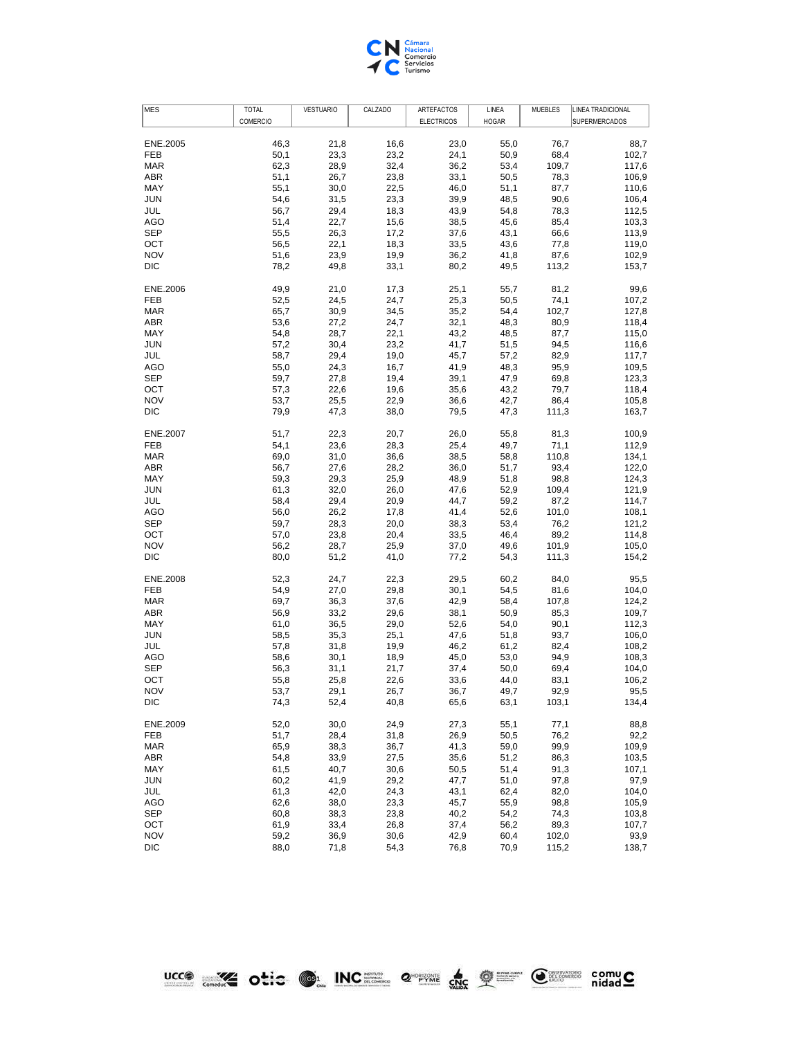

| COMERCIO<br><b>ELECTRICOS</b><br><b>HOGAR</b><br><b>SUPERMERCADOS</b><br>46,3<br>16,6<br>ENE.2005<br>21,8<br>23,0<br>55,0<br>76,7<br><b>FEB</b><br>50,1<br>23,3<br>23,2<br>24,1<br>50,9<br>68,4<br>62,3<br>32,4<br>53,4<br>109,7<br><b>MAR</b><br>28,9<br>36,2<br>ABR<br>51,1<br>23,8<br>33,1<br>26,7<br>50,5<br>78,3<br>MAY<br>55,1<br>30,0<br>22,5<br>46,0<br>51,1<br>87,7<br><b>JUN</b><br>54,6<br>31,5<br>23,3<br>39,9<br>48,5<br>90,6<br>56,7<br>29,4<br>43,9<br>JUL<br>18,3<br>54,8<br>78,3<br><b>AGO</b><br>51,4<br>22,7<br>15,6<br>38,5<br>45,6<br>85,4<br><b>SEP</b><br>55,5<br>37,6<br>66,6<br>26,3<br>17,2<br>43,1<br>OCT<br>56,5<br>33,5<br>22,1<br>18,3<br>43,6<br>77,8<br><b>NOV</b><br>51,6<br>23,9<br>19,9<br>36,2<br>41,8<br>87,6<br><b>DIC</b><br>78,2<br>80,2<br>113,2<br>49,8<br>33,1<br>49,5<br>49,9<br>ENE.2006<br>21,0<br>17,3<br>25,1<br>55,7<br>81,2<br>52,5<br>24,5<br>24,7<br>25,3<br>50,5<br><b>FEB</b><br>74,1<br><b>MAR</b><br>65,7<br>30,9<br>34,5<br>35,2<br>102,7<br>54,4<br>ABR<br>53,6<br>24,7<br>32,1<br>48,3<br>80,9<br>27,2<br>MAY<br>28,7<br>22,1<br>43,2<br>87,7<br>54,8<br>48,5<br><b>JUN</b><br>23,2<br>41,7<br>57,2<br>30,4<br>51,5<br>94,5<br>58,7<br>29,4<br>45,7<br>JUL<br>19,0<br>57,2<br>82,9<br><b>AGO</b><br>55,0<br>41,9<br>24,3<br>16,7<br>48,3<br>95,9<br><b>SEP</b><br>59,7<br>39,1<br>27,8<br>19,4<br>47,9<br>69,8<br>OCT<br>57,3<br>22,6<br>19,6<br>35,6<br>79,7<br>43,2<br><b>NOV</b><br>53,7<br>25,5<br>22,9<br>36,6<br>42,7<br>86,4<br><b>DIC</b><br>79,9<br>47,3<br>47,3<br>38,0<br>79,5<br>111,3<br><b>ENE.2007</b><br>51,7<br>22,3<br>20,7<br>26,0<br>55,8<br>81,3<br><b>FEB</b><br>25,4<br>49,7<br>54,1<br>23,6<br>28,3<br>71,1<br><b>MAR</b><br>69,0<br>31,0<br>36,6<br>38,5<br>110,8<br>58,8<br>ABR<br>56,7<br>27,6<br>28,2<br>36,0<br>51,7<br>93,4<br>MAY<br>59,3<br>29,3<br>25,9<br>48,9<br>51,8<br>98,8<br>61,3<br>47,6<br><b>JUN</b><br>32,0<br>26,0<br>52,9<br>109,4<br>58,4<br>20,9<br>44,7<br>JUL<br>29,4<br>59,2<br>87,2<br><b>AGO</b><br>56,0<br>26,2<br>17,8<br>41,4<br>52,6<br>101,0<br><b>SEP</b><br>59,7<br>28,3<br>38,3<br>53,4<br>20,0<br>76,2<br>OCT<br>20,4<br>33,5<br>57,0<br>23,8<br>46,4<br>89,2<br><b>NOV</b><br>25,9<br>37,0<br>101,9<br>56,2<br>28,7<br>49,6<br><b>DIC</b><br>80,0<br>111,3<br>51,2<br>41,0<br>77,2<br>54,3<br>52,3<br>24,7<br>22,3<br>29,5<br>60,2<br>ENE.2008<br>84,0<br>FEB<br>54,9<br>27,0<br>29,8<br>30,1<br>54,5<br>81,6<br>69,7<br>36,3<br>42,9<br><b>MAR</b><br>37,6<br>58,4<br>107,8<br>ABR<br>33,2<br>29,6<br>38,1<br>56,9<br>50,9<br>85,3<br>MAY<br>61,0<br>36,5<br>29,0<br>52,6<br>54,0<br>90,1<br>58,5<br>47,6<br><b>JUN</b><br>35,3<br>25,1<br>51,8<br>93,7<br>JUL<br>46,2<br>57,8<br>31,8<br>19,9<br>61,2<br>82,4<br><b>AGO</b><br>58,6<br>45,0<br>53,0<br>94,9<br>30,1<br>18,9<br><b>SEP</b><br>31,1<br>21,7<br>37,4<br>50,0<br>69,4<br>56,3<br>22,6<br>33,6<br>44,0<br>OCT<br>55,8<br>25,8<br>83,1<br>53,7<br>29,1<br>26,7<br>36,7<br>49,7<br>92,9<br><b>NOV</b><br><b>DIC</b><br>74,3<br>52,4<br>40,8<br>65,6<br>63,1<br>103,1<br>ENE.2009<br>52,0<br>30,0<br>24,9<br>27,3<br>55,1<br>77,1<br>FEB<br>51,7<br>28,4<br>31,8<br>26,9<br>50,5<br>76,2<br><b>MAR</b><br>65,9<br>38,3<br>41,3<br>59,0<br>99,9<br>36,7<br>ABR<br>33,9<br>27,5<br>35,6<br>86,3<br>54,8<br>51,2<br>MAY<br>61,5<br>40,7<br>30,6<br>50,5<br>51,4<br>91,3<br><b>JUN</b><br>60,2<br>41,9<br>29,2<br>47,7<br>51,0<br>97,8<br>JUL<br>42,0<br>43,1<br>61,3<br>24,3<br>62,4<br>82,0<br><b>AGO</b><br>62,6<br>23,3<br>45,7<br>55,9<br>38,0<br>98,8<br><b>SEP</b><br>60,8<br>38,3<br>23,8<br>40,2<br>54,2<br>74,3<br>OCT<br>61,9<br>33,4<br>26,8<br>37,4<br>89,3<br>56,2<br><b>NOV</b><br>59,2<br>36,9<br>30,6<br>42,9<br>60,4<br>102,0 | MES | <b>TOTAL</b> | <b>VESTUARIO</b> | CALZADO | ARTEFACTOS | LINEA | <b>MUEBLES</b> | LINEA TRADICIONAL |
|--------------------------------------------------------------------------------------------------------------------------------------------------------------------------------------------------------------------------------------------------------------------------------------------------------------------------------------------------------------------------------------------------------------------------------------------------------------------------------------------------------------------------------------------------------------------------------------------------------------------------------------------------------------------------------------------------------------------------------------------------------------------------------------------------------------------------------------------------------------------------------------------------------------------------------------------------------------------------------------------------------------------------------------------------------------------------------------------------------------------------------------------------------------------------------------------------------------------------------------------------------------------------------------------------------------------------------------------------------------------------------------------------------------------------------------------------------------------------------------------------------------------------------------------------------------------------------------------------------------------------------------------------------------------------------------------------------------------------------------------------------------------------------------------------------------------------------------------------------------------------------------------------------------------------------------------------------------------------------------------------------------------------------------------------------------------------------------------------------------------------------------------------------------------------------------------------------------------------------------------------------------------------------------------------------------------------------------------------------------------------------------------------------------------------------------------------------------------------------------------------------------------------------------------------------------------------------------------------------------------------------------------------------------------------------------------------------------------------------------------------------------------------------------------------------------------------------------------------------------------------------------------------------------------------------------------------------------------------------------------------------------------------------------------------------------------------------------------------------------------------------------------------------------------------------------------------------------------------------------------------------------------------------------------------------------------------------------------------------------------------------------------------------------------------------------------------------------------------------------------------------------------------------------------------------------------------------------------------------------------------------------------------------------------------------------------------------------------------------|-----|--------------|------------------|---------|------------|-------|----------------|-------------------|
|                                                                                                                                                                                                                                                                                                                                                                                                                                                                                                                                                                                                                                                                                                                                                                                                                                                                                                                                                                                                                                                                                                                                                                                                                                                                                                                                                                                                                                                                                                                                                                                                                                                                                                                                                                                                                                                                                                                                                                                                                                                                                                                                                                                                                                                                                                                                                                                                                                                                                                                                                                                                                                                                                                                                                                                                                                                                                                                                                                                                                                                                                                                                                                                                                                                                                                                                                                                                                                                                                                                                                                                                                                                                                                                                |     |              |                  |         |            |       |                |                   |
|                                                                                                                                                                                                                                                                                                                                                                                                                                                                                                                                                                                                                                                                                                                                                                                                                                                                                                                                                                                                                                                                                                                                                                                                                                                                                                                                                                                                                                                                                                                                                                                                                                                                                                                                                                                                                                                                                                                                                                                                                                                                                                                                                                                                                                                                                                                                                                                                                                                                                                                                                                                                                                                                                                                                                                                                                                                                                                                                                                                                                                                                                                                                                                                                                                                                                                                                                                                                                                                                                                                                                                                                                                                                                                                                |     |              |                  |         |            |       |                | 88,7              |
|                                                                                                                                                                                                                                                                                                                                                                                                                                                                                                                                                                                                                                                                                                                                                                                                                                                                                                                                                                                                                                                                                                                                                                                                                                                                                                                                                                                                                                                                                                                                                                                                                                                                                                                                                                                                                                                                                                                                                                                                                                                                                                                                                                                                                                                                                                                                                                                                                                                                                                                                                                                                                                                                                                                                                                                                                                                                                                                                                                                                                                                                                                                                                                                                                                                                                                                                                                                                                                                                                                                                                                                                                                                                                                                                |     |              |                  |         |            |       |                |                   |
|                                                                                                                                                                                                                                                                                                                                                                                                                                                                                                                                                                                                                                                                                                                                                                                                                                                                                                                                                                                                                                                                                                                                                                                                                                                                                                                                                                                                                                                                                                                                                                                                                                                                                                                                                                                                                                                                                                                                                                                                                                                                                                                                                                                                                                                                                                                                                                                                                                                                                                                                                                                                                                                                                                                                                                                                                                                                                                                                                                                                                                                                                                                                                                                                                                                                                                                                                                                                                                                                                                                                                                                                                                                                                                                                |     |              |                  |         |            |       |                | 102,7             |
|                                                                                                                                                                                                                                                                                                                                                                                                                                                                                                                                                                                                                                                                                                                                                                                                                                                                                                                                                                                                                                                                                                                                                                                                                                                                                                                                                                                                                                                                                                                                                                                                                                                                                                                                                                                                                                                                                                                                                                                                                                                                                                                                                                                                                                                                                                                                                                                                                                                                                                                                                                                                                                                                                                                                                                                                                                                                                                                                                                                                                                                                                                                                                                                                                                                                                                                                                                                                                                                                                                                                                                                                                                                                                                                                |     |              |                  |         |            |       |                | 117,6             |
|                                                                                                                                                                                                                                                                                                                                                                                                                                                                                                                                                                                                                                                                                                                                                                                                                                                                                                                                                                                                                                                                                                                                                                                                                                                                                                                                                                                                                                                                                                                                                                                                                                                                                                                                                                                                                                                                                                                                                                                                                                                                                                                                                                                                                                                                                                                                                                                                                                                                                                                                                                                                                                                                                                                                                                                                                                                                                                                                                                                                                                                                                                                                                                                                                                                                                                                                                                                                                                                                                                                                                                                                                                                                                                                                |     |              |                  |         |            |       |                | 106,9             |
|                                                                                                                                                                                                                                                                                                                                                                                                                                                                                                                                                                                                                                                                                                                                                                                                                                                                                                                                                                                                                                                                                                                                                                                                                                                                                                                                                                                                                                                                                                                                                                                                                                                                                                                                                                                                                                                                                                                                                                                                                                                                                                                                                                                                                                                                                                                                                                                                                                                                                                                                                                                                                                                                                                                                                                                                                                                                                                                                                                                                                                                                                                                                                                                                                                                                                                                                                                                                                                                                                                                                                                                                                                                                                                                                |     |              |                  |         |            |       |                | 110,6             |
|                                                                                                                                                                                                                                                                                                                                                                                                                                                                                                                                                                                                                                                                                                                                                                                                                                                                                                                                                                                                                                                                                                                                                                                                                                                                                                                                                                                                                                                                                                                                                                                                                                                                                                                                                                                                                                                                                                                                                                                                                                                                                                                                                                                                                                                                                                                                                                                                                                                                                                                                                                                                                                                                                                                                                                                                                                                                                                                                                                                                                                                                                                                                                                                                                                                                                                                                                                                                                                                                                                                                                                                                                                                                                                                                |     |              |                  |         |            |       |                | 106,4             |
|                                                                                                                                                                                                                                                                                                                                                                                                                                                                                                                                                                                                                                                                                                                                                                                                                                                                                                                                                                                                                                                                                                                                                                                                                                                                                                                                                                                                                                                                                                                                                                                                                                                                                                                                                                                                                                                                                                                                                                                                                                                                                                                                                                                                                                                                                                                                                                                                                                                                                                                                                                                                                                                                                                                                                                                                                                                                                                                                                                                                                                                                                                                                                                                                                                                                                                                                                                                                                                                                                                                                                                                                                                                                                                                                |     |              |                  |         |            |       |                | 112,5             |
|                                                                                                                                                                                                                                                                                                                                                                                                                                                                                                                                                                                                                                                                                                                                                                                                                                                                                                                                                                                                                                                                                                                                                                                                                                                                                                                                                                                                                                                                                                                                                                                                                                                                                                                                                                                                                                                                                                                                                                                                                                                                                                                                                                                                                                                                                                                                                                                                                                                                                                                                                                                                                                                                                                                                                                                                                                                                                                                                                                                                                                                                                                                                                                                                                                                                                                                                                                                                                                                                                                                                                                                                                                                                                                                                |     |              |                  |         |            |       |                | 103,3             |
|                                                                                                                                                                                                                                                                                                                                                                                                                                                                                                                                                                                                                                                                                                                                                                                                                                                                                                                                                                                                                                                                                                                                                                                                                                                                                                                                                                                                                                                                                                                                                                                                                                                                                                                                                                                                                                                                                                                                                                                                                                                                                                                                                                                                                                                                                                                                                                                                                                                                                                                                                                                                                                                                                                                                                                                                                                                                                                                                                                                                                                                                                                                                                                                                                                                                                                                                                                                                                                                                                                                                                                                                                                                                                                                                |     |              |                  |         |            |       |                | 113,9             |
|                                                                                                                                                                                                                                                                                                                                                                                                                                                                                                                                                                                                                                                                                                                                                                                                                                                                                                                                                                                                                                                                                                                                                                                                                                                                                                                                                                                                                                                                                                                                                                                                                                                                                                                                                                                                                                                                                                                                                                                                                                                                                                                                                                                                                                                                                                                                                                                                                                                                                                                                                                                                                                                                                                                                                                                                                                                                                                                                                                                                                                                                                                                                                                                                                                                                                                                                                                                                                                                                                                                                                                                                                                                                                                                                |     |              |                  |         |            |       |                | 119,0             |
|                                                                                                                                                                                                                                                                                                                                                                                                                                                                                                                                                                                                                                                                                                                                                                                                                                                                                                                                                                                                                                                                                                                                                                                                                                                                                                                                                                                                                                                                                                                                                                                                                                                                                                                                                                                                                                                                                                                                                                                                                                                                                                                                                                                                                                                                                                                                                                                                                                                                                                                                                                                                                                                                                                                                                                                                                                                                                                                                                                                                                                                                                                                                                                                                                                                                                                                                                                                                                                                                                                                                                                                                                                                                                                                                |     |              |                  |         |            |       |                | 102,9             |
|                                                                                                                                                                                                                                                                                                                                                                                                                                                                                                                                                                                                                                                                                                                                                                                                                                                                                                                                                                                                                                                                                                                                                                                                                                                                                                                                                                                                                                                                                                                                                                                                                                                                                                                                                                                                                                                                                                                                                                                                                                                                                                                                                                                                                                                                                                                                                                                                                                                                                                                                                                                                                                                                                                                                                                                                                                                                                                                                                                                                                                                                                                                                                                                                                                                                                                                                                                                                                                                                                                                                                                                                                                                                                                                                |     |              |                  |         |            |       |                | 153,7             |
|                                                                                                                                                                                                                                                                                                                                                                                                                                                                                                                                                                                                                                                                                                                                                                                                                                                                                                                                                                                                                                                                                                                                                                                                                                                                                                                                                                                                                                                                                                                                                                                                                                                                                                                                                                                                                                                                                                                                                                                                                                                                                                                                                                                                                                                                                                                                                                                                                                                                                                                                                                                                                                                                                                                                                                                                                                                                                                                                                                                                                                                                                                                                                                                                                                                                                                                                                                                                                                                                                                                                                                                                                                                                                                                                |     |              |                  |         |            |       |                | 99,6              |
|                                                                                                                                                                                                                                                                                                                                                                                                                                                                                                                                                                                                                                                                                                                                                                                                                                                                                                                                                                                                                                                                                                                                                                                                                                                                                                                                                                                                                                                                                                                                                                                                                                                                                                                                                                                                                                                                                                                                                                                                                                                                                                                                                                                                                                                                                                                                                                                                                                                                                                                                                                                                                                                                                                                                                                                                                                                                                                                                                                                                                                                                                                                                                                                                                                                                                                                                                                                                                                                                                                                                                                                                                                                                                                                                |     |              |                  |         |            |       |                | 107,2             |
|                                                                                                                                                                                                                                                                                                                                                                                                                                                                                                                                                                                                                                                                                                                                                                                                                                                                                                                                                                                                                                                                                                                                                                                                                                                                                                                                                                                                                                                                                                                                                                                                                                                                                                                                                                                                                                                                                                                                                                                                                                                                                                                                                                                                                                                                                                                                                                                                                                                                                                                                                                                                                                                                                                                                                                                                                                                                                                                                                                                                                                                                                                                                                                                                                                                                                                                                                                                                                                                                                                                                                                                                                                                                                                                                |     |              |                  |         |            |       |                | 127,8             |
|                                                                                                                                                                                                                                                                                                                                                                                                                                                                                                                                                                                                                                                                                                                                                                                                                                                                                                                                                                                                                                                                                                                                                                                                                                                                                                                                                                                                                                                                                                                                                                                                                                                                                                                                                                                                                                                                                                                                                                                                                                                                                                                                                                                                                                                                                                                                                                                                                                                                                                                                                                                                                                                                                                                                                                                                                                                                                                                                                                                                                                                                                                                                                                                                                                                                                                                                                                                                                                                                                                                                                                                                                                                                                                                                |     |              |                  |         |            |       |                |                   |
|                                                                                                                                                                                                                                                                                                                                                                                                                                                                                                                                                                                                                                                                                                                                                                                                                                                                                                                                                                                                                                                                                                                                                                                                                                                                                                                                                                                                                                                                                                                                                                                                                                                                                                                                                                                                                                                                                                                                                                                                                                                                                                                                                                                                                                                                                                                                                                                                                                                                                                                                                                                                                                                                                                                                                                                                                                                                                                                                                                                                                                                                                                                                                                                                                                                                                                                                                                                                                                                                                                                                                                                                                                                                                                                                |     |              |                  |         |            |       |                | 118,4             |
|                                                                                                                                                                                                                                                                                                                                                                                                                                                                                                                                                                                                                                                                                                                                                                                                                                                                                                                                                                                                                                                                                                                                                                                                                                                                                                                                                                                                                                                                                                                                                                                                                                                                                                                                                                                                                                                                                                                                                                                                                                                                                                                                                                                                                                                                                                                                                                                                                                                                                                                                                                                                                                                                                                                                                                                                                                                                                                                                                                                                                                                                                                                                                                                                                                                                                                                                                                                                                                                                                                                                                                                                                                                                                                                                |     |              |                  |         |            |       |                | 115,0             |
|                                                                                                                                                                                                                                                                                                                                                                                                                                                                                                                                                                                                                                                                                                                                                                                                                                                                                                                                                                                                                                                                                                                                                                                                                                                                                                                                                                                                                                                                                                                                                                                                                                                                                                                                                                                                                                                                                                                                                                                                                                                                                                                                                                                                                                                                                                                                                                                                                                                                                                                                                                                                                                                                                                                                                                                                                                                                                                                                                                                                                                                                                                                                                                                                                                                                                                                                                                                                                                                                                                                                                                                                                                                                                                                                |     |              |                  |         |            |       |                | 116,6             |
|                                                                                                                                                                                                                                                                                                                                                                                                                                                                                                                                                                                                                                                                                                                                                                                                                                                                                                                                                                                                                                                                                                                                                                                                                                                                                                                                                                                                                                                                                                                                                                                                                                                                                                                                                                                                                                                                                                                                                                                                                                                                                                                                                                                                                                                                                                                                                                                                                                                                                                                                                                                                                                                                                                                                                                                                                                                                                                                                                                                                                                                                                                                                                                                                                                                                                                                                                                                                                                                                                                                                                                                                                                                                                                                                |     |              |                  |         |            |       |                | 117,7             |
|                                                                                                                                                                                                                                                                                                                                                                                                                                                                                                                                                                                                                                                                                                                                                                                                                                                                                                                                                                                                                                                                                                                                                                                                                                                                                                                                                                                                                                                                                                                                                                                                                                                                                                                                                                                                                                                                                                                                                                                                                                                                                                                                                                                                                                                                                                                                                                                                                                                                                                                                                                                                                                                                                                                                                                                                                                                                                                                                                                                                                                                                                                                                                                                                                                                                                                                                                                                                                                                                                                                                                                                                                                                                                                                                |     |              |                  |         |            |       |                | 109,5             |
|                                                                                                                                                                                                                                                                                                                                                                                                                                                                                                                                                                                                                                                                                                                                                                                                                                                                                                                                                                                                                                                                                                                                                                                                                                                                                                                                                                                                                                                                                                                                                                                                                                                                                                                                                                                                                                                                                                                                                                                                                                                                                                                                                                                                                                                                                                                                                                                                                                                                                                                                                                                                                                                                                                                                                                                                                                                                                                                                                                                                                                                                                                                                                                                                                                                                                                                                                                                                                                                                                                                                                                                                                                                                                                                                |     |              |                  |         |            |       |                | 123,3             |
|                                                                                                                                                                                                                                                                                                                                                                                                                                                                                                                                                                                                                                                                                                                                                                                                                                                                                                                                                                                                                                                                                                                                                                                                                                                                                                                                                                                                                                                                                                                                                                                                                                                                                                                                                                                                                                                                                                                                                                                                                                                                                                                                                                                                                                                                                                                                                                                                                                                                                                                                                                                                                                                                                                                                                                                                                                                                                                                                                                                                                                                                                                                                                                                                                                                                                                                                                                                                                                                                                                                                                                                                                                                                                                                                |     |              |                  |         |            |       |                | 118,4             |
|                                                                                                                                                                                                                                                                                                                                                                                                                                                                                                                                                                                                                                                                                                                                                                                                                                                                                                                                                                                                                                                                                                                                                                                                                                                                                                                                                                                                                                                                                                                                                                                                                                                                                                                                                                                                                                                                                                                                                                                                                                                                                                                                                                                                                                                                                                                                                                                                                                                                                                                                                                                                                                                                                                                                                                                                                                                                                                                                                                                                                                                                                                                                                                                                                                                                                                                                                                                                                                                                                                                                                                                                                                                                                                                                |     |              |                  |         |            |       |                | 105,8             |
|                                                                                                                                                                                                                                                                                                                                                                                                                                                                                                                                                                                                                                                                                                                                                                                                                                                                                                                                                                                                                                                                                                                                                                                                                                                                                                                                                                                                                                                                                                                                                                                                                                                                                                                                                                                                                                                                                                                                                                                                                                                                                                                                                                                                                                                                                                                                                                                                                                                                                                                                                                                                                                                                                                                                                                                                                                                                                                                                                                                                                                                                                                                                                                                                                                                                                                                                                                                                                                                                                                                                                                                                                                                                                                                                |     |              |                  |         |            |       |                | 163,7             |
|                                                                                                                                                                                                                                                                                                                                                                                                                                                                                                                                                                                                                                                                                                                                                                                                                                                                                                                                                                                                                                                                                                                                                                                                                                                                                                                                                                                                                                                                                                                                                                                                                                                                                                                                                                                                                                                                                                                                                                                                                                                                                                                                                                                                                                                                                                                                                                                                                                                                                                                                                                                                                                                                                                                                                                                                                                                                                                                                                                                                                                                                                                                                                                                                                                                                                                                                                                                                                                                                                                                                                                                                                                                                                                                                |     |              |                  |         |            |       |                | 100,9             |
|                                                                                                                                                                                                                                                                                                                                                                                                                                                                                                                                                                                                                                                                                                                                                                                                                                                                                                                                                                                                                                                                                                                                                                                                                                                                                                                                                                                                                                                                                                                                                                                                                                                                                                                                                                                                                                                                                                                                                                                                                                                                                                                                                                                                                                                                                                                                                                                                                                                                                                                                                                                                                                                                                                                                                                                                                                                                                                                                                                                                                                                                                                                                                                                                                                                                                                                                                                                                                                                                                                                                                                                                                                                                                                                                |     |              |                  |         |            |       |                | 112,9             |
|                                                                                                                                                                                                                                                                                                                                                                                                                                                                                                                                                                                                                                                                                                                                                                                                                                                                                                                                                                                                                                                                                                                                                                                                                                                                                                                                                                                                                                                                                                                                                                                                                                                                                                                                                                                                                                                                                                                                                                                                                                                                                                                                                                                                                                                                                                                                                                                                                                                                                                                                                                                                                                                                                                                                                                                                                                                                                                                                                                                                                                                                                                                                                                                                                                                                                                                                                                                                                                                                                                                                                                                                                                                                                                                                |     |              |                  |         |            |       |                | 134,1             |
|                                                                                                                                                                                                                                                                                                                                                                                                                                                                                                                                                                                                                                                                                                                                                                                                                                                                                                                                                                                                                                                                                                                                                                                                                                                                                                                                                                                                                                                                                                                                                                                                                                                                                                                                                                                                                                                                                                                                                                                                                                                                                                                                                                                                                                                                                                                                                                                                                                                                                                                                                                                                                                                                                                                                                                                                                                                                                                                                                                                                                                                                                                                                                                                                                                                                                                                                                                                                                                                                                                                                                                                                                                                                                                                                |     |              |                  |         |            |       |                | 122,0             |
|                                                                                                                                                                                                                                                                                                                                                                                                                                                                                                                                                                                                                                                                                                                                                                                                                                                                                                                                                                                                                                                                                                                                                                                                                                                                                                                                                                                                                                                                                                                                                                                                                                                                                                                                                                                                                                                                                                                                                                                                                                                                                                                                                                                                                                                                                                                                                                                                                                                                                                                                                                                                                                                                                                                                                                                                                                                                                                                                                                                                                                                                                                                                                                                                                                                                                                                                                                                                                                                                                                                                                                                                                                                                                                                                |     |              |                  |         |            |       |                |                   |
|                                                                                                                                                                                                                                                                                                                                                                                                                                                                                                                                                                                                                                                                                                                                                                                                                                                                                                                                                                                                                                                                                                                                                                                                                                                                                                                                                                                                                                                                                                                                                                                                                                                                                                                                                                                                                                                                                                                                                                                                                                                                                                                                                                                                                                                                                                                                                                                                                                                                                                                                                                                                                                                                                                                                                                                                                                                                                                                                                                                                                                                                                                                                                                                                                                                                                                                                                                                                                                                                                                                                                                                                                                                                                                                                |     |              |                  |         |            |       |                | 124,3             |
|                                                                                                                                                                                                                                                                                                                                                                                                                                                                                                                                                                                                                                                                                                                                                                                                                                                                                                                                                                                                                                                                                                                                                                                                                                                                                                                                                                                                                                                                                                                                                                                                                                                                                                                                                                                                                                                                                                                                                                                                                                                                                                                                                                                                                                                                                                                                                                                                                                                                                                                                                                                                                                                                                                                                                                                                                                                                                                                                                                                                                                                                                                                                                                                                                                                                                                                                                                                                                                                                                                                                                                                                                                                                                                                                |     |              |                  |         |            |       |                | 121,9             |
|                                                                                                                                                                                                                                                                                                                                                                                                                                                                                                                                                                                                                                                                                                                                                                                                                                                                                                                                                                                                                                                                                                                                                                                                                                                                                                                                                                                                                                                                                                                                                                                                                                                                                                                                                                                                                                                                                                                                                                                                                                                                                                                                                                                                                                                                                                                                                                                                                                                                                                                                                                                                                                                                                                                                                                                                                                                                                                                                                                                                                                                                                                                                                                                                                                                                                                                                                                                                                                                                                                                                                                                                                                                                                                                                |     |              |                  |         |            |       |                | 114,7             |
|                                                                                                                                                                                                                                                                                                                                                                                                                                                                                                                                                                                                                                                                                                                                                                                                                                                                                                                                                                                                                                                                                                                                                                                                                                                                                                                                                                                                                                                                                                                                                                                                                                                                                                                                                                                                                                                                                                                                                                                                                                                                                                                                                                                                                                                                                                                                                                                                                                                                                                                                                                                                                                                                                                                                                                                                                                                                                                                                                                                                                                                                                                                                                                                                                                                                                                                                                                                                                                                                                                                                                                                                                                                                                                                                |     |              |                  |         |            |       |                | 108,1             |
|                                                                                                                                                                                                                                                                                                                                                                                                                                                                                                                                                                                                                                                                                                                                                                                                                                                                                                                                                                                                                                                                                                                                                                                                                                                                                                                                                                                                                                                                                                                                                                                                                                                                                                                                                                                                                                                                                                                                                                                                                                                                                                                                                                                                                                                                                                                                                                                                                                                                                                                                                                                                                                                                                                                                                                                                                                                                                                                                                                                                                                                                                                                                                                                                                                                                                                                                                                                                                                                                                                                                                                                                                                                                                                                                |     |              |                  |         |            |       |                | 121,2             |
|                                                                                                                                                                                                                                                                                                                                                                                                                                                                                                                                                                                                                                                                                                                                                                                                                                                                                                                                                                                                                                                                                                                                                                                                                                                                                                                                                                                                                                                                                                                                                                                                                                                                                                                                                                                                                                                                                                                                                                                                                                                                                                                                                                                                                                                                                                                                                                                                                                                                                                                                                                                                                                                                                                                                                                                                                                                                                                                                                                                                                                                                                                                                                                                                                                                                                                                                                                                                                                                                                                                                                                                                                                                                                                                                |     |              |                  |         |            |       |                | 114,8             |
|                                                                                                                                                                                                                                                                                                                                                                                                                                                                                                                                                                                                                                                                                                                                                                                                                                                                                                                                                                                                                                                                                                                                                                                                                                                                                                                                                                                                                                                                                                                                                                                                                                                                                                                                                                                                                                                                                                                                                                                                                                                                                                                                                                                                                                                                                                                                                                                                                                                                                                                                                                                                                                                                                                                                                                                                                                                                                                                                                                                                                                                                                                                                                                                                                                                                                                                                                                                                                                                                                                                                                                                                                                                                                                                                |     |              |                  |         |            |       |                | 105,0             |
|                                                                                                                                                                                                                                                                                                                                                                                                                                                                                                                                                                                                                                                                                                                                                                                                                                                                                                                                                                                                                                                                                                                                                                                                                                                                                                                                                                                                                                                                                                                                                                                                                                                                                                                                                                                                                                                                                                                                                                                                                                                                                                                                                                                                                                                                                                                                                                                                                                                                                                                                                                                                                                                                                                                                                                                                                                                                                                                                                                                                                                                                                                                                                                                                                                                                                                                                                                                                                                                                                                                                                                                                                                                                                                                                |     |              |                  |         |            |       |                | 154,2             |
|                                                                                                                                                                                                                                                                                                                                                                                                                                                                                                                                                                                                                                                                                                                                                                                                                                                                                                                                                                                                                                                                                                                                                                                                                                                                                                                                                                                                                                                                                                                                                                                                                                                                                                                                                                                                                                                                                                                                                                                                                                                                                                                                                                                                                                                                                                                                                                                                                                                                                                                                                                                                                                                                                                                                                                                                                                                                                                                                                                                                                                                                                                                                                                                                                                                                                                                                                                                                                                                                                                                                                                                                                                                                                                                                |     |              |                  |         |            |       |                | 95,5              |
|                                                                                                                                                                                                                                                                                                                                                                                                                                                                                                                                                                                                                                                                                                                                                                                                                                                                                                                                                                                                                                                                                                                                                                                                                                                                                                                                                                                                                                                                                                                                                                                                                                                                                                                                                                                                                                                                                                                                                                                                                                                                                                                                                                                                                                                                                                                                                                                                                                                                                                                                                                                                                                                                                                                                                                                                                                                                                                                                                                                                                                                                                                                                                                                                                                                                                                                                                                                                                                                                                                                                                                                                                                                                                                                                |     |              |                  |         |            |       |                | 104,0             |
|                                                                                                                                                                                                                                                                                                                                                                                                                                                                                                                                                                                                                                                                                                                                                                                                                                                                                                                                                                                                                                                                                                                                                                                                                                                                                                                                                                                                                                                                                                                                                                                                                                                                                                                                                                                                                                                                                                                                                                                                                                                                                                                                                                                                                                                                                                                                                                                                                                                                                                                                                                                                                                                                                                                                                                                                                                                                                                                                                                                                                                                                                                                                                                                                                                                                                                                                                                                                                                                                                                                                                                                                                                                                                                                                |     |              |                  |         |            |       |                | 124,2             |
|                                                                                                                                                                                                                                                                                                                                                                                                                                                                                                                                                                                                                                                                                                                                                                                                                                                                                                                                                                                                                                                                                                                                                                                                                                                                                                                                                                                                                                                                                                                                                                                                                                                                                                                                                                                                                                                                                                                                                                                                                                                                                                                                                                                                                                                                                                                                                                                                                                                                                                                                                                                                                                                                                                                                                                                                                                                                                                                                                                                                                                                                                                                                                                                                                                                                                                                                                                                                                                                                                                                                                                                                                                                                                                                                |     |              |                  |         |            |       |                | 109,7             |
|                                                                                                                                                                                                                                                                                                                                                                                                                                                                                                                                                                                                                                                                                                                                                                                                                                                                                                                                                                                                                                                                                                                                                                                                                                                                                                                                                                                                                                                                                                                                                                                                                                                                                                                                                                                                                                                                                                                                                                                                                                                                                                                                                                                                                                                                                                                                                                                                                                                                                                                                                                                                                                                                                                                                                                                                                                                                                                                                                                                                                                                                                                                                                                                                                                                                                                                                                                                                                                                                                                                                                                                                                                                                                                                                |     |              |                  |         |            |       |                | 112,3             |
|                                                                                                                                                                                                                                                                                                                                                                                                                                                                                                                                                                                                                                                                                                                                                                                                                                                                                                                                                                                                                                                                                                                                                                                                                                                                                                                                                                                                                                                                                                                                                                                                                                                                                                                                                                                                                                                                                                                                                                                                                                                                                                                                                                                                                                                                                                                                                                                                                                                                                                                                                                                                                                                                                                                                                                                                                                                                                                                                                                                                                                                                                                                                                                                                                                                                                                                                                                                                                                                                                                                                                                                                                                                                                                                                |     |              |                  |         |            |       |                | 106,0             |
|                                                                                                                                                                                                                                                                                                                                                                                                                                                                                                                                                                                                                                                                                                                                                                                                                                                                                                                                                                                                                                                                                                                                                                                                                                                                                                                                                                                                                                                                                                                                                                                                                                                                                                                                                                                                                                                                                                                                                                                                                                                                                                                                                                                                                                                                                                                                                                                                                                                                                                                                                                                                                                                                                                                                                                                                                                                                                                                                                                                                                                                                                                                                                                                                                                                                                                                                                                                                                                                                                                                                                                                                                                                                                                                                |     |              |                  |         |            |       |                |                   |
|                                                                                                                                                                                                                                                                                                                                                                                                                                                                                                                                                                                                                                                                                                                                                                                                                                                                                                                                                                                                                                                                                                                                                                                                                                                                                                                                                                                                                                                                                                                                                                                                                                                                                                                                                                                                                                                                                                                                                                                                                                                                                                                                                                                                                                                                                                                                                                                                                                                                                                                                                                                                                                                                                                                                                                                                                                                                                                                                                                                                                                                                                                                                                                                                                                                                                                                                                                                                                                                                                                                                                                                                                                                                                                                                |     |              |                  |         |            |       |                | 108,2             |
|                                                                                                                                                                                                                                                                                                                                                                                                                                                                                                                                                                                                                                                                                                                                                                                                                                                                                                                                                                                                                                                                                                                                                                                                                                                                                                                                                                                                                                                                                                                                                                                                                                                                                                                                                                                                                                                                                                                                                                                                                                                                                                                                                                                                                                                                                                                                                                                                                                                                                                                                                                                                                                                                                                                                                                                                                                                                                                                                                                                                                                                                                                                                                                                                                                                                                                                                                                                                                                                                                                                                                                                                                                                                                                                                |     |              |                  |         |            |       |                | 108,3             |
|                                                                                                                                                                                                                                                                                                                                                                                                                                                                                                                                                                                                                                                                                                                                                                                                                                                                                                                                                                                                                                                                                                                                                                                                                                                                                                                                                                                                                                                                                                                                                                                                                                                                                                                                                                                                                                                                                                                                                                                                                                                                                                                                                                                                                                                                                                                                                                                                                                                                                                                                                                                                                                                                                                                                                                                                                                                                                                                                                                                                                                                                                                                                                                                                                                                                                                                                                                                                                                                                                                                                                                                                                                                                                                                                |     |              |                  |         |            |       |                | 104,0             |
|                                                                                                                                                                                                                                                                                                                                                                                                                                                                                                                                                                                                                                                                                                                                                                                                                                                                                                                                                                                                                                                                                                                                                                                                                                                                                                                                                                                                                                                                                                                                                                                                                                                                                                                                                                                                                                                                                                                                                                                                                                                                                                                                                                                                                                                                                                                                                                                                                                                                                                                                                                                                                                                                                                                                                                                                                                                                                                                                                                                                                                                                                                                                                                                                                                                                                                                                                                                                                                                                                                                                                                                                                                                                                                                                |     |              |                  |         |            |       |                | 106,2             |
|                                                                                                                                                                                                                                                                                                                                                                                                                                                                                                                                                                                                                                                                                                                                                                                                                                                                                                                                                                                                                                                                                                                                                                                                                                                                                                                                                                                                                                                                                                                                                                                                                                                                                                                                                                                                                                                                                                                                                                                                                                                                                                                                                                                                                                                                                                                                                                                                                                                                                                                                                                                                                                                                                                                                                                                                                                                                                                                                                                                                                                                                                                                                                                                                                                                                                                                                                                                                                                                                                                                                                                                                                                                                                                                                |     |              |                  |         |            |       |                | 95,5              |
|                                                                                                                                                                                                                                                                                                                                                                                                                                                                                                                                                                                                                                                                                                                                                                                                                                                                                                                                                                                                                                                                                                                                                                                                                                                                                                                                                                                                                                                                                                                                                                                                                                                                                                                                                                                                                                                                                                                                                                                                                                                                                                                                                                                                                                                                                                                                                                                                                                                                                                                                                                                                                                                                                                                                                                                                                                                                                                                                                                                                                                                                                                                                                                                                                                                                                                                                                                                                                                                                                                                                                                                                                                                                                                                                |     |              |                  |         |            |       |                | 134,4             |
|                                                                                                                                                                                                                                                                                                                                                                                                                                                                                                                                                                                                                                                                                                                                                                                                                                                                                                                                                                                                                                                                                                                                                                                                                                                                                                                                                                                                                                                                                                                                                                                                                                                                                                                                                                                                                                                                                                                                                                                                                                                                                                                                                                                                                                                                                                                                                                                                                                                                                                                                                                                                                                                                                                                                                                                                                                                                                                                                                                                                                                                                                                                                                                                                                                                                                                                                                                                                                                                                                                                                                                                                                                                                                                                                |     |              |                  |         |            |       |                | 88,8              |
|                                                                                                                                                                                                                                                                                                                                                                                                                                                                                                                                                                                                                                                                                                                                                                                                                                                                                                                                                                                                                                                                                                                                                                                                                                                                                                                                                                                                                                                                                                                                                                                                                                                                                                                                                                                                                                                                                                                                                                                                                                                                                                                                                                                                                                                                                                                                                                                                                                                                                                                                                                                                                                                                                                                                                                                                                                                                                                                                                                                                                                                                                                                                                                                                                                                                                                                                                                                                                                                                                                                                                                                                                                                                                                                                |     |              |                  |         |            |       |                | 92,2              |
|                                                                                                                                                                                                                                                                                                                                                                                                                                                                                                                                                                                                                                                                                                                                                                                                                                                                                                                                                                                                                                                                                                                                                                                                                                                                                                                                                                                                                                                                                                                                                                                                                                                                                                                                                                                                                                                                                                                                                                                                                                                                                                                                                                                                                                                                                                                                                                                                                                                                                                                                                                                                                                                                                                                                                                                                                                                                                                                                                                                                                                                                                                                                                                                                                                                                                                                                                                                                                                                                                                                                                                                                                                                                                                                                |     |              |                  |         |            |       |                | 109,9             |
|                                                                                                                                                                                                                                                                                                                                                                                                                                                                                                                                                                                                                                                                                                                                                                                                                                                                                                                                                                                                                                                                                                                                                                                                                                                                                                                                                                                                                                                                                                                                                                                                                                                                                                                                                                                                                                                                                                                                                                                                                                                                                                                                                                                                                                                                                                                                                                                                                                                                                                                                                                                                                                                                                                                                                                                                                                                                                                                                                                                                                                                                                                                                                                                                                                                                                                                                                                                                                                                                                                                                                                                                                                                                                                                                |     |              |                  |         |            |       |                | 103,5             |
|                                                                                                                                                                                                                                                                                                                                                                                                                                                                                                                                                                                                                                                                                                                                                                                                                                                                                                                                                                                                                                                                                                                                                                                                                                                                                                                                                                                                                                                                                                                                                                                                                                                                                                                                                                                                                                                                                                                                                                                                                                                                                                                                                                                                                                                                                                                                                                                                                                                                                                                                                                                                                                                                                                                                                                                                                                                                                                                                                                                                                                                                                                                                                                                                                                                                                                                                                                                                                                                                                                                                                                                                                                                                                                                                |     |              |                  |         |            |       |                | 107,1             |
|                                                                                                                                                                                                                                                                                                                                                                                                                                                                                                                                                                                                                                                                                                                                                                                                                                                                                                                                                                                                                                                                                                                                                                                                                                                                                                                                                                                                                                                                                                                                                                                                                                                                                                                                                                                                                                                                                                                                                                                                                                                                                                                                                                                                                                                                                                                                                                                                                                                                                                                                                                                                                                                                                                                                                                                                                                                                                                                                                                                                                                                                                                                                                                                                                                                                                                                                                                                                                                                                                                                                                                                                                                                                                                                                |     |              |                  |         |            |       |                | 97,9              |
|                                                                                                                                                                                                                                                                                                                                                                                                                                                                                                                                                                                                                                                                                                                                                                                                                                                                                                                                                                                                                                                                                                                                                                                                                                                                                                                                                                                                                                                                                                                                                                                                                                                                                                                                                                                                                                                                                                                                                                                                                                                                                                                                                                                                                                                                                                                                                                                                                                                                                                                                                                                                                                                                                                                                                                                                                                                                                                                                                                                                                                                                                                                                                                                                                                                                                                                                                                                                                                                                                                                                                                                                                                                                                                                                |     |              |                  |         |            |       |                |                   |
|                                                                                                                                                                                                                                                                                                                                                                                                                                                                                                                                                                                                                                                                                                                                                                                                                                                                                                                                                                                                                                                                                                                                                                                                                                                                                                                                                                                                                                                                                                                                                                                                                                                                                                                                                                                                                                                                                                                                                                                                                                                                                                                                                                                                                                                                                                                                                                                                                                                                                                                                                                                                                                                                                                                                                                                                                                                                                                                                                                                                                                                                                                                                                                                                                                                                                                                                                                                                                                                                                                                                                                                                                                                                                                                                |     |              |                  |         |            |       |                | 104,0             |
|                                                                                                                                                                                                                                                                                                                                                                                                                                                                                                                                                                                                                                                                                                                                                                                                                                                                                                                                                                                                                                                                                                                                                                                                                                                                                                                                                                                                                                                                                                                                                                                                                                                                                                                                                                                                                                                                                                                                                                                                                                                                                                                                                                                                                                                                                                                                                                                                                                                                                                                                                                                                                                                                                                                                                                                                                                                                                                                                                                                                                                                                                                                                                                                                                                                                                                                                                                                                                                                                                                                                                                                                                                                                                                                                |     |              |                  |         |            |       |                | 105,9             |
|                                                                                                                                                                                                                                                                                                                                                                                                                                                                                                                                                                                                                                                                                                                                                                                                                                                                                                                                                                                                                                                                                                                                                                                                                                                                                                                                                                                                                                                                                                                                                                                                                                                                                                                                                                                                                                                                                                                                                                                                                                                                                                                                                                                                                                                                                                                                                                                                                                                                                                                                                                                                                                                                                                                                                                                                                                                                                                                                                                                                                                                                                                                                                                                                                                                                                                                                                                                                                                                                                                                                                                                                                                                                                                                                |     |              |                  |         |            |       |                | 103,8             |
|                                                                                                                                                                                                                                                                                                                                                                                                                                                                                                                                                                                                                                                                                                                                                                                                                                                                                                                                                                                                                                                                                                                                                                                                                                                                                                                                                                                                                                                                                                                                                                                                                                                                                                                                                                                                                                                                                                                                                                                                                                                                                                                                                                                                                                                                                                                                                                                                                                                                                                                                                                                                                                                                                                                                                                                                                                                                                                                                                                                                                                                                                                                                                                                                                                                                                                                                                                                                                                                                                                                                                                                                                                                                                                                                |     |              |                  |         |            |       |                | 107,7             |
|                                                                                                                                                                                                                                                                                                                                                                                                                                                                                                                                                                                                                                                                                                                                                                                                                                                                                                                                                                                                                                                                                                                                                                                                                                                                                                                                                                                                                                                                                                                                                                                                                                                                                                                                                                                                                                                                                                                                                                                                                                                                                                                                                                                                                                                                                                                                                                                                                                                                                                                                                                                                                                                                                                                                                                                                                                                                                                                                                                                                                                                                                                                                                                                                                                                                                                                                                                                                                                                                                                                                                                                                                                                                                                                                |     |              |                  |         |            |       |                | 93,9              |
|                                                                                                                                                                                                                                                                                                                                                                                                                                                                                                                                                                                                                                                                                                                                                                                                                                                                                                                                                                                                                                                                                                                                                                                                                                                                                                                                                                                                                                                                                                                                                                                                                                                                                                                                                                                                                                                                                                                                                                                                                                                                                                                                                                                                                                                                                                                                                                                                                                                                                                                                                                                                                                                                                                                                                                                                                                                                                                                                                                                                                                                                                                                                                                                                                                                                                                                                                                                                                                                                                                                                                                                                                                                                                                                                | DIC | 88,0         | 71,8             | 54,3    | 76,8       | 70,9  | 115,2          | 138,7             |

Otic OLINCE OF THE OFFICE CHANGE COMPLE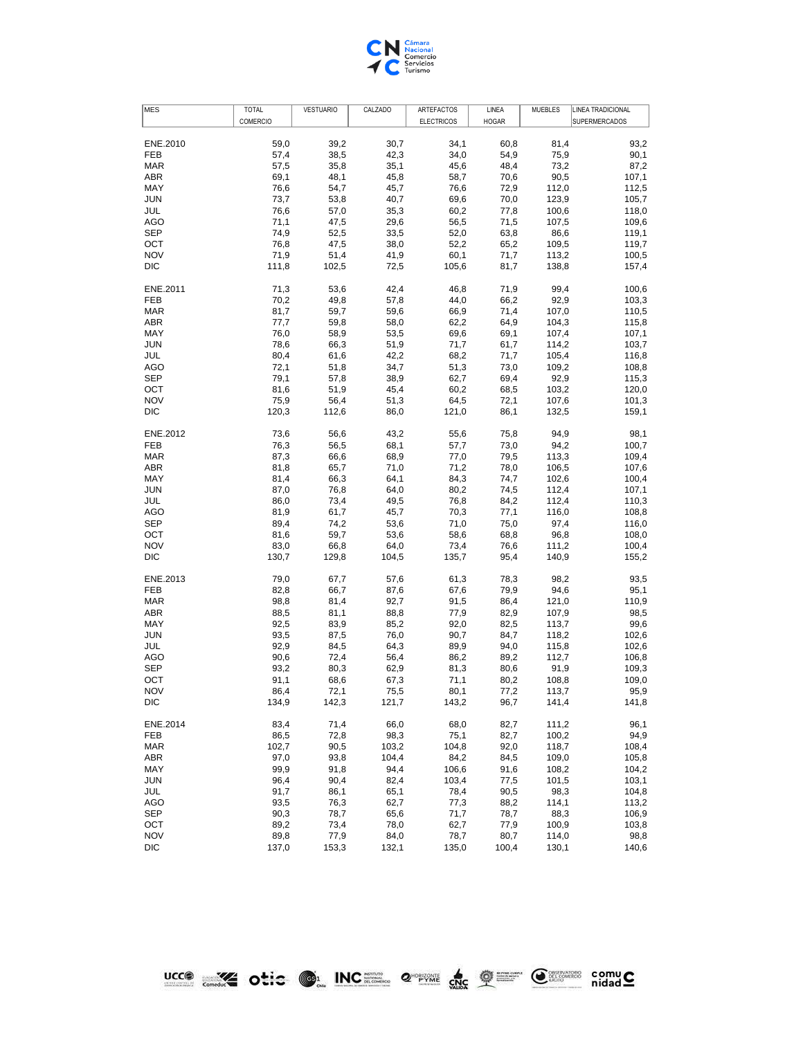

| <b>MES</b>        | <b>TOTAL</b>  | <b>VESTUARIO</b> | CALZADO       | ARTEFACTOS        | LINEA        | <b>MUEBLES</b> | LINEA TRADICIONAL    |
|-------------------|---------------|------------------|---------------|-------------------|--------------|----------------|----------------------|
|                   | COMERCIO      |                  |               | <b>ELECTRICOS</b> | <b>HOGAR</b> |                | <b>SUPERMERCADOS</b> |
| ENE.2010          | 59,0          | 39,2             | 30,7          | 34,1              | 60,8         | 81,4           | 93,2                 |
| FEB               | 57,4          | 38,5             | 42,3          | 34,0              | 54,9         | 75,9           | 90,1                 |
| <b>MAR</b>        | 57,5          | 35,8             | 35,1          | 45,6              | 48,4         | 73,2           | 87,2                 |
| ABR               | 69,1          | 48,1             | 45,8          | 58,7              | 70,6         | 90,5           | 107,1                |
| MAY               | 76,6          | 54,7             | 45,7          | 76,6              | 72,9         | 112,0          | 112,5                |
| <b>JUN</b>        | 73,7          | 53,8             | 40,7          | 69,6              | 70,0         | 123,9          | 105,7                |
| JUL               | 76,6          | 57,0             | 35,3          | 60,2              | 77,8         | 100,6          | 118,0                |
| AGO               | 71,1          | 47,5             | 29,6          | 56,5              | 71,5         | 107,5          | 109,6                |
| <b>SEP</b>        | 74,9          | 52,5             | 33,5          | 52,0              | 63,8         | 86,6           | 119,1                |
| OCT               | 76,8          | 47,5             | 38,0          | 52,2              | 65,2         | 109,5          | 119,7                |
| <b>NOV</b>        | 71,9          | 51,4             | 41,9          | 60,1              | 71,7         | 113,2          | 100,5                |
| DIC               | 111,8         | 102,5            | 72,5          | 105,6             | 81,7         | 138,8          | 157,4                |
| ENE.2011          | 71,3          | 53,6             | 42,4          | 46,8              | 71,9         | 99,4           | 100,6                |
| FEB               | 70,2          | 49,8             |               |                   | 66,2         |                |                      |
| <b>MAR</b>        | 81,7          |                  | 57,8<br>59,6  | 44,0              |              | 92,9           | 103,3                |
|                   |               | 59,7             |               | 66,9              | 71,4         | 107,0          | 110,5                |
| ABR               | 77,7          | 59,8             | 58,0          | 62,2              | 64,9         | 104,3          | 115,8                |
| MAY               | 76,0          | 58,9             | 53,5          | 69,6              | 69,1         | 107,4          | 107,1                |
| <b>JUN</b>        | 78,6          | 66,3             | 51,9          | 71,7              | 61,7         | 114,2          | 103,7                |
| JUL               | 80,4          | 61,6             | 42,2          | 68,2              | 71,7         | 105,4          | 116,8                |
| AGO               | 72,1          | 51,8             | 34,7          | 51,3              | 73,0         | 109,2          | 108,8                |
| <b>SEP</b>        | 79,1          | 57,8             | 38,9          | 62,7              | 69,4         | 92,9           | 115,3                |
| OCT               | 81,6          | 51,9             | 45,4          | 60,2              | 68,5         | 103,2          | 120,0                |
| <b>NOV</b>        | 75,9          | 56,4             | 51,3          | 64,5              | 72,1         | 107,6          | 101,3                |
| DIC               | 120,3         | 112,6            | 86,0          | 121,0             | 86,1         | 132,5          | 159,1                |
| ENE.2012          | 73,6          | 56,6             | 43,2          | 55,6              | 75,8         | 94,9           | 98,1                 |
| FEB               | 76,3          | 56,5             | 68,1          | 57,7              | 73,0         | 94,2           | 100,7                |
| <b>MAR</b>        | 87,3          | 66,6             | 68,9          | 77,0              | 79,5         | 113,3          | 109,4                |
| ABR               | 81,8          | 65,7             | 71,0          | 71,2              | 78,0         | 106,5          | 107,6                |
| MAY               | 81,4          | 66,3             | 64,1          | 84,3              | 74,7         | 102,6          | 100,4                |
| <b>JUN</b>        | 87,0          | 76,8             | 64,0          | 80,2              | 74,5         | 112,4          | 107,1                |
| JUL               | 86,0          | 73,4             | 49,5          | 76,8              | 84,2         | 112,4          | 110,3                |
| AGO               | 81,9          | 61,7             | 45,7          | 70,3              | 77,1         | 116,0          | 108,8                |
| <b>SEP</b>        | 89,4          | 74,2             | 53,6          | 71,0              | 75,0         | 97,4           | 116,0                |
| OCT               | 81,6          | 59,7             | 53,6          | 58,6              | 68,8         | 96,8           | 108,0                |
| <b>NOV</b><br>DIC | 83,0<br>130,7 | 66,8<br>129,8    | 64,0<br>104,5 | 73,4<br>135,7     | 76,6<br>95,4 | 111,2<br>140,9 | 100,4<br>155,2       |
|                   |               |                  |               |                   |              |                |                      |
| ENE.2013          | 79,0          | 67,7             | 57,6          | 61,3              | 78,3         | 98,2           | 93,5                 |
| FEB               | 82,8          | 66,7             | 87,6          | 67,6              | 79,9         | 94,6           | 95,1                 |
| <b>MAR</b>        | 98,8          | 81,4             | 92,7          | 91,5              | 86,4         | 121,0          | 110,9                |
| ABR               | 88,5          | 81,1             | 88,8          | 77,9              | 82,9         | 107,9          | 98,5                 |
| MAY               | 92,5          | 83,9             | 85,2          | 92,0              | 82,5         | 113,7          | 99,6                 |
| <b>JUN</b>        | 93,5          | 87,5             | 76,0          | 90,7              | 84,7         | 118,2          | 102,6                |
| JUL               | 92,9          | 84,5             | 64,3          | 89,9              | 94,0         | 115,8          | 102,6                |
| AGO               | 90,6          | 72,4             | 56,4          | 86,2              | 89,2         | 112,7          | 106,8                |
| <b>SEP</b>        | 93,2          | 80,3             | 62,9          | 81,3              | 80,6         | 91,9           | 109,3                |
| OCT               | 91,1          | 68,6             | 67,3          | 71,1              | 80,2         | 108,8          | 109,0                |
| <b>NOV</b>        | 86,4          | 72,1             | 75,5          | 80,1              | 77,2         | 113,7          | 95,9                 |
| DIC               | 134,9         | 142,3            | 121,7         | 143,2             | 96,7         | 141,4          | 141,8                |
| ENE.2014          | 83,4          | 71,4             | 66,0          | 68,0              | 82,7         | 111,2          | 96,1                 |
| FEB               | 86,5          | 72,8             | 98,3          | 75,1              | 82,7         | 100,2          | 94,9                 |
| <b>MAR</b>        | 102,7         | 90,5             | 103,2         | 104,8             | 92,0         | 118,7          | 108,4                |
| ABR               | 97,0          | 93,8             | 104,4         | 84,2              | 84,5         | 109,0          | 105,8                |
| MAY               | 99,9          | 91,8             | 94,4          | 106,6             | 91,6         | 108,2          | 104,2                |
| <b>JUN</b>        | 96,4          | 90,4             | 82,4          | 103,4             | 77,5         | 101,5          | 103,1                |
| JUL               | 91,7          | 86,1             | 65,1          | 78,4              | 90,5         | 98,3           | 104,8                |
| <b>AGO</b>        | 93,5          | 76,3             | 62,7          | 77,3              | 88,2         | 114,1          | 113,2                |
| <b>SEP</b>        | 90,3          | 78,7             | 65,6          | 71,7              | 78,7         | 88,3           | 106,9                |
| OCT               | 89,2          | 73,4             | 78,0          | 62,7              | 77,9         | 100,9          | 103,8                |
| <b>NOV</b>        | 89,8          | 77,9             | 84,0          | 78,7              | 80,7         | 114,0          | 98,8                 |
| DIC               | 137,0         | 153,3            | 132,1         | 135,0             | 100,4        | 130,1          | 140,6                |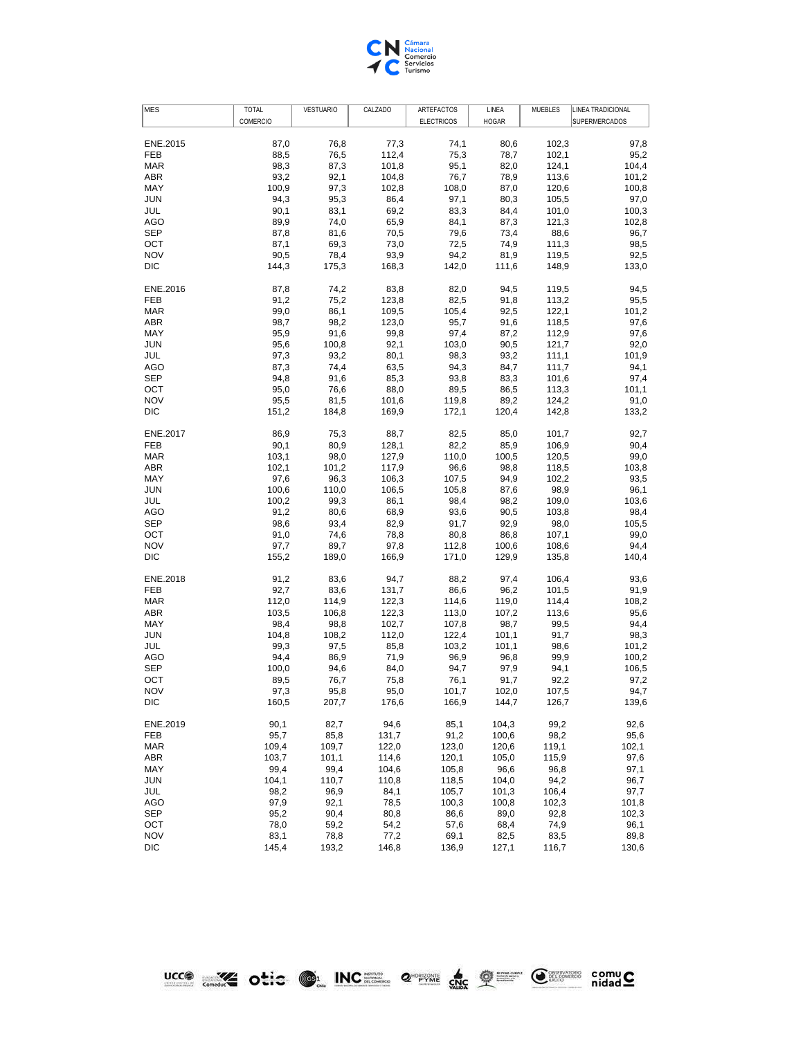

| COMERCIO<br><b>ELECTRICOS</b><br><b>HOGAR</b><br><b>SUPERMERCADOS</b><br>ENE.2015<br>87,0<br>76,8<br>77,3<br>74,1<br>80,6<br>102,3<br>97,8<br>112,4<br>102,1<br>FEB<br>88,5<br>76,5<br>75,3<br>78,7<br>95,2<br><b>MAR</b><br>98,3<br>101,8<br>95,1<br>124,1<br>104,4<br>87,3<br>82,0<br>ABR<br>93,2<br>92,1<br>104,8<br>76,7<br>78,9<br>113,6<br>101,2<br>MAY<br>100,9<br>108,0<br>100,8<br>97,3<br>102,8<br>87,0<br>120,6<br><b>JUN</b><br>86,4<br>97,0<br>94,3<br>95,3<br>97,1<br>80,3<br>105,5<br>JUL<br>90,1<br>83,1<br>69,2<br>83,3<br>84,4<br>101,0<br>100,3<br>AGO<br>89,9<br>74,0<br>65,9<br>84,1<br>87,3<br>121,3<br>102,8<br><b>SEP</b><br>87,8<br>81,6<br>70,5<br>79,6<br>73,4<br>88,6<br>96,7<br>OCT<br>87,1<br>69,3<br>73,0<br>72,5<br>74,9<br>111,3<br>98,5<br><b>NOV</b><br>90,5<br>78,4<br>93,9<br>94,2<br>81,9<br>119,5<br>92,5<br>DIC<br>144,3<br>175,3<br>168,3<br>142,0<br>111,6<br>148,9<br>133,0<br>ENE.2016<br>87,8<br>74,2<br>83,8<br>82,0<br>94,5<br>119,5<br>94,5<br>FEB<br>91,2<br>75,2<br>123,8<br>82,5<br>91,8<br>113,2<br>95,5<br><b>MAR</b><br>99,0<br>86,1<br>109,5<br>105,4<br>92,5<br>122,1<br>101,2<br>ABR<br>98,7<br>98,2<br>123,0<br>95,7<br>91,6<br>118,5<br>97,6<br>MAY<br>95,9<br>91,6<br>99,8<br>97,4<br>87,2<br>112,9<br>97,6<br><b>JUN</b><br>92,1<br>95,6<br>100,8<br>103,0<br>90,5<br>121,7<br>92,0<br>JUL<br>97,3<br>93,2<br>80,1<br>98,3<br>93,2<br>111,1<br>101,9<br><b>AGO</b><br>87,3<br>74,4<br>63,5<br>94,3<br>84,7<br>94,1<br>111,7<br><b>SEP</b><br>94,8<br>85,3<br>93,8<br>83,3<br>101,6<br>97,4<br>91,6<br>OCT<br>95,0<br>76,6<br>88,0<br>89,5<br>86,5<br>113,3<br>101,1<br><b>NOV</b><br>89,2<br>95,5<br>81,5<br>101,6<br>119,8<br>124,2<br>91,0<br>DIC<br>151,2<br>184,8<br>169,9<br>172,1<br>120,4<br>142,8<br>ENE.2017<br>86,9<br>75,3<br>88,7<br>82,5<br>85,0<br>101,7<br>92,7<br>FEB<br>90,1<br>80,9<br>128,1<br>82,2<br>85,9<br>106,9<br>90,4<br><b>MAR</b><br>99,0<br>103,1<br>98,0<br>127,9<br>110,0<br>100,5<br>120,5<br>ABR<br>102,1<br>101,2<br>117,9<br>96,6<br>98,8<br>118,5<br>103,8<br>MAY<br>93,5<br>97,6<br>96,3<br>106,3<br>107,5<br>94,9<br>102,2<br><b>JUN</b><br>100,6<br>110,0<br>106,5<br>105,8<br>87,6<br>98,9<br>96,1<br>100,2<br>JUL<br>99,3<br>86,1<br>98,4<br>98,2<br>109,0<br>103,6<br>98,4<br>AGO<br>91,2<br>68,9<br>93,6<br>90,5<br>103,8<br>80,6<br><b>SEP</b><br>98,6<br>93,4<br>82,9<br>91,7<br>92,9<br>98,0<br>105,5<br>OCT<br>91,0<br>74,6<br>78,8<br>80,8<br>86,8<br>107,1<br>99,0<br><b>NOV</b><br>97,7<br>89,7<br>97,8<br>112,8<br>100,6<br>108,6<br>94,4<br>DIC<br>155,2<br>129,9<br>135,8<br>140,4<br>189,0<br>166,9<br>171,0<br>83,6<br>94,7<br>97,4<br>106,4<br>93,6<br>ENE.2018<br>91,2<br>88,2<br>FEB<br>92,7<br>83,6<br>131,7<br>86,6<br>96,2<br>101,5<br>91,9<br><b>MAR</b><br>112,0<br>114,9<br>122,3<br>114,6<br>119,0<br>114,4<br>108,2<br>ABR<br>95,6<br>103,5<br>106,8<br>122,3<br>113,0<br>107,2<br>113,6<br>MAY<br>98,4<br>98,8<br>102,7<br>107,8<br>98,7<br>99,5<br>94,4<br><b>JUN</b><br>104,8<br>108,2<br>112,0<br>122,4<br>101,1<br>91,7<br>98,3<br>JUL<br>99,3<br>101,1<br>98,6<br>101,2<br>97,5<br>85,8<br>103,2<br><b>AGO</b><br>94,4<br>86,9<br>71,9<br>96,9<br>96,8<br>99,9<br>100,2<br><b>SEP</b><br>100,0<br>94,6<br>84,0<br>94,7<br>97,9<br>94,1<br>106,5<br>OCT<br>89,5<br>76,7<br>75,8<br>76,1<br>91,7<br>92,2<br>97,2<br><b>NOV</b><br>101,7<br>102,0<br>107,5<br>94,7<br>97,3<br>95,8<br>95,0<br>DIC<br>160,5<br>207,7<br>176,6<br>166,9<br>144,7<br>126,7<br>90,1<br>82,7<br>94,6<br>85,1<br>104,3<br>99,2<br>92,6<br>ENE.2019<br>98,2<br>FEB<br>95,7<br>85,8<br>131,7<br>91,2<br>100,6<br>95,6<br><b>MAR</b><br>102,1<br>109,4<br>109,7<br>122,0<br>123,0<br>120,6<br>119,1<br>ABR<br>103,7<br>101,1<br>114,6<br>120,1<br>105,0<br>115,9<br>97,6<br>99,4<br>99,4<br>96,6<br>MAY<br>104,6<br>105,8<br>96,8<br>97,1<br><b>JUN</b><br>104,1<br>110,7<br>110,8<br>118,5<br>104,0<br>94,2<br>96,7<br>106,4<br>JUL<br>98,2<br>96,9<br>84,1<br>105,7<br>101,3<br>97,7<br><b>AGO</b><br>97,9<br>78,5<br>101,8<br>92,1<br>100,3<br>100,8<br>102,3<br><b>SEP</b><br>95,2<br>90,4<br>80,8<br>86,6<br>89,0<br>92,8<br>102,3<br>OCT<br>78,0<br>68,4<br>74,9<br>59,2<br>54,2<br>57,6<br>96,1<br><b>NOV</b><br>83,1<br>77,2<br>82,5<br>78,8<br>69,1<br>83,5<br>89,8<br>DIC<br>145,4<br>193,2<br>146,8<br>136,9<br>127,1<br>116,7<br>130,6 | <b>MES</b> | TOTAL | <b>VESTUARIO</b> | CALZADO | ARTEFACTOS | LINEA | MUEBLES | LINEA TRADICIONAL |
|-------------------------------------------------------------------------------------------------------------------------------------------------------------------------------------------------------------------------------------------------------------------------------------------------------------------------------------------------------------------------------------------------------------------------------------------------------------------------------------------------------------------------------------------------------------------------------------------------------------------------------------------------------------------------------------------------------------------------------------------------------------------------------------------------------------------------------------------------------------------------------------------------------------------------------------------------------------------------------------------------------------------------------------------------------------------------------------------------------------------------------------------------------------------------------------------------------------------------------------------------------------------------------------------------------------------------------------------------------------------------------------------------------------------------------------------------------------------------------------------------------------------------------------------------------------------------------------------------------------------------------------------------------------------------------------------------------------------------------------------------------------------------------------------------------------------------------------------------------------------------------------------------------------------------------------------------------------------------------------------------------------------------------------------------------------------------------------------------------------------------------------------------------------------------------------------------------------------------------------------------------------------------------------------------------------------------------------------------------------------------------------------------------------------------------------------------------------------------------------------------------------------------------------------------------------------------------------------------------------------------------------------------------------------------------------------------------------------------------------------------------------------------------------------------------------------------------------------------------------------------------------------------------------------------------------------------------------------------------------------------------------------------------------------------------------------------------------------------------------------------------------------------------------------------------------------------------------------------------------------------------------------------------------------------------------------------------------------------------------------------------------------------------------------------------------------------------------------------------------------------------------------------------------------------------------------------------------------------------------------------------------------------------------------------------------------------------------------------------------------------------------------------------------------------------------------------------------------------------------------------------------------------------------------------------------------------------------------------------------------------------------------------------------------------------------------------------------------------------------------------------------------------------------------------------------------------------------------------------------------------------------------------------------------------------------------------------------------------------------|------------|-------|------------------|---------|------------|-------|---------|-------------------|
|                                                                                                                                                                                                                                                                                                                                                                                                                                                                                                                                                                                                                                                                                                                                                                                                                                                                                                                                                                                                                                                                                                                                                                                                                                                                                                                                                                                                                                                                                                                                                                                                                                                                                                                                                                                                                                                                                                                                                                                                                                                                                                                                                                                                                                                                                                                                                                                                                                                                                                                                                                                                                                                                                                                                                                                                                                                                                                                                                                                                                                                                                                                                                                                                                                                                                                                                                                                                                                                                                                                                                                                                                                                                                                                                                                                                                                                                                                                                                                                                                                                                                                                                                                                                                                                                                                                                                             |            |       |                  |         |            |       |         |                   |
|                                                                                                                                                                                                                                                                                                                                                                                                                                                                                                                                                                                                                                                                                                                                                                                                                                                                                                                                                                                                                                                                                                                                                                                                                                                                                                                                                                                                                                                                                                                                                                                                                                                                                                                                                                                                                                                                                                                                                                                                                                                                                                                                                                                                                                                                                                                                                                                                                                                                                                                                                                                                                                                                                                                                                                                                                                                                                                                                                                                                                                                                                                                                                                                                                                                                                                                                                                                                                                                                                                                                                                                                                                                                                                                                                                                                                                                                                                                                                                                                                                                                                                                                                                                                                                                                                                                                                             |            |       |                  |         |            |       |         |                   |
|                                                                                                                                                                                                                                                                                                                                                                                                                                                                                                                                                                                                                                                                                                                                                                                                                                                                                                                                                                                                                                                                                                                                                                                                                                                                                                                                                                                                                                                                                                                                                                                                                                                                                                                                                                                                                                                                                                                                                                                                                                                                                                                                                                                                                                                                                                                                                                                                                                                                                                                                                                                                                                                                                                                                                                                                                                                                                                                                                                                                                                                                                                                                                                                                                                                                                                                                                                                                                                                                                                                                                                                                                                                                                                                                                                                                                                                                                                                                                                                                                                                                                                                                                                                                                                                                                                                                                             |            |       |                  |         |            |       |         |                   |
|                                                                                                                                                                                                                                                                                                                                                                                                                                                                                                                                                                                                                                                                                                                                                                                                                                                                                                                                                                                                                                                                                                                                                                                                                                                                                                                                                                                                                                                                                                                                                                                                                                                                                                                                                                                                                                                                                                                                                                                                                                                                                                                                                                                                                                                                                                                                                                                                                                                                                                                                                                                                                                                                                                                                                                                                                                                                                                                                                                                                                                                                                                                                                                                                                                                                                                                                                                                                                                                                                                                                                                                                                                                                                                                                                                                                                                                                                                                                                                                                                                                                                                                                                                                                                                                                                                                                                             |            |       |                  |         |            |       |         |                   |
|                                                                                                                                                                                                                                                                                                                                                                                                                                                                                                                                                                                                                                                                                                                                                                                                                                                                                                                                                                                                                                                                                                                                                                                                                                                                                                                                                                                                                                                                                                                                                                                                                                                                                                                                                                                                                                                                                                                                                                                                                                                                                                                                                                                                                                                                                                                                                                                                                                                                                                                                                                                                                                                                                                                                                                                                                                                                                                                                                                                                                                                                                                                                                                                                                                                                                                                                                                                                                                                                                                                                                                                                                                                                                                                                                                                                                                                                                                                                                                                                                                                                                                                                                                                                                                                                                                                                                             |            |       |                  |         |            |       |         |                   |
|                                                                                                                                                                                                                                                                                                                                                                                                                                                                                                                                                                                                                                                                                                                                                                                                                                                                                                                                                                                                                                                                                                                                                                                                                                                                                                                                                                                                                                                                                                                                                                                                                                                                                                                                                                                                                                                                                                                                                                                                                                                                                                                                                                                                                                                                                                                                                                                                                                                                                                                                                                                                                                                                                                                                                                                                                                                                                                                                                                                                                                                                                                                                                                                                                                                                                                                                                                                                                                                                                                                                                                                                                                                                                                                                                                                                                                                                                                                                                                                                                                                                                                                                                                                                                                                                                                                                                             |            |       |                  |         |            |       |         |                   |
|                                                                                                                                                                                                                                                                                                                                                                                                                                                                                                                                                                                                                                                                                                                                                                                                                                                                                                                                                                                                                                                                                                                                                                                                                                                                                                                                                                                                                                                                                                                                                                                                                                                                                                                                                                                                                                                                                                                                                                                                                                                                                                                                                                                                                                                                                                                                                                                                                                                                                                                                                                                                                                                                                                                                                                                                                                                                                                                                                                                                                                                                                                                                                                                                                                                                                                                                                                                                                                                                                                                                                                                                                                                                                                                                                                                                                                                                                                                                                                                                                                                                                                                                                                                                                                                                                                                                                             |            |       |                  |         |            |       |         |                   |
|                                                                                                                                                                                                                                                                                                                                                                                                                                                                                                                                                                                                                                                                                                                                                                                                                                                                                                                                                                                                                                                                                                                                                                                                                                                                                                                                                                                                                                                                                                                                                                                                                                                                                                                                                                                                                                                                                                                                                                                                                                                                                                                                                                                                                                                                                                                                                                                                                                                                                                                                                                                                                                                                                                                                                                                                                                                                                                                                                                                                                                                                                                                                                                                                                                                                                                                                                                                                                                                                                                                                                                                                                                                                                                                                                                                                                                                                                                                                                                                                                                                                                                                                                                                                                                                                                                                                                             |            |       |                  |         |            |       |         |                   |
|                                                                                                                                                                                                                                                                                                                                                                                                                                                                                                                                                                                                                                                                                                                                                                                                                                                                                                                                                                                                                                                                                                                                                                                                                                                                                                                                                                                                                                                                                                                                                                                                                                                                                                                                                                                                                                                                                                                                                                                                                                                                                                                                                                                                                                                                                                                                                                                                                                                                                                                                                                                                                                                                                                                                                                                                                                                                                                                                                                                                                                                                                                                                                                                                                                                                                                                                                                                                                                                                                                                                                                                                                                                                                                                                                                                                                                                                                                                                                                                                                                                                                                                                                                                                                                                                                                                                                             |            |       |                  |         |            |       |         |                   |
|                                                                                                                                                                                                                                                                                                                                                                                                                                                                                                                                                                                                                                                                                                                                                                                                                                                                                                                                                                                                                                                                                                                                                                                                                                                                                                                                                                                                                                                                                                                                                                                                                                                                                                                                                                                                                                                                                                                                                                                                                                                                                                                                                                                                                                                                                                                                                                                                                                                                                                                                                                                                                                                                                                                                                                                                                                                                                                                                                                                                                                                                                                                                                                                                                                                                                                                                                                                                                                                                                                                                                                                                                                                                                                                                                                                                                                                                                                                                                                                                                                                                                                                                                                                                                                                                                                                                                             |            |       |                  |         |            |       |         |                   |
|                                                                                                                                                                                                                                                                                                                                                                                                                                                                                                                                                                                                                                                                                                                                                                                                                                                                                                                                                                                                                                                                                                                                                                                                                                                                                                                                                                                                                                                                                                                                                                                                                                                                                                                                                                                                                                                                                                                                                                                                                                                                                                                                                                                                                                                                                                                                                                                                                                                                                                                                                                                                                                                                                                                                                                                                                                                                                                                                                                                                                                                                                                                                                                                                                                                                                                                                                                                                                                                                                                                                                                                                                                                                                                                                                                                                                                                                                                                                                                                                                                                                                                                                                                                                                                                                                                                                                             |            |       |                  |         |            |       |         |                   |
|                                                                                                                                                                                                                                                                                                                                                                                                                                                                                                                                                                                                                                                                                                                                                                                                                                                                                                                                                                                                                                                                                                                                                                                                                                                                                                                                                                                                                                                                                                                                                                                                                                                                                                                                                                                                                                                                                                                                                                                                                                                                                                                                                                                                                                                                                                                                                                                                                                                                                                                                                                                                                                                                                                                                                                                                                                                                                                                                                                                                                                                                                                                                                                                                                                                                                                                                                                                                                                                                                                                                                                                                                                                                                                                                                                                                                                                                                                                                                                                                                                                                                                                                                                                                                                                                                                                                                             |            |       |                  |         |            |       |         |                   |
|                                                                                                                                                                                                                                                                                                                                                                                                                                                                                                                                                                                                                                                                                                                                                                                                                                                                                                                                                                                                                                                                                                                                                                                                                                                                                                                                                                                                                                                                                                                                                                                                                                                                                                                                                                                                                                                                                                                                                                                                                                                                                                                                                                                                                                                                                                                                                                                                                                                                                                                                                                                                                                                                                                                                                                                                                                                                                                                                                                                                                                                                                                                                                                                                                                                                                                                                                                                                                                                                                                                                                                                                                                                                                                                                                                                                                                                                                                                                                                                                                                                                                                                                                                                                                                                                                                                                                             |            |       |                  |         |            |       |         |                   |
|                                                                                                                                                                                                                                                                                                                                                                                                                                                                                                                                                                                                                                                                                                                                                                                                                                                                                                                                                                                                                                                                                                                                                                                                                                                                                                                                                                                                                                                                                                                                                                                                                                                                                                                                                                                                                                                                                                                                                                                                                                                                                                                                                                                                                                                                                                                                                                                                                                                                                                                                                                                                                                                                                                                                                                                                                                                                                                                                                                                                                                                                                                                                                                                                                                                                                                                                                                                                                                                                                                                                                                                                                                                                                                                                                                                                                                                                                                                                                                                                                                                                                                                                                                                                                                                                                                                                                             |            |       |                  |         |            |       |         |                   |
|                                                                                                                                                                                                                                                                                                                                                                                                                                                                                                                                                                                                                                                                                                                                                                                                                                                                                                                                                                                                                                                                                                                                                                                                                                                                                                                                                                                                                                                                                                                                                                                                                                                                                                                                                                                                                                                                                                                                                                                                                                                                                                                                                                                                                                                                                                                                                                                                                                                                                                                                                                                                                                                                                                                                                                                                                                                                                                                                                                                                                                                                                                                                                                                                                                                                                                                                                                                                                                                                                                                                                                                                                                                                                                                                                                                                                                                                                                                                                                                                                                                                                                                                                                                                                                                                                                                                                             |            |       |                  |         |            |       |         |                   |
|                                                                                                                                                                                                                                                                                                                                                                                                                                                                                                                                                                                                                                                                                                                                                                                                                                                                                                                                                                                                                                                                                                                                                                                                                                                                                                                                                                                                                                                                                                                                                                                                                                                                                                                                                                                                                                                                                                                                                                                                                                                                                                                                                                                                                                                                                                                                                                                                                                                                                                                                                                                                                                                                                                                                                                                                                                                                                                                                                                                                                                                                                                                                                                                                                                                                                                                                                                                                                                                                                                                                                                                                                                                                                                                                                                                                                                                                                                                                                                                                                                                                                                                                                                                                                                                                                                                                                             |            |       |                  |         |            |       |         |                   |
|                                                                                                                                                                                                                                                                                                                                                                                                                                                                                                                                                                                                                                                                                                                                                                                                                                                                                                                                                                                                                                                                                                                                                                                                                                                                                                                                                                                                                                                                                                                                                                                                                                                                                                                                                                                                                                                                                                                                                                                                                                                                                                                                                                                                                                                                                                                                                                                                                                                                                                                                                                                                                                                                                                                                                                                                                                                                                                                                                                                                                                                                                                                                                                                                                                                                                                                                                                                                                                                                                                                                                                                                                                                                                                                                                                                                                                                                                                                                                                                                                                                                                                                                                                                                                                                                                                                                                             |            |       |                  |         |            |       |         |                   |
|                                                                                                                                                                                                                                                                                                                                                                                                                                                                                                                                                                                                                                                                                                                                                                                                                                                                                                                                                                                                                                                                                                                                                                                                                                                                                                                                                                                                                                                                                                                                                                                                                                                                                                                                                                                                                                                                                                                                                                                                                                                                                                                                                                                                                                                                                                                                                                                                                                                                                                                                                                                                                                                                                                                                                                                                                                                                                                                                                                                                                                                                                                                                                                                                                                                                                                                                                                                                                                                                                                                                                                                                                                                                                                                                                                                                                                                                                                                                                                                                                                                                                                                                                                                                                                                                                                                                                             |            |       |                  |         |            |       |         |                   |
|                                                                                                                                                                                                                                                                                                                                                                                                                                                                                                                                                                                                                                                                                                                                                                                                                                                                                                                                                                                                                                                                                                                                                                                                                                                                                                                                                                                                                                                                                                                                                                                                                                                                                                                                                                                                                                                                                                                                                                                                                                                                                                                                                                                                                                                                                                                                                                                                                                                                                                                                                                                                                                                                                                                                                                                                                                                                                                                                                                                                                                                                                                                                                                                                                                                                                                                                                                                                                                                                                                                                                                                                                                                                                                                                                                                                                                                                                                                                                                                                                                                                                                                                                                                                                                                                                                                                                             |            |       |                  |         |            |       |         |                   |
|                                                                                                                                                                                                                                                                                                                                                                                                                                                                                                                                                                                                                                                                                                                                                                                                                                                                                                                                                                                                                                                                                                                                                                                                                                                                                                                                                                                                                                                                                                                                                                                                                                                                                                                                                                                                                                                                                                                                                                                                                                                                                                                                                                                                                                                                                                                                                                                                                                                                                                                                                                                                                                                                                                                                                                                                                                                                                                                                                                                                                                                                                                                                                                                                                                                                                                                                                                                                                                                                                                                                                                                                                                                                                                                                                                                                                                                                                                                                                                                                                                                                                                                                                                                                                                                                                                                                                             |            |       |                  |         |            |       |         |                   |
|                                                                                                                                                                                                                                                                                                                                                                                                                                                                                                                                                                                                                                                                                                                                                                                                                                                                                                                                                                                                                                                                                                                                                                                                                                                                                                                                                                                                                                                                                                                                                                                                                                                                                                                                                                                                                                                                                                                                                                                                                                                                                                                                                                                                                                                                                                                                                                                                                                                                                                                                                                                                                                                                                                                                                                                                                                                                                                                                                                                                                                                                                                                                                                                                                                                                                                                                                                                                                                                                                                                                                                                                                                                                                                                                                                                                                                                                                                                                                                                                                                                                                                                                                                                                                                                                                                                                                             |            |       |                  |         |            |       |         |                   |
|                                                                                                                                                                                                                                                                                                                                                                                                                                                                                                                                                                                                                                                                                                                                                                                                                                                                                                                                                                                                                                                                                                                                                                                                                                                                                                                                                                                                                                                                                                                                                                                                                                                                                                                                                                                                                                                                                                                                                                                                                                                                                                                                                                                                                                                                                                                                                                                                                                                                                                                                                                                                                                                                                                                                                                                                                                                                                                                                                                                                                                                                                                                                                                                                                                                                                                                                                                                                                                                                                                                                                                                                                                                                                                                                                                                                                                                                                                                                                                                                                                                                                                                                                                                                                                                                                                                                                             |            |       |                  |         |            |       |         |                   |
|                                                                                                                                                                                                                                                                                                                                                                                                                                                                                                                                                                                                                                                                                                                                                                                                                                                                                                                                                                                                                                                                                                                                                                                                                                                                                                                                                                                                                                                                                                                                                                                                                                                                                                                                                                                                                                                                                                                                                                                                                                                                                                                                                                                                                                                                                                                                                                                                                                                                                                                                                                                                                                                                                                                                                                                                                                                                                                                                                                                                                                                                                                                                                                                                                                                                                                                                                                                                                                                                                                                                                                                                                                                                                                                                                                                                                                                                                                                                                                                                                                                                                                                                                                                                                                                                                                                                                             |            |       |                  |         |            |       |         |                   |
|                                                                                                                                                                                                                                                                                                                                                                                                                                                                                                                                                                                                                                                                                                                                                                                                                                                                                                                                                                                                                                                                                                                                                                                                                                                                                                                                                                                                                                                                                                                                                                                                                                                                                                                                                                                                                                                                                                                                                                                                                                                                                                                                                                                                                                                                                                                                                                                                                                                                                                                                                                                                                                                                                                                                                                                                                                                                                                                                                                                                                                                                                                                                                                                                                                                                                                                                                                                                                                                                                                                                                                                                                                                                                                                                                                                                                                                                                                                                                                                                                                                                                                                                                                                                                                                                                                                                                             |            |       |                  |         |            |       |         |                   |
|                                                                                                                                                                                                                                                                                                                                                                                                                                                                                                                                                                                                                                                                                                                                                                                                                                                                                                                                                                                                                                                                                                                                                                                                                                                                                                                                                                                                                                                                                                                                                                                                                                                                                                                                                                                                                                                                                                                                                                                                                                                                                                                                                                                                                                                                                                                                                                                                                                                                                                                                                                                                                                                                                                                                                                                                                                                                                                                                                                                                                                                                                                                                                                                                                                                                                                                                                                                                                                                                                                                                                                                                                                                                                                                                                                                                                                                                                                                                                                                                                                                                                                                                                                                                                                                                                                                                                             |            |       |                  |         |            |       |         |                   |
|                                                                                                                                                                                                                                                                                                                                                                                                                                                                                                                                                                                                                                                                                                                                                                                                                                                                                                                                                                                                                                                                                                                                                                                                                                                                                                                                                                                                                                                                                                                                                                                                                                                                                                                                                                                                                                                                                                                                                                                                                                                                                                                                                                                                                                                                                                                                                                                                                                                                                                                                                                                                                                                                                                                                                                                                                                                                                                                                                                                                                                                                                                                                                                                                                                                                                                                                                                                                                                                                                                                                                                                                                                                                                                                                                                                                                                                                                                                                                                                                                                                                                                                                                                                                                                                                                                                                                             |            |       |                  |         |            |       |         |                   |
|                                                                                                                                                                                                                                                                                                                                                                                                                                                                                                                                                                                                                                                                                                                                                                                                                                                                                                                                                                                                                                                                                                                                                                                                                                                                                                                                                                                                                                                                                                                                                                                                                                                                                                                                                                                                                                                                                                                                                                                                                                                                                                                                                                                                                                                                                                                                                                                                                                                                                                                                                                                                                                                                                                                                                                                                                                                                                                                                                                                                                                                                                                                                                                                                                                                                                                                                                                                                                                                                                                                                                                                                                                                                                                                                                                                                                                                                                                                                                                                                                                                                                                                                                                                                                                                                                                                                                             |            |       |                  |         |            |       |         |                   |
|                                                                                                                                                                                                                                                                                                                                                                                                                                                                                                                                                                                                                                                                                                                                                                                                                                                                                                                                                                                                                                                                                                                                                                                                                                                                                                                                                                                                                                                                                                                                                                                                                                                                                                                                                                                                                                                                                                                                                                                                                                                                                                                                                                                                                                                                                                                                                                                                                                                                                                                                                                                                                                                                                                                                                                                                                                                                                                                                                                                                                                                                                                                                                                                                                                                                                                                                                                                                                                                                                                                                                                                                                                                                                                                                                                                                                                                                                                                                                                                                                                                                                                                                                                                                                                                                                                                                                             |            |       |                  |         |            |       |         | 133,2             |
|                                                                                                                                                                                                                                                                                                                                                                                                                                                                                                                                                                                                                                                                                                                                                                                                                                                                                                                                                                                                                                                                                                                                                                                                                                                                                                                                                                                                                                                                                                                                                                                                                                                                                                                                                                                                                                                                                                                                                                                                                                                                                                                                                                                                                                                                                                                                                                                                                                                                                                                                                                                                                                                                                                                                                                                                                                                                                                                                                                                                                                                                                                                                                                                                                                                                                                                                                                                                                                                                                                                                                                                                                                                                                                                                                                                                                                                                                                                                                                                                                                                                                                                                                                                                                                                                                                                                                             |            |       |                  |         |            |       |         |                   |
|                                                                                                                                                                                                                                                                                                                                                                                                                                                                                                                                                                                                                                                                                                                                                                                                                                                                                                                                                                                                                                                                                                                                                                                                                                                                                                                                                                                                                                                                                                                                                                                                                                                                                                                                                                                                                                                                                                                                                                                                                                                                                                                                                                                                                                                                                                                                                                                                                                                                                                                                                                                                                                                                                                                                                                                                                                                                                                                                                                                                                                                                                                                                                                                                                                                                                                                                                                                                                                                                                                                                                                                                                                                                                                                                                                                                                                                                                                                                                                                                                                                                                                                                                                                                                                                                                                                                                             |            |       |                  |         |            |       |         |                   |
|                                                                                                                                                                                                                                                                                                                                                                                                                                                                                                                                                                                                                                                                                                                                                                                                                                                                                                                                                                                                                                                                                                                                                                                                                                                                                                                                                                                                                                                                                                                                                                                                                                                                                                                                                                                                                                                                                                                                                                                                                                                                                                                                                                                                                                                                                                                                                                                                                                                                                                                                                                                                                                                                                                                                                                                                                                                                                                                                                                                                                                                                                                                                                                                                                                                                                                                                                                                                                                                                                                                                                                                                                                                                                                                                                                                                                                                                                                                                                                                                                                                                                                                                                                                                                                                                                                                                                             |            |       |                  |         |            |       |         |                   |
|                                                                                                                                                                                                                                                                                                                                                                                                                                                                                                                                                                                                                                                                                                                                                                                                                                                                                                                                                                                                                                                                                                                                                                                                                                                                                                                                                                                                                                                                                                                                                                                                                                                                                                                                                                                                                                                                                                                                                                                                                                                                                                                                                                                                                                                                                                                                                                                                                                                                                                                                                                                                                                                                                                                                                                                                                                                                                                                                                                                                                                                                                                                                                                                                                                                                                                                                                                                                                                                                                                                                                                                                                                                                                                                                                                                                                                                                                                                                                                                                                                                                                                                                                                                                                                                                                                                                                             |            |       |                  |         |            |       |         |                   |
|                                                                                                                                                                                                                                                                                                                                                                                                                                                                                                                                                                                                                                                                                                                                                                                                                                                                                                                                                                                                                                                                                                                                                                                                                                                                                                                                                                                                                                                                                                                                                                                                                                                                                                                                                                                                                                                                                                                                                                                                                                                                                                                                                                                                                                                                                                                                                                                                                                                                                                                                                                                                                                                                                                                                                                                                                                                                                                                                                                                                                                                                                                                                                                                                                                                                                                                                                                                                                                                                                                                                                                                                                                                                                                                                                                                                                                                                                                                                                                                                                                                                                                                                                                                                                                                                                                                                                             |            |       |                  |         |            |       |         |                   |
|                                                                                                                                                                                                                                                                                                                                                                                                                                                                                                                                                                                                                                                                                                                                                                                                                                                                                                                                                                                                                                                                                                                                                                                                                                                                                                                                                                                                                                                                                                                                                                                                                                                                                                                                                                                                                                                                                                                                                                                                                                                                                                                                                                                                                                                                                                                                                                                                                                                                                                                                                                                                                                                                                                                                                                                                                                                                                                                                                                                                                                                                                                                                                                                                                                                                                                                                                                                                                                                                                                                                                                                                                                                                                                                                                                                                                                                                                                                                                                                                                                                                                                                                                                                                                                                                                                                                                             |            |       |                  |         |            |       |         |                   |
|                                                                                                                                                                                                                                                                                                                                                                                                                                                                                                                                                                                                                                                                                                                                                                                                                                                                                                                                                                                                                                                                                                                                                                                                                                                                                                                                                                                                                                                                                                                                                                                                                                                                                                                                                                                                                                                                                                                                                                                                                                                                                                                                                                                                                                                                                                                                                                                                                                                                                                                                                                                                                                                                                                                                                                                                                                                                                                                                                                                                                                                                                                                                                                                                                                                                                                                                                                                                                                                                                                                                                                                                                                                                                                                                                                                                                                                                                                                                                                                                                                                                                                                                                                                                                                                                                                                                                             |            |       |                  |         |            |       |         |                   |
|                                                                                                                                                                                                                                                                                                                                                                                                                                                                                                                                                                                                                                                                                                                                                                                                                                                                                                                                                                                                                                                                                                                                                                                                                                                                                                                                                                                                                                                                                                                                                                                                                                                                                                                                                                                                                                                                                                                                                                                                                                                                                                                                                                                                                                                                                                                                                                                                                                                                                                                                                                                                                                                                                                                                                                                                                                                                                                                                                                                                                                                                                                                                                                                                                                                                                                                                                                                                                                                                                                                                                                                                                                                                                                                                                                                                                                                                                                                                                                                                                                                                                                                                                                                                                                                                                                                                                             |            |       |                  |         |            |       |         |                   |
|                                                                                                                                                                                                                                                                                                                                                                                                                                                                                                                                                                                                                                                                                                                                                                                                                                                                                                                                                                                                                                                                                                                                                                                                                                                                                                                                                                                                                                                                                                                                                                                                                                                                                                                                                                                                                                                                                                                                                                                                                                                                                                                                                                                                                                                                                                                                                                                                                                                                                                                                                                                                                                                                                                                                                                                                                                                                                                                                                                                                                                                                                                                                                                                                                                                                                                                                                                                                                                                                                                                                                                                                                                                                                                                                                                                                                                                                                                                                                                                                                                                                                                                                                                                                                                                                                                                                                             |            |       |                  |         |            |       |         |                   |
|                                                                                                                                                                                                                                                                                                                                                                                                                                                                                                                                                                                                                                                                                                                                                                                                                                                                                                                                                                                                                                                                                                                                                                                                                                                                                                                                                                                                                                                                                                                                                                                                                                                                                                                                                                                                                                                                                                                                                                                                                                                                                                                                                                                                                                                                                                                                                                                                                                                                                                                                                                                                                                                                                                                                                                                                                                                                                                                                                                                                                                                                                                                                                                                                                                                                                                                                                                                                                                                                                                                                                                                                                                                                                                                                                                                                                                                                                                                                                                                                                                                                                                                                                                                                                                                                                                                                                             |            |       |                  |         |            |       |         |                   |
|                                                                                                                                                                                                                                                                                                                                                                                                                                                                                                                                                                                                                                                                                                                                                                                                                                                                                                                                                                                                                                                                                                                                                                                                                                                                                                                                                                                                                                                                                                                                                                                                                                                                                                                                                                                                                                                                                                                                                                                                                                                                                                                                                                                                                                                                                                                                                                                                                                                                                                                                                                                                                                                                                                                                                                                                                                                                                                                                                                                                                                                                                                                                                                                                                                                                                                                                                                                                                                                                                                                                                                                                                                                                                                                                                                                                                                                                                                                                                                                                                                                                                                                                                                                                                                                                                                                                                             |            |       |                  |         |            |       |         |                   |
|                                                                                                                                                                                                                                                                                                                                                                                                                                                                                                                                                                                                                                                                                                                                                                                                                                                                                                                                                                                                                                                                                                                                                                                                                                                                                                                                                                                                                                                                                                                                                                                                                                                                                                                                                                                                                                                                                                                                                                                                                                                                                                                                                                                                                                                                                                                                                                                                                                                                                                                                                                                                                                                                                                                                                                                                                                                                                                                                                                                                                                                                                                                                                                                                                                                                                                                                                                                                                                                                                                                                                                                                                                                                                                                                                                                                                                                                                                                                                                                                                                                                                                                                                                                                                                                                                                                                                             |            |       |                  |         |            |       |         |                   |
|                                                                                                                                                                                                                                                                                                                                                                                                                                                                                                                                                                                                                                                                                                                                                                                                                                                                                                                                                                                                                                                                                                                                                                                                                                                                                                                                                                                                                                                                                                                                                                                                                                                                                                                                                                                                                                                                                                                                                                                                                                                                                                                                                                                                                                                                                                                                                                                                                                                                                                                                                                                                                                                                                                                                                                                                                                                                                                                                                                                                                                                                                                                                                                                                                                                                                                                                                                                                                                                                                                                                                                                                                                                                                                                                                                                                                                                                                                                                                                                                                                                                                                                                                                                                                                                                                                                                                             |            |       |                  |         |            |       |         |                   |
|                                                                                                                                                                                                                                                                                                                                                                                                                                                                                                                                                                                                                                                                                                                                                                                                                                                                                                                                                                                                                                                                                                                                                                                                                                                                                                                                                                                                                                                                                                                                                                                                                                                                                                                                                                                                                                                                                                                                                                                                                                                                                                                                                                                                                                                                                                                                                                                                                                                                                                                                                                                                                                                                                                                                                                                                                                                                                                                                                                                                                                                                                                                                                                                                                                                                                                                                                                                                                                                                                                                                                                                                                                                                                                                                                                                                                                                                                                                                                                                                                                                                                                                                                                                                                                                                                                                                                             |            |       |                  |         |            |       |         |                   |
|                                                                                                                                                                                                                                                                                                                                                                                                                                                                                                                                                                                                                                                                                                                                                                                                                                                                                                                                                                                                                                                                                                                                                                                                                                                                                                                                                                                                                                                                                                                                                                                                                                                                                                                                                                                                                                                                                                                                                                                                                                                                                                                                                                                                                                                                                                                                                                                                                                                                                                                                                                                                                                                                                                                                                                                                                                                                                                                                                                                                                                                                                                                                                                                                                                                                                                                                                                                                                                                                                                                                                                                                                                                                                                                                                                                                                                                                                                                                                                                                                                                                                                                                                                                                                                                                                                                                                             |            |       |                  |         |            |       |         |                   |
|                                                                                                                                                                                                                                                                                                                                                                                                                                                                                                                                                                                                                                                                                                                                                                                                                                                                                                                                                                                                                                                                                                                                                                                                                                                                                                                                                                                                                                                                                                                                                                                                                                                                                                                                                                                                                                                                                                                                                                                                                                                                                                                                                                                                                                                                                                                                                                                                                                                                                                                                                                                                                                                                                                                                                                                                                                                                                                                                                                                                                                                                                                                                                                                                                                                                                                                                                                                                                                                                                                                                                                                                                                                                                                                                                                                                                                                                                                                                                                                                                                                                                                                                                                                                                                                                                                                                                             |            |       |                  |         |            |       |         |                   |
|                                                                                                                                                                                                                                                                                                                                                                                                                                                                                                                                                                                                                                                                                                                                                                                                                                                                                                                                                                                                                                                                                                                                                                                                                                                                                                                                                                                                                                                                                                                                                                                                                                                                                                                                                                                                                                                                                                                                                                                                                                                                                                                                                                                                                                                                                                                                                                                                                                                                                                                                                                                                                                                                                                                                                                                                                                                                                                                                                                                                                                                                                                                                                                                                                                                                                                                                                                                                                                                                                                                                                                                                                                                                                                                                                                                                                                                                                                                                                                                                                                                                                                                                                                                                                                                                                                                                                             |            |       |                  |         |            |       |         |                   |
|                                                                                                                                                                                                                                                                                                                                                                                                                                                                                                                                                                                                                                                                                                                                                                                                                                                                                                                                                                                                                                                                                                                                                                                                                                                                                                                                                                                                                                                                                                                                                                                                                                                                                                                                                                                                                                                                                                                                                                                                                                                                                                                                                                                                                                                                                                                                                                                                                                                                                                                                                                                                                                                                                                                                                                                                                                                                                                                                                                                                                                                                                                                                                                                                                                                                                                                                                                                                                                                                                                                                                                                                                                                                                                                                                                                                                                                                                                                                                                                                                                                                                                                                                                                                                                                                                                                                                             |            |       |                  |         |            |       |         |                   |
|                                                                                                                                                                                                                                                                                                                                                                                                                                                                                                                                                                                                                                                                                                                                                                                                                                                                                                                                                                                                                                                                                                                                                                                                                                                                                                                                                                                                                                                                                                                                                                                                                                                                                                                                                                                                                                                                                                                                                                                                                                                                                                                                                                                                                                                                                                                                                                                                                                                                                                                                                                                                                                                                                                                                                                                                                                                                                                                                                                                                                                                                                                                                                                                                                                                                                                                                                                                                                                                                                                                                                                                                                                                                                                                                                                                                                                                                                                                                                                                                                                                                                                                                                                                                                                                                                                                                                             |            |       |                  |         |            |       |         |                   |
|                                                                                                                                                                                                                                                                                                                                                                                                                                                                                                                                                                                                                                                                                                                                                                                                                                                                                                                                                                                                                                                                                                                                                                                                                                                                                                                                                                                                                                                                                                                                                                                                                                                                                                                                                                                                                                                                                                                                                                                                                                                                                                                                                                                                                                                                                                                                                                                                                                                                                                                                                                                                                                                                                                                                                                                                                                                                                                                                                                                                                                                                                                                                                                                                                                                                                                                                                                                                                                                                                                                                                                                                                                                                                                                                                                                                                                                                                                                                                                                                                                                                                                                                                                                                                                                                                                                                                             |            |       |                  |         |            |       |         |                   |
|                                                                                                                                                                                                                                                                                                                                                                                                                                                                                                                                                                                                                                                                                                                                                                                                                                                                                                                                                                                                                                                                                                                                                                                                                                                                                                                                                                                                                                                                                                                                                                                                                                                                                                                                                                                                                                                                                                                                                                                                                                                                                                                                                                                                                                                                                                                                                                                                                                                                                                                                                                                                                                                                                                                                                                                                                                                                                                                                                                                                                                                                                                                                                                                                                                                                                                                                                                                                                                                                                                                                                                                                                                                                                                                                                                                                                                                                                                                                                                                                                                                                                                                                                                                                                                                                                                                                                             |            |       |                  |         |            |       |         |                   |
|                                                                                                                                                                                                                                                                                                                                                                                                                                                                                                                                                                                                                                                                                                                                                                                                                                                                                                                                                                                                                                                                                                                                                                                                                                                                                                                                                                                                                                                                                                                                                                                                                                                                                                                                                                                                                                                                                                                                                                                                                                                                                                                                                                                                                                                                                                                                                                                                                                                                                                                                                                                                                                                                                                                                                                                                                                                                                                                                                                                                                                                                                                                                                                                                                                                                                                                                                                                                                                                                                                                                                                                                                                                                                                                                                                                                                                                                                                                                                                                                                                                                                                                                                                                                                                                                                                                                                             |            |       |                  |         |            |       |         |                   |
|                                                                                                                                                                                                                                                                                                                                                                                                                                                                                                                                                                                                                                                                                                                                                                                                                                                                                                                                                                                                                                                                                                                                                                                                                                                                                                                                                                                                                                                                                                                                                                                                                                                                                                                                                                                                                                                                                                                                                                                                                                                                                                                                                                                                                                                                                                                                                                                                                                                                                                                                                                                                                                                                                                                                                                                                                                                                                                                                                                                                                                                                                                                                                                                                                                                                                                                                                                                                                                                                                                                                                                                                                                                                                                                                                                                                                                                                                                                                                                                                                                                                                                                                                                                                                                                                                                                                                             |            |       |                  |         |            |       |         |                   |
|                                                                                                                                                                                                                                                                                                                                                                                                                                                                                                                                                                                                                                                                                                                                                                                                                                                                                                                                                                                                                                                                                                                                                                                                                                                                                                                                                                                                                                                                                                                                                                                                                                                                                                                                                                                                                                                                                                                                                                                                                                                                                                                                                                                                                                                                                                                                                                                                                                                                                                                                                                                                                                                                                                                                                                                                                                                                                                                                                                                                                                                                                                                                                                                                                                                                                                                                                                                                                                                                                                                                                                                                                                                                                                                                                                                                                                                                                                                                                                                                                                                                                                                                                                                                                                                                                                                                                             |            |       |                  |         |            |       |         |                   |
|                                                                                                                                                                                                                                                                                                                                                                                                                                                                                                                                                                                                                                                                                                                                                                                                                                                                                                                                                                                                                                                                                                                                                                                                                                                                                                                                                                                                                                                                                                                                                                                                                                                                                                                                                                                                                                                                                                                                                                                                                                                                                                                                                                                                                                                                                                                                                                                                                                                                                                                                                                                                                                                                                                                                                                                                                                                                                                                                                                                                                                                                                                                                                                                                                                                                                                                                                                                                                                                                                                                                                                                                                                                                                                                                                                                                                                                                                                                                                                                                                                                                                                                                                                                                                                                                                                                                                             |            |       |                  |         |            |       |         |                   |
|                                                                                                                                                                                                                                                                                                                                                                                                                                                                                                                                                                                                                                                                                                                                                                                                                                                                                                                                                                                                                                                                                                                                                                                                                                                                                                                                                                                                                                                                                                                                                                                                                                                                                                                                                                                                                                                                                                                                                                                                                                                                                                                                                                                                                                                                                                                                                                                                                                                                                                                                                                                                                                                                                                                                                                                                                                                                                                                                                                                                                                                                                                                                                                                                                                                                                                                                                                                                                                                                                                                                                                                                                                                                                                                                                                                                                                                                                                                                                                                                                                                                                                                                                                                                                                                                                                                                                             |            |       |                  |         |            |       |         |                   |
|                                                                                                                                                                                                                                                                                                                                                                                                                                                                                                                                                                                                                                                                                                                                                                                                                                                                                                                                                                                                                                                                                                                                                                                                                                                                                                                                                                                                                                                                                                                                                                                                                                                                                                                                                                                                                                                                                                                                                                                                                                                                                                                                                                                                                                                                                                                                                                                                                                                                                                                                                                                                                                                                                                                                                                                                                                                                                                                                                                                                                                                                                                                                                                                                                                                                                                                                                                                                                                                                                                                                                                                                                                                                                                                                                                                                                                                                                                                                                                                                                                                                                                                                                                                                                                                                                                                                                             |            |       |                  |         |            |       |         | 139,6             |
|                                                                                                                                                                                                                                                                                                                                                                                                                                                                                                                                                                                                                                                                                                                                                                                                                                                                                                                                                                                                                                                                                                                                                                                                                                                                                                                                                                                                                                                                                                                                                                                                                                                                                                                                                                                                                                                                                                                                                                                                                                                                                                                                                                                                                                                                                                                                                                                                                                                                                                                                                                                                                                                                                                                                                                                                                                                                                                                                                                                                                                                                                                                                                                                                                                                                                                                                                                                                                                                                                                                                                                                                                                                                                                                                                                                                                                                                                                                                                                                                                                                                                                                                                                                                                                                                                                                                                             |            |       |                  |         |            |       |         |                   |
|                                                                                                                                                                                                                                                                                                                                                                                                                                                                                                                                                                                                                                                                                                                                                                                                                                                                                                                                                                                                                                                                                                                                                                                                                                                                                                                                                                                                                                                                                                                                                                                                                                                                                                                                                                                                                                                                                                                                                                                                                                                                                                                                                                                                                                                                                                                                                                                                                                                                                                                                                                                                                                                                                                                                                                                                                                                                                                                                                                                                                                                                                                                                                                                                                                                                                                                                                                                                                                                                                                                                                                                                                                                                                                                                                                                                                                                                                                                                                                                                                                                                                                                                                                                                                                                                                                                                                             |            |       |                  |         |            |       |         |                   |
|                                                                                                                                                                                                                                                                                                                                                                                                                                                                                                                                                                                                                                                                                                                                                                                                                                                                                                                                                                                                                                                                                                                                                                                                                                                                                                                                                                                                                                                                                                                                                                                                                                                                                                                                                                                                                                                                                                                                                                                                                                                                                                                                                                                                                                                                                                                                                                                                                                                                                                                                                                                                                                                                                                                                                                                                                                                                                                                                                                                                                                                                                                                                                                                                                                                                                                                                                                                                                                                                                                                                                                                                                                                                                                                                                                                                                                                                                                                                                                                                                                                                                                                                                                                                                                                                                                                                                             |            |       |                  |         |            |       |         |                   |
|                                                                                                                                                                                                                                                                                                                                                                                                                                                                                                                                                                                                                                                                                                                                                                                                                                                                                                                                                                                                                                                                                                                                                                                                                                                                                                                                                                                                                                                                                                                                                                                                                                                                                                                                                                                                                                                                                                                                                                                                                                                                                                                                                                                                                                                                                                                                                                                                                                                                                                                                                                                                                                                                                                                                                                                                                                                                                                                                                                                                                                                                                                                                                                                                                                                                                                                                                                                                                                                                                                                                                                                                                                                                                                                                                                                                                                                                                                                                                                                                                                                                                                                                                                                                                                                                                                                                                             |            |       |                  |         |            |       |         |                   |
|                                                                                                                                                                                                                                                                                                                                                                                                                                                                                                                                                                                                                                                                                                                                                                                                                                                                                                                                                                                                                                                                                                                                                                                                                                                                                                                                                                                                                                                                                                                                                                                                                                                                                                                                                                                                                                                                                                                                                                                                                                                                                                                                                                                                                                                                                                                                                                                                                                                                                                                                                                                                                                                                                                                                                                                                                                                                                                                                                                                                                                                                                                                                                                                                                                                                                                                                                                                                                                                                                                                                                                                                                                                                                                                                                                                                                                                                                                                                                                                                                                                                                                                                                                                                                                                                                                                                                             |            |       |                  |         |            |       |         |                   |
|                                                                                                                                                                                                                                                                                                                                                                                                                                                                                                                                                                                                                                                                                                                                                                                                                                                                                                                                                                                                                                                                                                                                                                                                                                                                                                                                                                                                                                                                                                                                                                                                                                                                                                                                                                                                                                                                                                                                                                                                                                                                                                                                                                                                                                                                                                                                                                                                                                                                                                                                                                                                                                                                                                                                                                                                                                                                                                                                                                                                                                                                                                                                                                                                                                                                                                                                                                                                                                                                                                                                                                                                                                                                                                                                                                                                                                                                                                                                                                                                                                                                                                                                                                                                                                                                                                                                                             |            |       |                  |         |            |       |         |                   |
|                                                                                                                                                                                                                                                                                                                                                                                                                                                                                                                                                                                                                                                                                                                                                                                                                                                                                                                                                                                                                                                                                                                                                                                                                                                                                                                                                                                                                                                                                                                                                                                                                                                                                                                                                                                                                                                                                                                                                                                                                                                                                                                                                                                                                                                                                                                                                                                                                                                                                                                                                                                                                                                                                                                                                                                                                                                                                                                                                                                                                                                                                                                                                                                                                                                                                                                                                                                                                                                                                                                                                                                                                                                                                                                                                                                                                                                                                                                                                                                                                                                                                                                                                                                                                                                                                                                                                             |            |       |                  |         |            |       |         |                   |
|                                                                                                                                                                                                                                                                                                                                                                                                                                                                                                                                                                                                                                                                                                                                                                                                                                                                                                                                                                                                                                                                                                                                                                                                                                                                                                                                                                                                                                                                                                                                                                                                                                                                                                                                                                                                                                                                                                                                                                                                                                                                                                                                                                                                                                                                                                                                                                                                                                                                                                                                                                                                                                                                                                                                                                                                                                                                                                                                                                                                                                                                                                                                                                                                                                                                                                                                                                                                                                                                                                                                                                                                                                                                                                                                                                                                                                                                                                                                                                                                                                                                                                                                                                                                                                                                                                                                                             |            |       |                  |         |            |       |         |                   |
|                                                                                                                                                                                                                                                                                                                                                                                                                                                                                                                                                                                                                                                                                                                                                                                                                                                                                                                                                                                                                                                                                                                                                                                                                                                                                                                                                                                                                                                                                                                                                                                                                                                                                                                                                                                                                                                                                                                                                                                                                                                                                                                                                                                                                                                                                                                                                                                                                                                                                                                                                                                                                                                                                                                                                                                                                                                                                                                                                                                                                                                                                                                                                                                                                                                                                                                                                                                                                                                                                                                                                                                                                                                                                                                                                                                                                                                                                                                                                                                                                                                                                                                                                                                                                                                                                                                                                             |            |       |                  |         |            |       |         |                   |
|                                                                                                                                                                                                                                                                                                                                                                                                                                                                                                                                                                                                                                                                                                                                                                                                                                                                                                                                                                                                                                                                                                                                                                                                                                                                                                                                                                                                                                                                                                                                                                                                                                                                                                                                                                                                                                                                                                                                                                                                                                                                                                                                                                                                                                                                                                                                                                                                                                                                                                                                                                                                                                                                                                                                                                                                                                                                                                                                                                                                                                                                                                                                                                                                                                                                                                                                                                                                                                                                                                                                                                                                                                                                                                                                                                                                                                                                                                                                                                                                                                                                                                                                                                                                                                                                                                                                                             |            |       |                  |         |            |       |         |                   |
|                                                                                                                                                                                                                                                                                                                                                                                                                                                                                                                                                                                                                                                                                                                                                                                                                                                                                                                                                                                                                                                                                                                                                                                                                                                                                                                                                                                                                                                                                                                                                                                                                                                                                                                                                                                                                                                                                                                                                                                                                                                                                                                                                                                                                                                                                                                                                                                                                                                                                                                                                                                                                                                                                                                                                                                                                                                                                                                                                                                                                                                                                                                                                                                                                                                                                                                                                                                                                                                                                                                                                                                                                                                                                                                                                                                                                                                                                                                                                                                                                                                                                                                                                                                                                                                                                                                                                             |            |       |                  |         |            |       |         |                   |
|                                                                                                                                                                                                                                                                                                                                                                                                                                                                                                                                                                                                                                                                                                                                                                                                                                                                                                                                                                                                                                                                                                                                                                                                                                                                                                                                                                                                                                                                                                                                                                                                                                                                                                                                                                                                                                                                                                                                                                                                                                                                                                                                                                                                                                                                                                                                                                                                                                                                                                                                                                                                                                                                                                                                                                                                                                                                                                                                                                                                                                                                                                                                                                                                                                                                                                                                                                                                                                                                                                                                                                                                                                                                                                                                                                                                                                                                                                                                                                                                                                                                                                                                                                                                                                                                                                                                                             |            |       |                  |         |            |       |         |                   |
|                                                                                                                                                                                                                                                                                                                                                                                                                                                                                                                                                                                                                                                                                                                                                                                                                                                                                                                                                                                                                                                                                                                                                                                                                                                                                                                                                                                                                                                                                                                                                                                                                                                                                                                                                                                                                                                                                                                                                                                                                                                                                                                                                                                                                                                                                                                                                                                                                                                                                                                                                                                                                                                                                                                                                                                                                                                                                                                                                                                                                                                                                                                                                                                                                                                                                                                                                                                                                                                                                                                                                                                                                                                                                                                                                                                                                                                                                                                                                                                                                                                                                                                                                                                                                                                                                                                                                             |            |       |                  |         |            |       |         |                   |
|                                                                                                                                                                                                                                                                                                                                                                                                                                                                                                                                                                                                                                                                                                                                                                                                                                                                                                                                                                                                                                                                                                                                                                                                                                                                                                                                                                                                                                                                                                                                                                                                                                                                                                                                                                                                                                                                                                                                                                                                                                                                                                                                                                                                                                                                                                                                                                                                                                                                                                                                                                                                                                                                                                                                                                                                                                                                                                                                                                                                                                                                                                                                                                                                                                                                                                                                                                                                                                                                                                                                                                                                                                                                                                                                                                                                                                                                                                                                                                                                                                                                                                                                                                                                                                                                                                                                                             |            |       |                  |         |            |       |         |                   |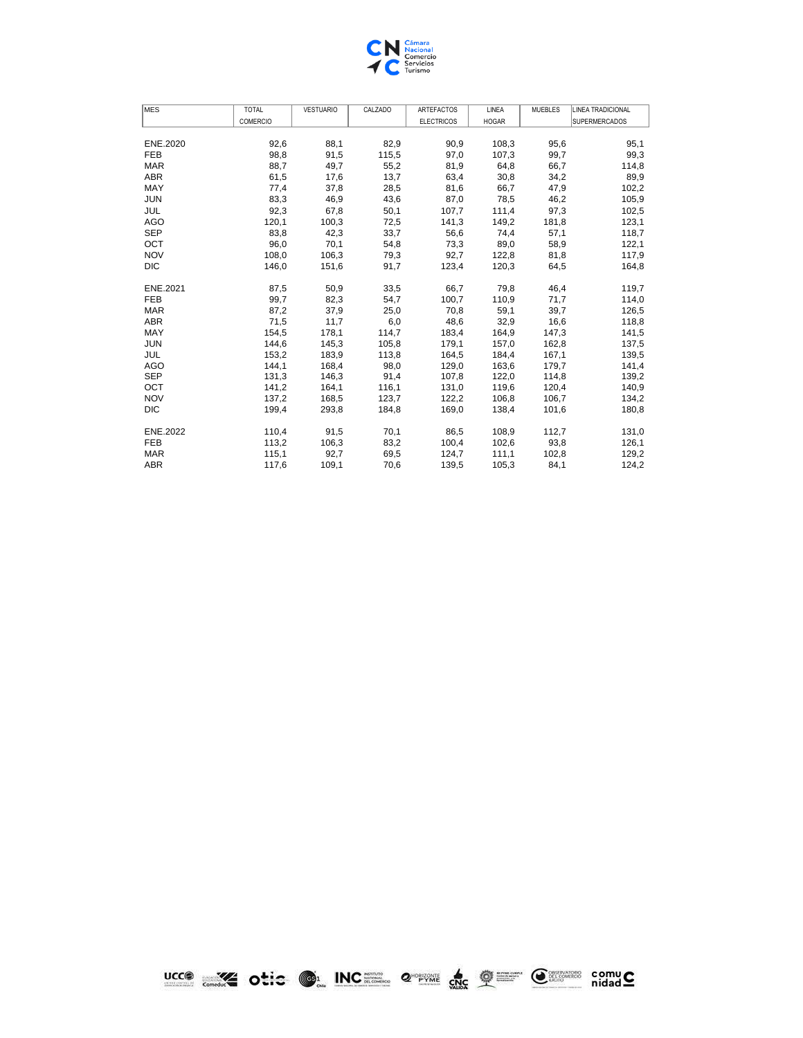

| MES<br><b>TOTAL</b><br><b>VESTUARIO</b><br>CALZADO<br><b>ARTEFACTOS</b><br>LINEA<br><b>MUEBLES</b> | LINEA TRADICIONAL    |
|----------------------------------------------------------------------------------------------------|----------------------|
| COMERCIO<br><b>ELECTRICOS</b><br><b>HOGAR</b>                                                      | <b>SUPERMERCADOS</b> |
|                                                                                                    |                      |
| 92,6<br>88,1<br>82,9<br>108,3<br>95,6<br>ENE.2020<br>90,9                                          | 95,1                 |
| <b>FEB</b><br>98,8<br>91,5<br>115,5<br>97,0<br>107,3<br>99,7                                       | 99,3                 |
| 55,2<br><b>MAR</b><br>88,7<br>49,7<br>81,9<br>64,8<br>66,7                                         | 114,8                |
| <b>ABR</b><br>61,5<br>17,6<br>13,7<br>63,4<br>30,8<br>34,2                                         | 89,9                 |
| MAY<br>28,5<br>66,7<br>77,4<br>37,8<br>81,6<br>47,9                                                | 102,2                |
| <b>JUN</b><br>83,3<br>46,9<br>43,6<br>87,0<br>78,5<br>46,2                                         | 105,9                |
| 92,3<br>JUL<br>67,8<br>50,1<br>107,7<br>111,4<br>97,3                                              | 102,5                |
| <b>AGO</b><br>120,1<br>100,3<br>72,5<br>141,3<br>149,2<br>181,8                                    | 123,1                |
| <b>SEP</b><br>83,8<br>42,3<br>33,7<br>56,6<br>57,1<br>74,4                                         | 118,7                |
| OCT<br>96,0<br>70,1<br>54,8<br>73,3<br>89,0<br>58,9                                                | 122,1                |
| <b>NOV</b><br>108,0<br>106,3<br>81,8<br>79,3<br>92,7<br>122,8                                      | 117,9                |
| <b>DIC</b><br>146,0<br>151,6<br>91,7<br>123,4<br>120,3<br>64,5                                     | 164,8                |
|                                                                                                    |                      |
| 87,5<br>50,9<br>66,7<br>ENE.2021<br>33,5<br>79,8<br>46,4                                           | 119,7                |
| <b>FEB</b><br>99,7<br>82,3<br>100,7<br>110,9<br>71,7<br>54,7                                       | 114,0                |
| <b>MAR</b><br>87,2<br>37,9<br>25,0<br>70,8<br>59,1<br>39,7                                         | 126,5                |
| <b>ABR</b><br>32,9<br>71,5<br>11,7<br>6,0<br>48,6<br>16,6                                          | 118,8                |
| MAY<br>154,5<br>178,1<br>114,7<br>183,4<br>164,9<br>147,3                                          | 141,5                |
| <b>JUN</b><br>144,6<br>145,3<br>105,8<br>179,1<br>162,8<br>157,0                                   | 137,5                |
| JUL<br>153,2<br>183,9<br>113,8<br>164,5<br>184,4<br>167,1                                          | 139,5                |
| <b>AGO</b><br>144,1<br>168,4<br>98,0<br>129,0<br>163,6<br>179,7                                    | 141,4                |
| <b>SEP</b><br>146,3<br>131,3<br>91,4<br>107,8<br>122,0<br>114,8                                    | 139,2                |
| OCT<br>141,2<br>164,1<br>116,1<br>131,0<br>119,6<br>120,4                                          | 140,9                |
| <b>NOV</b><br>168,5<br>123.7<br>122,2<br>106,8<br>137,2<br>106.7                                   | 134,2                |
| <b>DIC</b><br>293,8<br>169,0<br>199,4<br>184,8<br>138,4<br>101,6                                   | 180,8                |
| 86,5<br>ENE.2022<br>110,4<br>91,5<br>70,1<br>108,9<br>112,7                                        | 131,0                |
| <b>FEB</b><br>113,2<br>106,3<br>83,2<br>100,4<br>102,6<br>93,8                                     | 126,1                |
| 115,1<br><b>MAR</b><br>92,7<br>69,5<br>124,7<br>111,1<br>102,8                                     | 129,2                |
| <b>ABR</b><br>117,6<br>109,1<br>70.6<br>139,5<br>105,3<br>84,1                                     | 124,2                |

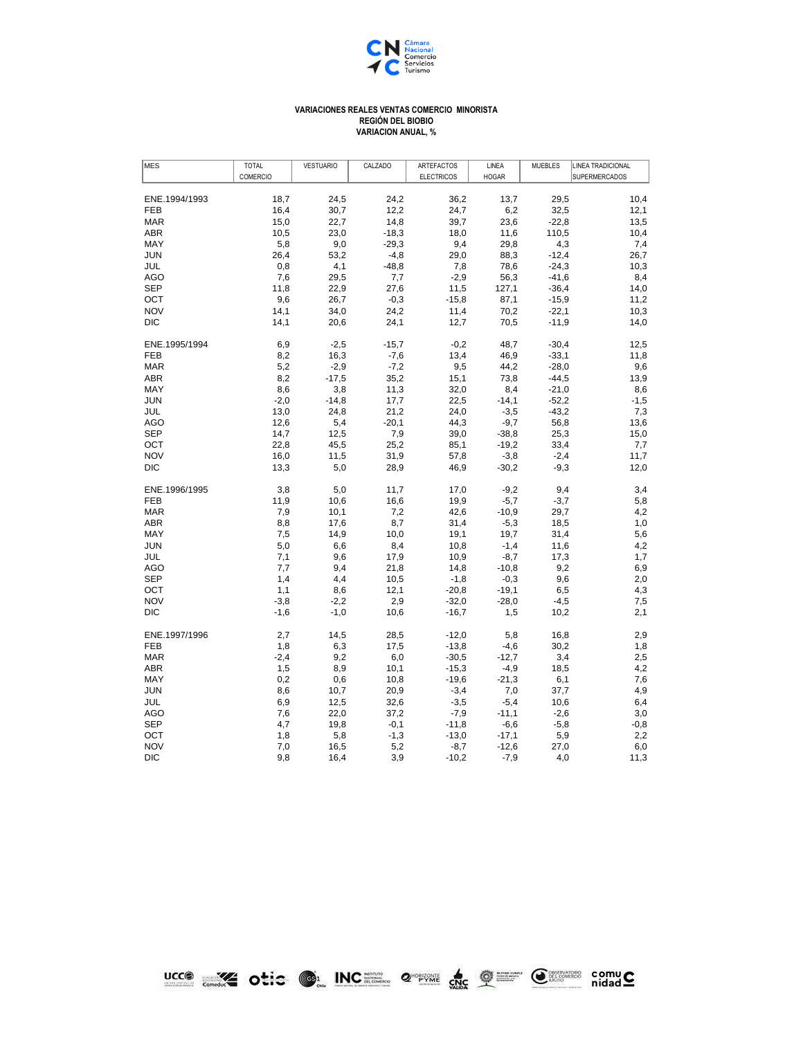

## **VARIACIONES REALES VENTAS COMERCIO MINORISTA REGIÓN DEL BIOBIO VARIACION ANUAL, %**

| <b>MES</b>        | <b>TOTAL</b> | <b>VESTUARIO</b> | CALZADO        | ARTEFACTOS        | LINEA        | <b>MUEBLES</b> | <b>LINEA TRADICIONAL</b> |
|-------------------|--------------|------------------|----------------|-------------------|--------------|----------------|--------------------------|
|                   | COMERCIO     |                  |                | <b>ELECTRICOS</b> | <b>HOGAR</b> |                | <b>SUPERMERCADOS</b>     |
| ENE.1994/1993     | 18,7         | 24,5             | 24,2           | 36,2              | 13,7         | 29,5           | 10,4                     |
| <b>FEB</b>        | 16,4         | 30,7             | 12,2           | 24,7              | 6,2          | 32,5           | 12,1                     |
| <b>MAR</b>        | 15,0         | 22,7             | 14,8           | 39,7              | 23,6         | $-22.8$        | 13,5                     |
| ABR               | 10,5         | 23,0             | $-18,3$        | 18,0              | 11,6         | 110,5          | 10,4                     |
| MAY               | 5,8          | 9,0              | $-29,3$        | 9,4               | 29,8         | 4,3            |                          |
| <b>JUN</b>        | 26,4         | 53,2             | $-4,8$         | 29,0              | 88,3         | $-12,4$        | 7,4<br>26,7              |
|                   |              |                  |                |                   |              |                |                          |
| JUL               | 0,8<br>7,6   | 4,1              | $-48,8$<br>7,7 | 7,8               | 78,6         | $-24,3$        | 10,3                     |
| AGO               |              | 29,5             |                | $-2,9$            | 56,3         | $-41,6$        | 8,4                      |
| <b>SEP</b>        | 11,8         | 22,9             | 27,6           | 11,5              | 127,1        | $-36,4$        | 14,0                     |
| OCT<br><b>NOV</b> | 9,6          | 26,7             | $-0,3$         | $-15,8$           | 87,1         | $-15,9$        | 11,2                     |
|                   | 14,1         | 34,0             | 24,2           | 11,4              | 70,2         | $-22,1$        | 10,3                     |
| <b>DIC</b>        | 14,1         | 20,6             | 24,1           | 12,7              | 70,5         | $-11,9$        | 14,0                     |
| ENE.1995/1994     | 6,9          | $-2,5$           | $-15,7$        | $-0,2$            | 48,7         | $-30,4$        | 12,5                     |
| <b>FEB</b>        | 8,2          | 16,3             | $-7,6$         | 13,4              | 46,9         | $-33,1$        | 11,8                     |
| <b>MAR</b>        | 5,2          | $-2,9$           | $-7,2$         | 9,5               | 44,2         | $-28,0$        | 9,6                      |
| <b>ABR</b>        | 8,2          | $-17,5$          | 35,2           | 15,1              | 73,8         | $-44,5$        | 13,9                     |
| MAY               | 8,6          | 3,8              | 11,3           | 32,0              | 8,4          | $-21,0$        | 8,6                      |
| <b>JUN</b>        | $-2,0$       | $-14,8$          | 17,7           | 22,5              | $-14,1$      | $-52,2$        | $-1,5$                   |
| JUL               | 13,0         | 24,8             | 21,2           | 24,0              | $-3,5$       | $-43,2$        | 7,3                      |
| <b>AGO</b>        | 12,6         | 5,4              | $-20,1$        | 44,3              | $-9,7$       | 56,8           | 13,6                     |
| <b>SEP</b>        | 14,7         | 12,5             | 7,9            | 39,0              | $-38,8$      | 25,3           | 15,0                     |
| OCT               | 22,8         | 45,5             | 25,2           | 85,1              | $-19,2$      | 33,4           | 7,7                      |
| <b>NOV</b>        | 16,0         | 11,5             | 31,9           | 57,8              | $-3,8$       | $-2,4$         | 11,7                     |
| <b>DIC</b>        | 13,3         | 5,0              | 28,9           | 46,9              | $-30,2$      | $-9,3$         | 12,0                     |
| ENE.1996/1995     | 3,8          | 5,0              | 11,7           | 17,0              | $-9,2$       | 9,4            | 3,4                      |
| <b>FEB</b>        | 11,9         | 10,6             | 16,6           | 19,9              | $-5,7$       | $-3,7$         | 5,8                      |
| <b>MAR</b>        | 7,9          | 10,1             | 7,2            | 42,6              | $-10,9$      | 29,7           | 4,2                      |
| <b>ABR</b>        | 8,8          | 17,6             | 8,7            | 31,4              | $-5,3$       | 18,5           | 1,0                      |
| MAY               | 7,5          | 14,9             | 10,0           | 19,1              | 19.7         | 31,4           | 5,6                      |
| <b>JUN</b>        | 5,0          | 6,6              | 8,4            | 10,8              | $-1,4$       | 11,6           | 4,2                      |
| JUL               | 7,1          | 9,6              | 17,9           | 10,9              | $-8,7$       | 17,3           | 1,7                      |
| AGO               | 7,7          | 9,4              | 21,8           | 14,8              | $-10,8$      | 9,2            | 6,9                      |
| <b>SEP</b>        | 1,4          | 4,4              | 10,5           | $-1,8$            | $-0,3$       | 9,6            | 2,0                      |
| OCT               | 1,1          | 8,6              | 12,1           | $-20,8$           | $-19,1$      | 6,5            | 4,3                      |
| <b>NOV</b>        | $-3,8$       | $-2,2$           | 2,9            | $-32,0$           | $-28,0$      | $-4,5$         | 7,5                      |
| <b>DIC</b>        | $-1,6$       | $-1,0$           | 10,6           | $-16,7$           | 1,5          | 10,2           | 2,1                      |
| ENE.1997/1996     | 2,7          | 14,5             | 28,5           | $-12,0$           | 5,8          | 16,8           | 2,9                      |
| <b>FEB</b>        | 1,8          | 6,3              | 17,5           | $-13,8$           | $-4,6$       | 30,2           | 1,8                      |
| <b>MAR</b>        | $-2,4$       | 9,2              | 6,0            | $-30,5$           | $-12,7$      | 3,4            | 2,5                      |
| ABR               | 1,5          | 8,9              | 10,1           | $-15,3$           | $-4,9$       | 18,5           | 4,2                      |
| MAY               | 0,2          | 0,6              | 10,8           | $-19,6$           | $-21,3$      | 6,1            | 7,6                      |
| <b>JUN</b>        | 8,6          | 10,7             | 20,9           | $-3,4$            | 7,0          | 37,7           | 4,9                      |
| JUL               | 6,9          | 12,5             | 32,6           | $-3,5$            | $-5,4$       | 10,6           | 6,4                      |
| AGO               | 7,6          | 22,0             | 37,2           | $-7,9$            | $-11,1$      | $-2,6$         |                          |
| <b>SEP</b>        | 4,7          | 19,8             | $-0,1$         | $-11,8$           | $-6,6$       | $-5,8$         | 3,0<br>$-0,8$            |
| OCT               |              | 5,8              | $-1,3$         | $-13,0$           | $-17,1$      | 5,9            |                          |
| <b>NOV</b>        | 1,8<br>7,0   | 16,5             | 5,2            |                   |              | 27,0           | 2,2                      |
| DIC               |              |                  |                | $-8,7$            | $-12,6$      |                | 6,0                      |
|                   | 9,8          | 16,4             | 3,9            | $-10,2$           | $-7,9$       | 4,0            | 11,3                     |

LCCO COLORED DE INCEL 2 PWH de Q E CHARGE COMUC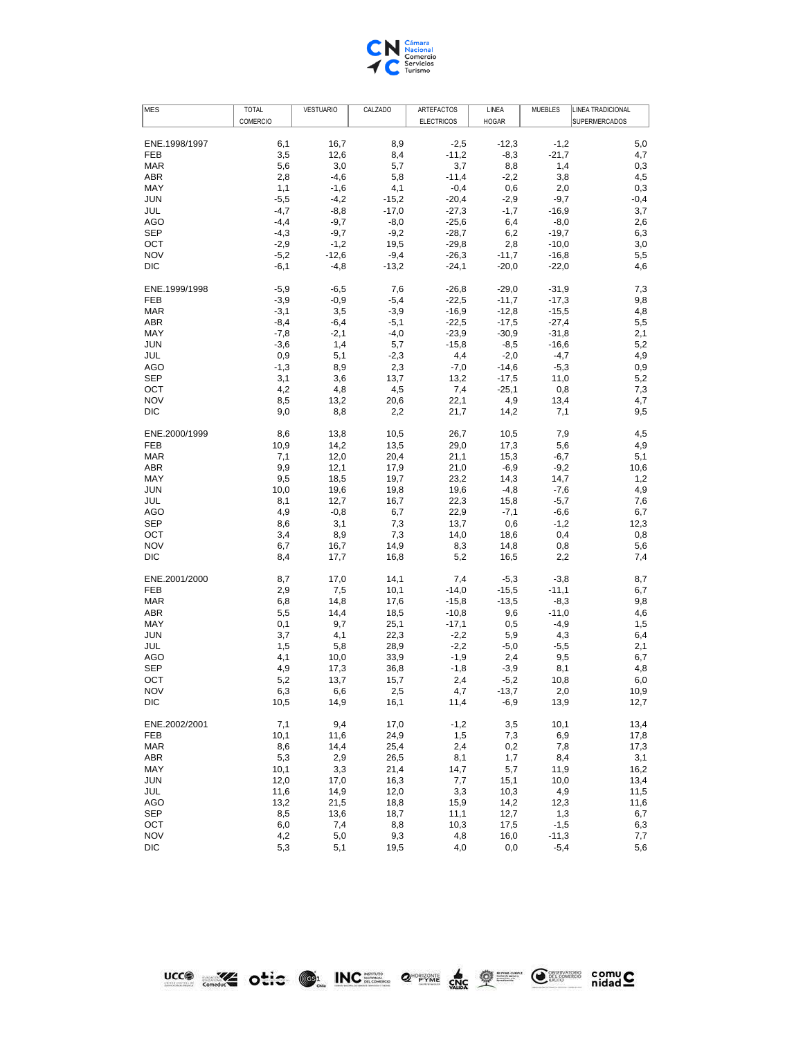

| ENE.1998/1997<br><b>FEB</b><br><b>MAR</b><br>ABR<br>MAY<br><b>JUN</b> | COMERCIO<br>6,1<br>3,5<br>5,6<br>2,8 | 16,7<br>12,6<br>3,0 | 8,9<br>8,4<br>5,7 | <b>ELECTRICOS</b><br>$-2,5$<br>$-11,2$ | <b>HOGAR</b><br>$-12,3$<br>$-8,3$ | $-1,2$<br>$-21,7$ | <b>SUPERMERCADOS</b><br>5,0<br>4,7 |
|-----------------------------------------------------------------------|--------------------------------------|---------------------|-------------------|----------------------------------------|-----------------------------------|-------------------|------------------------------------|
|                                                                       |                                      |                     |                   |                                        |                                   |                   |                                    |
|                                                                       |                                      |                     |                   |                                        |                                   |                   |                                    |
|                                                                       |                                      |                     |                   |                                        |                                   |                   |                                    |
|                                                                       |                                      |                     |                   |                                        |                                   |                   |                                    |
|                                                                       |                                      |                     |                   | 3,7                                    | 8,8                               | 1,4               | 0,3                                |
|                                                                       |                                      | $-4,6$              | 5,8               | $-11,4$                                | $-2,2$                            | 3,8               | 4,5                                |
|                                                                       | 1,1                                  | $-1,6$              | 4,1               | $-0,4$                                 | 0,6                               | 2,0               | 0,3                                |
|                                                                       | $-5,5$                               | $-4,2$              | $-15,2$           | $-20,4$                                | $-2,9$                            | $-9,7$            | $-0,4$                             |
| JUL                                                                   | $-4,7$                               | $-8,8$              | $-17,0$           | $-27,3$                                | $-1,7$                            | $-16,9$           | 3,7                                |
| AGO                                                                   | $-4,4$                               | $-9,7$              | $-8,0$            | $-25,6$                                | 6,4                               | $-8,0$            | 2,6                                |
| <b>SEP</b>                                                            | $-4,3$                               | $-9,7$              | $-9,2$            | $-28,7$                                | 6,2                               | $-19,7$           | 6,3                                |
| OCT                                                                   | $-2,9$                               | $-1,2$              | 19,5              | $-29,8$                                | 2,8                               | $-10,0$           | 3,0                                |
| <b>NOV</b>                                                            | $-5,2$                               | $-12,6$             | $-9,4$            | $-26,3$                                | $-11,7$                           | $-16,8$           | 5,5                                |
| DIC                                                                   | $-6,1$                               | $-4,8$              | $-13,2$           | $-24,1$                                | $-20,0$                           | $-22,0$           | 4,6                                |
| ENE.1999/1998                                                         | $-5,9$                               | $-6,5$              | 7,6               | $-26,8$                                | $-29,0$                           | $-31,9$           | 7,3                                |
| <b>FEB</b>                                                            | $-3,9$                               | $-0,9$              | $-5,4$            |                                        | $-11,7$                           |                   | 9,8                                |
|                                                                       |                                      |                     |                   | $-22,5$                                |                                   | $-17,3$           |                                    |
| <b>MAR</b>                                                            | $-3,1$                               | 3,5                 | $-3,9$            | $-16,9$                                | $-12,8$                           | $-15,5$           | 4,8                                |
| ABR                                                                   | $-8,4$                               | $-6,4$              | $-5,1$            | $-22,5$                                | $-17,5$                           | $-27,4$           | 5,5                                |
| MAY                                                                   | $-7,8$                               | $-2,1$              | $-4,0$            | $-23,9$                                | $-30,9$                           | $-31,8$           | 2,1                                |
| <b>JUN</b>                                                            | $-3,6$                               | 1,4                 | 5,7               | $-15,8$                                | $-8,5$                            | $-16,6$           | 5,2                                |
| JUL                                                                   | 0,9                                  | 5,1                 | $-2,3$            | 4,4                                    | $-2,0$                            | $-4,7$            | 4,9                                |
| AGO                                                                   | $-1,3$                               | 8,9                 | 2,3               | $-7,0$                                 | $-14,6$                           | $-5,3$            | 0,9                                |
| <b>SEP</b>                                                            | 3,1                                  | 3,6                 | 13,7              | 13,2                                   | $-17,5$                           | 11,0              | 5,2                                |
| OCT                                                                   | 4,2                                  | 4,8                 | 4,5               | 7,4                                    | $-25,1$                           | 0,8               | 7,3                                |
| <b>NOV</b>                                                            | 8,5                                  | 13,2                | 20,6              | 22,1                                   | 4,9                               | 13,4              | 4,7                                |
| <b>DIC</b>                                                            | 9,0                                  | 8,8                 | 2,2               | 21,7                                   | 14,2                              | 7,1               | 9,5                                |
| ENE.2000/1999                                                         | 8,6                                  | 13,8                | 10,5              | 26,7                                   | 10,5                              | 7,9               | 4,5                                |
| <b>FEB</b>                                                            | 10,9                                 | 14,2                | 13,5              | 29,0                                   | 17,3                              | 5,6               | 4,9                                |
| <b>MAR</b>                                                            |                                      |                     |                   |                                        |                                   |                   |                                    |
|                                                                       | 7,1                                  | 12,0                | 20,4              | 21,1                                   | 15,3                              | $-6,7$            | 5,1                                |
| <b>ABR</b>                                                            | 9,9                                  | 12,1                | 17,9              | 21,0                                   | $-6,9$                            | $-9,2$            | 10,6                               |
| MAY                                                                   | 9,5                                  | 18,5                | 19,7              | 23,2                                   | 14,3                              | 14,7              | 1,2                                |
| <b>JUN</b>                                                            | 10,0                                 | 19,6                | 19,8              | 19,6                                   | $-4,8$                            | $-7,6$            | 4,9                                |
| JUL                                                                   | 8,1                                  | 12,7                | 16,7              | 22,3                                   | 15,8                              | $-5,7$            | 7,6                                |
| AGO                                                                   | 4,9                                  | $-0,8$              | 6,7               | 22,9                                   | $-7,1$                            | $-6,6$            | 6,7                                |
| <b>SEP</b>                                                            | 8,6                                  | 3,1                 | 7,3               | 13,7                                   | 0,6                               | $-1,2$            | 12,3                               |
| OCT                                                                   | 3,4                                  | 8,9                 | 7,3               | 14,0                                   | 18,6                              | 0,4               | 0,8                                |
| <b>NOV</b>                                                            | 6,7                                  | 16,7                | 14,9              | 8,3                                    | 14,8                              | 0,8               | 5,6                                |
| <b>DIC</b>                                                            | 8,4                                  | 17,7                | 16,8              | 5,2                                    | 16,5                              | 2,2               | 7,4                                |
| ENE.2001/2000                                                         | 8,7                                  | 17,0                | 14,1              | 7,4                                    | $-5,3$                            | $-3,8$            | 8,7                                |
| <b>FEB</b>                                                            | 2,9                                  | 7,5                 | 10,1              | $-14,0$                                | $-15,5$                           | $-11,1$           | 6,7                                |
| <b>MAR</b>                                                            |                                      |                     |                   |                                        |                                   |                   |                                    |
|                                                                       | 6,8                                  | 14,8                | 17,6              | $-15,8$                                | $-13,5$                           | $-8,3$            | 9,8                                |
| ABR                                                                   | 5,5                                  | 14,4                | 18,5              | $-10,8$                                | 9,6                               | $-11,0$           | 4,6                                |
| MAY                                                                   | 0,1                                  | 9,7                 | 25,1              | $-17,1$                                | 0,5                               | $-4,9$            | 1,5                                |
| <b>JUN</b>                                                            | 3,7                                  | 4,1                 | 22,3              | $-2,2$                                 | 5,9                               | 4,3               | 6,4                                |
| JUL                                                                   | 1,5                                  | 5,8                 | 28,9              | $-2,2$                                 | $-5,0$                            | $-5,5$            | 2,1                                |
| <b>AGO</b>                                                            | 4,1                                  | 10,0                | 33,9              | $-1,9$                                 | 2,4                               | 9,5               | 6,7                                |
| <b>SEP</b>                                                            | 4,9                                  | 17,3                | 36,8              | $-1,8$                                 | $-3,9$                            | 8,1               | 4,8                                |
| OCT                                                                   | 5,2                                  | 13,7                | 15,7              | 2,4                                    | $-5,2$                            | 10,8              | 6,0                                |
| <b>NOV</b>                                                            | 6,3                                  | 6,6                 | 2,5               | 4,7                                    | $-13,7$                           | 2,0               | 10,9                               |
| DIC                                                                   | 10,5                                 | 14,9                | 16,1              | 11,4                                   | $-6,9$                            | 13,9              | 12,7                               |
| ENE.2002/2001                                                         | 7,1                                  | 9,4                 | 17,0              | $-1,2$                                 | 3,5                               | 10,1              | 13,4                               |
| <b>FEB</b>                                                            | 10,1                                 | 11,6                | 24,9              | 1,5                                    | 7,3                               | 6,9               | 17,8                               |
| <b>MAR</b>                                                            | 8,6                                  | 14,4                | 25,4              | 2,4                                    | 0,2                               | 7,8               |                                    |
|                                                                       |                                      |                     |                   |                                        |                                   |                   | 17,3                               |
| ABR                                                                   | 5,3                                  | 2,9                 | 26,5              | 8,1                                    | 1,7                               | 8,4               | 3,1                                |
|                                                                       | 10,1                                 | 3,3                 | 21,4              | 14,7                                   | 5,7                               | 11,9              | 16,2                               |
| MAY                                                                   |                                      | 17,0                | 16,3              | 7,7                                    | 15,1                              | 10,0              | 13,4                               |
| <b>JUN</b>                                                            | 12,0                                 |                     |                   |                                        |                                   |                   |                                    |
| JUL                                                                   | 11,6                                 | 14,9                | 12,0              | 3,3                                    | 10,3                              | 4,9               | 11,5                               |
| <b>AGO</b>                                                            | 13,2                                 | 21,5                | 18,8              | 15,9                                   | 14,2                              | 12,3              | 11,6                               |
| SEP                                                                   | 8,5                                  | 13,6                | 18,7              | 11,1                                   | 12,7                              | 1,3               | 6,7                                |
| OCT                                                                   | 6,0                                  | 7,4                 | 8,8               | 10,3                                   | 17,5                              | $-1,5$            | 6,3                                |
| <b>NOV</b>                                                            | 4,2                                  | 5,0                 | 9,3               | 4,8                                    | 16,0                              | $-11,3$           | 7,7                                |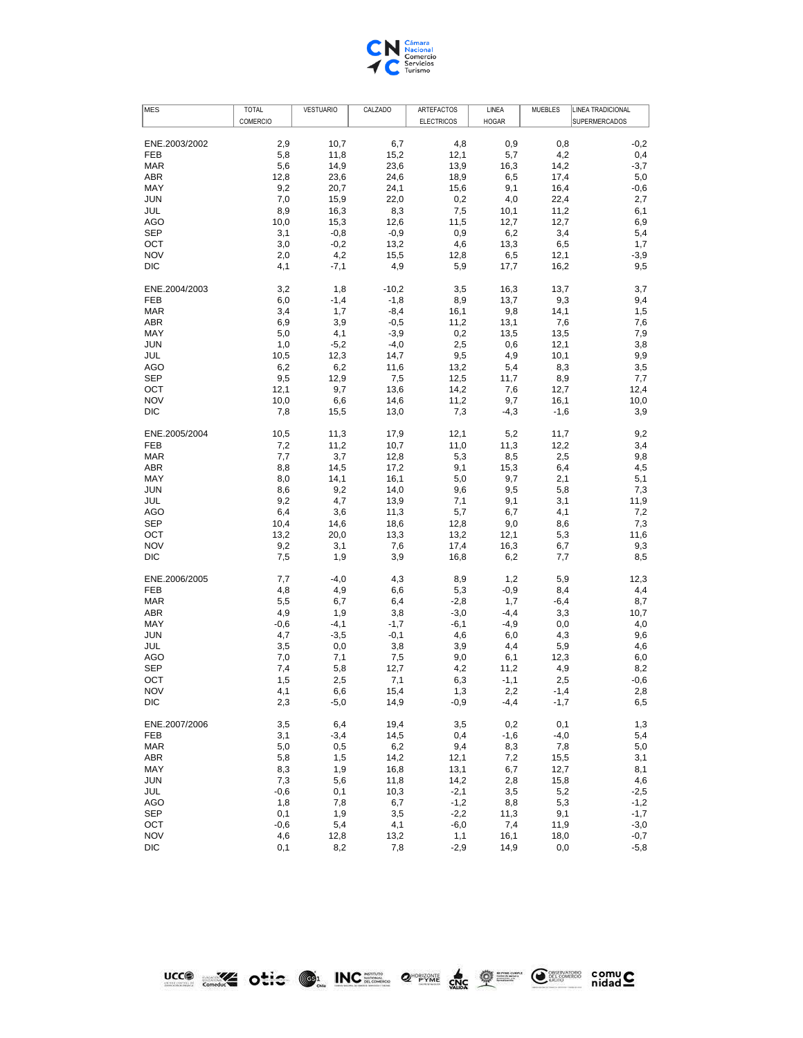

| <b>MES</b>               | <b>TOTAL</b>  | <b>VESTUARIO</b> | CALZADO      | ARTEFACTOS        | LINEA        | <b>MUEBLES</b> | LINEA TRADICIONAL    |
|--------------------------|---------------|------------------|--------------|-------------------|--------------|----------------|----------------------|
|                          | COMERCIO      |                  |              | <b>ELECTRICOS</b> | <b>HOGAR</b> |                | <b>SUPERMERCADOS</b> |
| ENE.2003/2002            | 2,9           | 10,7             | 6,7          | 4,8               | 0,9          | 0,8            | $-0,2$               |
| <b>FEB</b>               | 5,8           | 11,8             | 15,2         | 12,1              | 5,7          | 4,2            | 0,4                  |
| <b>MAR</b>               | 5,6           | 14,9             | 23,6         | 13,9              | 16,3         | 14,2           | $-3,7$               |
| ABR                      | 12,8          | 23,6             | 24,6         | 18,9              | 6,5          | 17,4           | 5,0                  |
| MAY                      | 9,2           | 20,7             | 24,1         | 15,6              | 9,1          | 16,4           | -0,6                 |
| <b>JUN</b>               | 7,0           | 15,9             | 22,0         | 0,2               | 4,0          | 22,4           | 2,7                  |
| JUL                      | 8,9           | 16,3             | 8,3          | 7,5               | 10,1         | 11,2           | 6,1                  |
| AGO                      | 10,0          | 15,3             | 12,6         | 11,5              | 12,7         | 12,7           | 6,9                  |
| <b>SEP</b>               | 3,1           | $-0,8$           | $-0,9$       | 0,9               | 6,2          | 3,4            | 5,4                  |
| OCT                      | 3,0           | $-0,2$           | 13,2         | 4,6               | 13,3         | 6,5            | 1,7                  |
| <b>NOV</b>               | 2,0           | 4,2              | 15,5         | 12,8              | 6,5          | 12,1           | $-3,9$               |
| <b>DIC</b>               | 4,1           | $-7,1$           | 4,9          | 5,9               | 17,7         | 16,2           | 9,5                  |
| ENE.2004/2003            | 3,2           | 1,8              | $-10,2$      | 3,5               | 16,3         | 13,7           | 3,7                  |
| <b>FEB</b>               | 6,0           | $-1,4$           | $-1,8$       | 8,9               | 13,7         | 9,3            | 9,4                  |
| <b>MAR</b>               | 3,4           | 1,7              | $-8,4$       | 16,1              | 9,8          | 14,1           | 1,5                  |
| <b>ABR</b>               | 6,9           | 3,9              | $-0,5$       | 11,2              | 13,1         | 7,6            | 7,6                  |
| MAY                      | 5,0           | 4,1              | $-3,9$       | 0,2               | 13,5         | 13,5           | 7,9                  |
| <b>JUN</b>               | 1,0           | $-5,2$           | $-4,0$       | 2,5               | 0,6          | 12,1           | 3,8                  |
| JUL                      | 10,5          | 12,3             | 14,7         | 9,5               | 4,9          | 10,1           | 9,9                  |
| <b>AGO</b>               | 6,2           | 6,2              | 11,6         | 13,2              | 5,4          | 8,3            | 3,5                  |
| <b>SEP</b>               | 9,5           | 12,9             | 7,5          | 12,5              | 11,7         | 8,9            | 7,7                  |
| OCT                      | 12,1          | 9,7              | 13,6         | 14,2              | 7,6          | 12,7           | 12,4                 |
| <b>NOV</b><br><b>DIC</b> | 10,0          | 6,6              | 14,6         | 11,2              | 9,7          | 16,1           | 10,0                 |
|                          | 7,8           | 15,5             | 13,0         | 7,3               | $-4,3$       | $-1,6$         | 3,9                  |
| ENE.2005/2004            | 10,5          | 11,3             | 17,9         | 12,1              | 5,2          | 11,7           | 9,2                  |
| <b>FEB</b>               | 7,2           | 11,2             | 10,7         | 11,0              | 11,3         | 12,2           | 3,4                  |
| <b>MAR</b>               | 7,7           | 3,7              | 12,8         | 5,3               | 8,5          | 2,5            | 9,8                  |
| <b>ABR</b>               | 8,8           | 14,5             | 17,2         | 9,1               | 15,3         | 6,4            | 4,5                  |
| MAY                      | 8,0           | 14,1             | 16,1         | 5,0               | 9,7          | 2,1            | 5,1                  |
| <b>JUN</b><br>JUL        | 8,6<br>9,2    | 9,2<br>4,7       | 14,0<br>13,9 | 9,6<br>7,1        | 9,5<br>9,1   | 5,8<br>3,1     | 7,3                  |
| AGO                      | 6,4           | 3,6              | 11,3         | 5,7               | 6,7          | 4,1            | 11,9<br>7,2          |
| <b>SEP</b>               | 10,4          | 14,6             | 18,6         | 12,8              | 9,0          | 8,6            | 7,3                  |
| OCT                      | 13,2          | 20,0             | 13,3         | 13,2              | 12,1         | 5,3            | 11,6                 |
| <b>NOV</b>               | 9,2           | 3,1              | 7,6          | 17,4              | 16,3         | 6,7            | 9,3                  |
| <b>DIC</b>               | 7,5           | 1,9              | 3,9          | 16,8              | 6,2          | 7,7            | 8,5                  |
| ENE.2006/2005            | 7,7           | $-4,0$           | 4,3          | 8,9               | 1,2          | 5,9            | 12,3                 |
| <b>FEB</b>               | 4,8           | 4,9              | 6,6          | 5,3               | $-0,9$       | 8,4            | 4,4                  |
| <b>MAR</b>               | 5,5           | 6,7              | 6,4          | $-2,8$            | 1,7          | $-6,4$         | 8,7                  |
| ABR                      | 4,9           | 1,9              | 3,8          | $-3,0$            | $-4,4$       | 3,3            | 10,7                 |
| MAY                      | $-0,6$        | $-4,1$           | $-1,7$       | -6,1              | $-4,9$       | 0,0            | 4,0                  |
| <b>JUN</b>               | 4,7           | $-3,5$           | $-0,1$       | 4,6               | 6,0          | 4,3            | 9,6                  |
| JUL                      | 3,5           | 0,0              | 3,8          | 3,9               | 4,4          | 5,9            | 4,6                  |
| <b>AGO</b>               | 7,0           | 7,1              | 7,5          | 9,0               | 6,1          | 12,3           | 6,0                  |
| <b>SEP</b>               | 7,4           | 5,8              | 12,7         | 4,2               | 11,2         | 4,9            | 8,2                  |
| OCT                      | 1,5           | 2,5              | 7,1          | 6,3               | $-1,1$       | 2,5            | $-0,6$               |
| <b>NOV</b>               | 4,1           | 6,6              | 15,4         | 1,3               | 2,2          | $-1,4$         | 2,8                  |
| <b>DIC</b>               | 2,3           | $-5,0$           | 14,9         | $-0,9$            | $-4,4$       | $-1,7$         | 6,5                  |
| ENE.2007/2006            | 3,5           | 6,4              | 19,4         | 3,5               | 0,2          | 0,1            | 1,3                  |
| FEB                      | 3,1           | $-3,4$           | 14,5         | 0,4               | $-1,6$       | $-4,0$         | 5,4                  |
| <b>MAR</b>               | 5,0           | 0,5              | 6,2          | 9,4               | 8,3          | 7,8            | 5,0                  |
| ABR                      | 5,8           | 1,5              | 14,2         | 12,1              | 7,2          | 15,5           | 3,1                  |
| MAY                      | 8,3           | 1,9              | 16,8         | 13,1              | 6,7          | 12,7           | 8,1                  |
| <b>JUN</b>               | 7,3           | 5,6              | 11,8         | 14,2              | 2,8          | 15,8           | 4,6                  |
| JUL                      | $-0,6$        | 0,1              | 10,3         | $-2,1$            | 3,5          | 5,2            | $-2,5$               |
| <b>AGO</b><br><b>SEP</b> | 1,8           | 7,8              | 6,7          | $-1,2$            | 8,8          | 5,3<br>9,1     | $-1,2$               |
| OCT                      | 0,1<br>$-0,6$ | 1,9<br>5,4       | 3,5<br>4,1   | $-2,2$<br>$-6,0$  | 11,3<br>7,4  | 11,9           | $-1,7$<br>$-3,0$     |
| <b>NOV</b>               | 4,6           | 12,8             | 13,2         | 1,1               | 16,1         | 18,0           | $-0,7$               |
| DIC                      | 0,1           | 8,2              | 7,8          | $-2,9$            | 14,9         | 0,0            | $-5,8$               |
|                          |               |                  |              |                   |              |                |                      |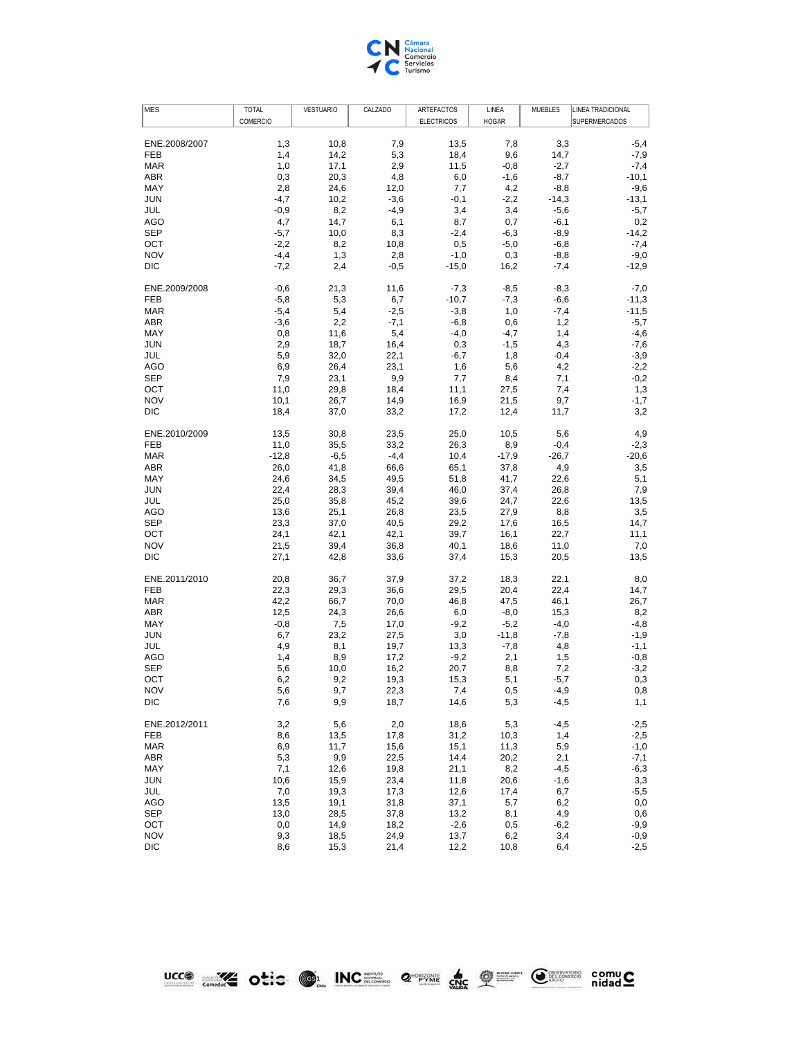

| ENE.2008/2007<br>1,3<br>10,8<br>7,9<br>13,5<br>7,8<br>3,3<br>$-5,4$<br>9,6<br>FEB<br>1,4<br>14,2<br>5,3<br>18,4<br>14,7<br>$-7,9$<br><b>MAR</b><br>1,0<br>17,1<br>2,9<br>11,5<br>$-0,8$<br>$-2,7$<br>$-7,4$<br>$-10,1$<br>ABR<br>0,3<br>20,3<br>4,8<br>6,0<br>$-1,6$<br>$-8,7$<br>2,8<br>MAY<br>24,6<br>12,0<br>7,7<br>4,2<br>$-8,8$<br>$-9,6$<br><b>JUN</b><br>$-4,7$<br>10,2<br>$-3,6$<br>$-0,1$<br>$-2,2$<br>$-14,3$<br>$-13,1$<br>JUL<br>$-0,9$<br>8,2<br>$-4,9$<br>3,4<br>3,4<br>$-5,6$<br>$-5,7$<br>4,7<br>AGO<br>14,7<br>6,1<br>8,7<br>0,7<br>$-6,1$<br>0,2<br>SEP<br>$-5,7$<br>10,0<br>8,3<br>$-2,4$<br>$-6,3$<br>$-8,9$<br>$-14,2$<br>OCT<br>$-2,2$<br>8,2<br>10,8<br>0,5<br>$-5,0$<br>$-6,8$<br>$-7,4$<br><b>NOV</b><br>$-4,4$<br>1,3<br>2,8<br>$-1,0$<br>0,3<br>$-8,8$<br>$-9,0$<br><b>DIC</b><br>$-7,2$<br>2,4<br>$-0,5$<br>$-15,0$<br>16,2<br>$-7,4$<br>$-12,9$<br>ENE.2009/2008<br>$-0,6$<br>21,3<br>$-7,3$<br>$-8,5$<br>$-8,3$<br>$-7,0$<br>11,6<br><b>FEB</b><br>$-5,8$<br>5,3<br>6,7<br>$-10,7$<br>$-7,3$<br>$-6,6$<br>$-11,3$<br><b>MAR</b><br>$-5,4$<br>5,4<br>$-3,8$<br>1,0<br>$-7,4$<br>$-11,5$<br>$-2,5$<br>ABR<br>$-3,6$<br>2,2<br>$-7,1$<br>$-6,8$<br>0,6<br>1,2<br>$-5,7$<br>MAY<br>0,8<br>11,6<br>5,4<br>$-4,0$<br>$-4,7$<br>1,4<br>$-4,6$<br>$-7,6$<br><b>JUN</b><br>2,9<br>18,7<br>16,4<br>0,3<br>$-1,5$<br>4,3<br>$-3,9$<br>JUL<br>5,9<br>32,0<br>22,1<br>$-6,7$<br>1,8<br>$-0,4$<br>$-2,2$<br><b>AGO</b><br>6,9<br>26,4<br>23,1<br>1,6<br>5,6<br>4,2<br><b>SEP</b><br>7,9<br>23,1<br>9,9<br>7,7<br>8,4<br>7,1<br>$-0,2$<br>1,3<br>OCT<br>11,0<br>29,8<br>18,4<br>11,1<br>27,5<br>7,4<br><b>NOV</b><br>10,1<br>26,7<br>14,9<br>16,9<br>21,5<br>9,7<br>$-1,7$<br>DIC<br>18,4<br>37,0<br>33,2<br>17,2<br>12,4<br>11,7<br>3,2<br>ENE.2010/2009<br>30,8<br>23,5<br>25,0<br>4,9<br>13,5<br>10,5<br>5,6<br>FEB<br>11,0<br>35,5<br>33,2<br>26,3<br>8,9<br>$-0,4$<br>$-2,3$<br>$-4,4$<br><b>MAR</b><br>$-12,8$<br>$-6,5$<br>10,4<br>$-17,9$<br>$-26,7$<br>$-20,6$<br>ABR<br>$_{3,5}$<br>26,0<br>41,8<br>66,6<br>65,1<br>37,8<br>4,9<br>MAY<br>24,6<br>34,5<br>49,5<br>51,8<br>41,7<br>22,6<br>5,1<br><b>JUN</b><br>22,4<br>28,3<br>39,4<br>46,0<br>37,4<br>26,8<br>7,9<br>JUL<br>25,0<br>35,8<br>45,2<br>39,6<br>24,7<br>22,6<br>13,5<br><b>AGO</b><br>13,6<br>25,1<br>26,8<br>23,5<br>27,9<br>8,8<br>3,5<br>SEP<br>23,3<br>37,0<br>40,5<br>29,2<br>17,6<br>14,7<br>16,5<br>OCT<br>24,1<br>42,1<br>42,1<br>39,7<br>16,1<br>22,7<br>11,1<br><b>NOV</b><br>21,5<br>39,4<br>36,8<br>40,1<br>18,6<br>11,0<br>7,0<br>DIC<br>27,1<br>42,8<br>33,6<br>37,4<br>15,3<br>20,5<br>13,5<br>ENE.2011/2010<br>20,8<br>36,7<br>18,3<br>22,1<br>37,9<br>37,2<br>8,0<br>29,5<br>22,4<br><b>FEB</b><br>22,3<br>29,3<br>36,6<br>20,4<br>14,7<br><b>MAR</b><br>42,2<br>66,7<br>46,8<br>47,5<br>46,1<br>26,7<br>70,0<br>12,5<br>ABR<br>24,3<br>26,6<br>6,0<br>$-8,0$<br>15,3<br>8,2<br>MAY<br>$-0,8$<br>7,5<br>17,0<br>$-9,2$<br>$-5,2$<br>$-4,0$<br>$-4,8$<br><b>JUN</b><br>6,7<br>23,2<br>3,0<br>$-11,8$<br>$-1,9$<br>27,5<br>$-7,8$<br>JUL<br>4,9<br>8,1<br>19,7<br>13,3<br>$-7,8$<br>4,8<br>$-1,1$<br><b>AGO</b><br>1,4<br>8,9<br>17,2<br>$-9,2$<br>2,1<br>1,5<br>$-0,8$<br><b>SEP</b><br>5,6<br>10,0<br>16,2<br>20,7<br>7,2<br>$-3,2$<br>8,8<br>OCT<br>19,3<br>15,3<br>$-5,7$<br>0,3<br>6,2<br>9,2<br>5,1<br><b>NOV</b><br>5,6<br>9,7<br>22,3<br>7,4<br>0,5<br>$-4,9$<br>$_{\rm 0,8}$<br>$-4,5$<br>1,1<br>DIC<br>7,6<br>9,9<br>18,7<br>14,6<br>5,3<br>5,6<br>2,0<br>18,6<br>$-4,5$<br>ENE.2012/2011<br>3,2<br>5,3<br>$-2,5$<br>FEB<br>8,6<br>13,5<br>17,8<br>31,2<br>10,3<br>1,4<br>$-2,5$<br>11,7<br>11,3<br>5,9<br>$-1,0$<br><b>MAR</b><br>6,9<br>15,6<br>15,1<br>22,5<br>$-7,1$<br>ABR<br>5,3<br>9,9<br>14,4<br>20,2<br>2,1<br>7,1<br>MAY<br>12,6<br>19,8<br>21,1<br>8,2<br>$-4,5$<br>$-6,3$<br>10,6<br>23,4<br>3,3<br><b>JUN</b><br>15,9<br>11,8<br>20,6<br>$-1,6$<br>JUL<br>7,0<br>19,3<br>$-5,5$<br>17,3<br>12,6<br>17,4<br>6,7<br>AGO<br>13,5<br>19,1<br>31,8<br>37,1<br>5,7<br>6,2<br>$_{0,0}$<br><b>SEP</b><br>4,9<br>13,0<br>28,5<br>37,8<br>13,2<br>8,1<br>0,6<br>OCT<br>0,0<br>14,9<br>18,2<br>$-2,6$<br>$-9,9$<br>0,5<br>$-6,2$<br><b>NOV</b><br>9,3<br>18,5<br>24,9<br>13,7<br>6,2<br>3,4<br>$-0,9$<br>$-2,5$<br>DIC<br>8,6<br>15,3<br>21,4<br>12,2<br>6,4<br>10,8 | <b>MES</b> | <b>TOTAL</b> | <b>VESTUARIO</b> | CALZADO | ARTEFACTOS        | LINEA        | <b>MUEBLES</b> | LINEA TRADICIONAL |
|---------------------------------------------------------------------------------------------------------------------------------------------------------------------------------------------------------------------------------------------------------------------------------------------------------------------------------------------------------------------------------------------------------------------------------------------------------------------------------------------------------------------------------------------------------------------------------------------------------------------------------------------------------------------------------------------------------------------------------------------------------------------------------------------------------------------------------------------------------------------------------------------------------------------------------------------------------------------------------------------------------------------------------------------------------------------------------------------------------------------------------------------------------------------------------------------------------------------------------------------------------------------------------------------------------------------------------------------------------------------------------------------------------------------------------------------------------------------------------------------------------------------------------------------------------------------------------------------------------------------------------------------------------------------------------------------------------------------------------------------------------------------------------------------------------------------------------------------------------------------------------------------------------------------------------------------------------------------------------------------------------------------------------------------------------------------------------------------------------------------------------------------------------------------------------------------------------------------------------------------------------------------------------------------------------------------------------------------------------------------------------------------------------------------------------------------------------------------------------------------------------------------------------------------------------------------------------------------------------------------------------------------------------------------------------------------------------------------------------------------------------------------------------------------------------------------------------------------------------------------------------------------------------------------------------------------------------------------------------------------------------------------------------------------------------------------------------------------------------------------------------------------------------------------------------------------------------------------------------------------------------------------------------------------------------------------------------------------------------------------------------------------------------------------------------------------------------------------------------------------------------------------------------------------------------------------------------------------------------------------------------------------------------------------------------------------------------------------------------------------------------------------------------------------------------------------------------------------------------------------------------------------------------------------------------------------------------------------------------------------------------------------------------------------------------------------------------------------------------------------------------------------------------------------------------------------------------------------------------------------------------------------------------------|------------|--------------|------------------|---------|-------------------|--------------|----------------|-------------------|
|                                                                                                                                                                                                                                                                                                                                                                                                                                                                                                                                                                                                                                                                                                                                                                                                                                                                                                                                                                                                                                                                                                                                                                                                                                                                                                                                                                                                                                                                                                                                                                                                                                                                                                                                                                                                                                                                                                                                                                                                                                                                                                                                                                                                                                                                                                                                                                                                                                                                                                                                                                                                                                                                                                                                                                                                                                                                                                                                                                                                                                                                                                                                                                                                                                                                                                                                                                                                                                                                                                                                                                                                                                                                                                                                                                                                                                                                                                                                                                                                                                                                                                                                                                                                                                                                                       |            | COMERCIO     |                  |         | <b>ELECTRICOS</b> | <b>HOGAR</b> |                | SUPERMERCADOS     |
|                                                                                                                                                                                                                                                                                                                                                                                                                                                                                                                                                                                                                                                                                                                                                                                                                                                                                                                                                                                                                                                                                                                                                                                                                                                                                                                                                                                                                                                                                                                                                                                                                                                                                                                                                                                                                                                                                                                                                                                                                                                                                                                                                                                                                                                                                                                                                                                                                                                                                                                                                                                                                                                                                                                                                                                                                                                                                                                                                                                                                                                                                                                                                                                                                                                                                                                                                                                                                                                                                                                                                                                                                                                                                                                                                                                                                                                                                                                                                                                                                                                                                                                                                                                                                                                                                       |            |              |                  |         |                   |              |                |                   |
|                                                                                                                                                                                                                                                                                                                                                                                                                                                                                                                                                                                                                                                                                                                                                                                                                                                                                                                                                                                                                                                                                                                                                                                                                                                                                                                                                                                                                                                                                                                                                                                                                                                                                                                                                                                                                                                                                                                                                                                                                                                                                                                                                                                                                                                                                                                                                                                                                                                                                                                                                                                                                                                                                                                                                                                                                                                                                                                                                                                                                                                                                                                                                                                                                                                                                                                                                                                                                                                                                                                                                                                                                                                                                                                                                                                                                                                                                                                                                                                                                                                                                                                                                                                                                                                                                       |            |              |                  |         |                   |              |                |                   |
|                                                                                                                                                                                                                                                                                                                                                                                                                                                                                                                                                                                                                                                                                                                                                                                                                                                                                                                                                                                                                                                                                                                                                                                                                                                                                                                                                                                                                                                                                                                                                                                                                                                                                                                                                                                                                                                                                                                                                                                                                                                                                                                                                                                                                                                                                                                                                                                                                                                                                                                                                                                                                                                                                                                                                                                                                                                                                                                                                                                                                                                                                                                                                                                                                                                                                                                                                                                                                                                                                                                                                                                                                                                                                                                                                                                                                                                                                                                                                                                                                                                                                                                                                                                                                                                                                       |            |              |                  |         |                   |              |                |                   |
|                                                                                                                                                                                                                                                                                                                                                                                                                                                                                                                                                                                                                                                                                                                                                                                                                                                                                                                                                                                                                                                                                                                                                                                                                                                                                                                                                                                                                                                                                                                                                                                                                                                                                                                                                                                                                                                                                                                                                                                                                                                                                                                                                                                                                                                                                                                                                                                                                                                                                                                                                                                                                                                                                                                                                                                                                                                                                                                                                                                                                                                                                                                                                                                                                                                                                                                                                                                                                                                                                                                                                                                                                                                                                                                                                                                                                                                                                                                                                                                                                                                                                                                                                                                                                                                                                       |            |              |                  |         |                   |              |                |                   |
|                                                                                                                                                                                                                                                                                                                                                                                                                                                                                                                                                                                                                                                                                                                                                                                                                                                                                                                                                                                                                                                                                                                                                                                                                                                                                                                                                                                                                                                                                                                                                                                                                                                                                                                                                                                                                                                                                                                                                                                                                                                                                                                                                                                                                                                                                                                                                                                                                                                                                                                                                                                                                                                                                                                                                                                                                                                                                                                                                                                                                                                                                                                                                                                                                                                                                                                                                                                                                                                                                                                                                                                                                                                                                                                                                                                                                                                                                                                                                                                                                                                                                                                                                                                                                                                                                       |            |              |                  |         |                   |              |                |                   |
|                                                                                                                                                                                                                                                                                                                                                                                                                                                                                                                                                                                                                                                                                                                                                                                                                                                                                                                                                                                                                                                                                                                                                                                                                                                                                                                                                                                                                                                                                                                                                                                                                                                                                                                                                                                                                                                                                                                                                                                                                                                                                                                                                                                                                                                                                                                                                                                                                                                                                                                                                                                                                                                                                                                                                                                                                                                                                                                                                                                                                                                                                                                                                                                                                                                                                                                                                                                                                                                                                                                                                                                                                                                                                                                                                                                                                                                                                                                                                                                                                                                                                                                                                                                                                                                                                       |            |              |                  |         |                   |              |                |                   |
|                                                                                                                                                                                                                                                                                                                                                                                                                                                                                                                                                                                                                                                                                                                                                                                                                                                                                                                                                                                                                                                                                                                                                                                                                                                                                                                                                                                                                                                                                                                                                                                                                                                                                                                                                                                                                                                                                                                                                                                                                                                                                                                                                                                                                                                                                                                                                                                                                                                                                                                                                                                                                                                                                                                                                                                                                                                                                                                                                                                                                                                                                                                                                                                                                                                                                                                                                                                                                                                                                                                                                                                                                                                                                                                                                                                                                                                                                                                                                                                                                                                                                                                                                                                                                                                                                       |            |              |                  |         |                   |              |                |                   |
|                                                                                                                                                                                                                                                                                                                                                                                                                                                                                                                                                                                                                                                                                                                                                                                                                                                                                                                                                                                                                                                                                                                                                                                                                                                                                                                                                                                                                                                                                                                                                                                                                                                                                                                                                                                                                                                                                                                                                                                                                                                                                                                                                                                                                                                                                                                                                                                                                                                                                                                                                                                                                                                                                                                                                                                                                                                                                                                                                                                                                                                                                                                                                                                                                                                                                                                                                                                                                                                                                                                                                                                                                                                                                                                                                                                                                                                                                                                                                                                                                                                                                                                                                                                                                                                                                       |            |              |                  |         |                   |              |                |                   |
|                                                                                                                                                                                                                                                                                                                                                                                                                                                                                                                                                                                                                                                                                                                                                                                                                                                                                                                                                                                                                                                                                                                                                                                                                                                                                                                                                                                                                                                                                                                                                                                                                                                                                                                                                                                                                                                                                                                                                                                                                                                                                                                                                                                                                                                                                                                                                                                                                                                                                                                                                                                                                                                                                                                                                                                                                                                                                                                                                                                                                                                                                                                                                                                                                                                                                                                                                                                                                                                                                                                                                                                                                                                                                                                                                                                                                                                                                                                                                                                                                                                                                                                                                                                                                                                                                       |            |              |                  |         |                   |              |                |                   |
|                                                                                                                                                                                                                                                                                                                                                                                                                                                                                                                                                                                                                                                                                                                                                                                                                                                                                                                                                                                                                                                                                                                                                                                                                                                                                                                                                                                                                                                                                                                                                                                                                                                                                                                                                                                                                                                                                                                                                                                                                                                                                                                                                                                                                                                                                                                                                                                                                                                                                                                                                                                                                                                                                                                                                                                                                                                                                                                                                                                                                                                                                                                                                                                                                                                                                                                                                                                                                                                                                                                                                                                                                                                                                                                                                                                                                                                                                                                                                                                                                                                                                                                                                                                                                                                                                       |            |              |                  |         |                   |              |                |                   |
|                                                                                                                                                                                                                                                                                                                                                                                                                                                                                                                                                                                                                                                                                                                                                                                                                                                                                                                                                                                                                                                                                                                                                                                                                                                                                                                                                                                                                                                                                                                                                                                                                                                                                                                                                                                                                                                                                                                                                                                                                                                                                                                                                                                                                                                                                                                                                                                                                                                                                                                                                                                                                                                                                                                                                                                                                                                                                                                                                                                                                                                                                                                                                                                                                                                                                                                                                                                                                                                                                                                                                                                                                                                                                                                                                                                                                                                                                                                                                                                                                                                                                                                                                                                                                                                                                       |            |              |                  |         |                   |              |                |                   |
|                                                                                                                                                                                                                                                                                                                                                                                                                                                                                                                                                                                                                                                                                                                                                                                                                                                                                                                                                                                                                                                                                                                                                                                                                                                                                                                                                                                                                                                                                                                                                                                                                                                                                                                                                                                                                                                                                                                                                                                                                                                                                                                                                                                                                                                                                                                                                                                                                                                                                                                                                                                                                                                                                                                                                                                                                                                                                                                                                                                                                                                                                                                                                                                                                                                                                                                                                                                                                                                                                                                                                                                                                                                                                                                                                                                                                                                                                                                                                                                                                                                                                                                                                                                                                                                                                       |            |              |                  |         |                   |              |                |                   |
|                                                                                                                                                                                                                                                                                                                                                                                                                                                                                                                                                                                                                                                                                                                                                                                                                                                                                                                                                                                                                                                                                                                                                                                                                                                                                                                                                                                                                                                                                                                                                                                                                                                                                                                                                                                                                                                                                                                                                                                                                                                                                                                                                                                                                                                                                                                                                                                                                                                                                                                                                                                                                                                                                                                                                                                                                                                                                                                                                                                                                                                                                                                                                                                                                                                                                                                                                                                                                                                                                                                                                                                                                                                                                                                                                                                                                                                                                                                                                                                                                                                                                                                                                                                                                                                                                       |            |              |                  |         |                   |              |                |                   |
|                                                                                                                                                                                                                                                                                                                                                                                                                                                                                                                                                                                                                                                                                                                                                                                                                                                                                                                                                                                                                                                                                                                                                                                                                                                                                                                                                                                                                                                                                                                                                                                                                                                                                                                                                                                                                                                                                                                                                                                                                                                                                                                                                                                                                                                                                                                                                                                                                                                                                                                                                                                                                                                                                                                                                                                                                                                                                                                                                                                                                                                                                                                                                                                                                                                                                                                                                                                                                                                                                                                                                                                                                                                                                                                                                                                                                                                                                                                                                                                                                                                                                                                                                                                                                                                                                       |            |              |                  |         |                   |              |                |                   |
|                                                                                                                                                                                                                                                                                                                                                                                                                                                                                                                                                                                                                                                                                                                                                                                                                                                                                                                                                                                                                                                                                                                                                                                                                                                                                                                                                                                                                                                                                                                                                                                                                                                                                                                                                                                                                                                                                                                                                                                                                                                                                                                                                                                                                                                                                                                                                                                                                                                                                                                                                                                                                                                                                                                                                                                                                                                                                                                                                                                                                                                                                                                                                                                                                                                                                                                                                                                                                                                                                                                                                                                                                                                                                                                                                                                                                                                                                                                                                                                                                                                                                                                                                                                                                                                                                       |            |              |                  |         |                   |              |                |                   |
|                                                                                                                                                                                                                                                                                                                                                                                                                                                                                                                                                                                                                                                                                                                                                                                                                                                                                                                                                                                                                                                                                                                                                                                                                                                                                                                                                                                                                                                                                                                                                                                                                                                                                                                                                                                                                                                                                                                                                                                                                                                                                                                                                                                                                                                                                                                                                                                                                                                                                                                                                                                                                                                                                                                                                                                                                                                                                                                                                                                                                                                                                                                                                                                                                                                                                                                                                                                                                                                                                                                                                                                                                                                                                                                                                                                                                                                                                                                                                                                                                                                                                                                                                                                                                                                                                       |            |              |                  |         |                   |              |                |                   |
|                                                                                                                                                                                                                                                                                                                                                                                                                                                                                                                                                                                                                                                                                                                                                                                                                                                                                                                                                                                                                                                                                                                                                                                                                                                                                                                                                                                                                                                                                                                                                                                                                                                                                                                                                                                                                                                                                                                                                                                                                                                                                                                                                                                                                                                                                                                                                                                                                                                                                                                                                                                                                                                                                                                                                                                                                                                                                                                                                                                                                                                                                                                                                                                                                                                                                                                                                                                                                                                                                                                                                                                                                                                                                                                                                                                                                                                                                                                                                                                                                                                                                                                                                                                                                                                                                       |            |              |                  |         |                   |              |                |                   |
|                                                                                                                                                                                                                                                                                                                                                                                                                                                                                                                                                                                                                                                                                                                                                                                                                                                                                                                                                                                                                                                                                                                                                                                                                                                                                                                                                                                                                                                                                                                                                                                                                                                                                                                                                                                                                                                                                                                                                                                                                                                                                                                                                                                                                                                                                                                                                                                                                                                                                                                                                                                                                                                                                                                                                                                                                                                                                                                                                                                                                                                                                                                                                                                                                                                                                                                                                                                                                                                                                                                                                                                                                                                                                                                                                                                                                                                                                                                                                                                                                                                                                                                                                                                                                                                                                       |            |              |                  |         |                   |              |                |                   |
|                                                                                                                                                                                                                                                                                                                                                                                                                                                                                                                                                                                                                                                                                                                                                                                                                                                                                                                                                                                                                                                                                                                                                                                                                                                                                                                                                                                                                                                                                                                                                                                                                                                                                                                                                                                                                                                                                                                                                                                                                                                                                                                                                                                                                                                                                                                                                                                                                                                                                                                                                                                                                                                                                                                                                                                                                                                                                                                                                                                                                                                                                                                                                                                                                                                                                                                                                                                                                                                                                                                                                                                                                                                                                                                                                                                                                                                                                                                                                                                                                                                                                                                                                                                                                                                                                       |            |              |                  |         |                   |              |                |                   |
|                                                                                                                                                                                                                                                                                                                                                                                                                                                                                                                                                                                                                                                                                                                                                                                                                                                                                                                                                                                                                                                                                                                                                                                                                                                                                                                                                                                                                                                                                                                                                                                                                                                                                                                                                                                                                                                                                                                                                                                                                                                                                                                                                                                                                                                                                                                                                                                                                                                                                                                                                                                                                                                                                                                                                                                                                                                                                                                                                                                                                                                                                                                                                                                                                                                                                                                                                                                                                                                                                                                                                                                                                                                                                                                                                                                                                                                                                                                                                                                                                                                                                                                                                                                                                                                                                       |            |              |                  |         |                   |              |                |                   |
|                                                                                                                                                                                                                                                                                                                                                                                                                                                                                                                                                                                                                                                                                                                                                                                                                                                                                                                                                                                                                                                                                                                                                                                                                                                                                                                                                                                                                                                                                                                                                                                                                                                                                                                                                                                                                                                                                                                                                                                                                                                                                                                                                                                                                                                                                                                                                                                                                                                                                                                                                                                                                                                                                                                                                                                                                                                                                                                                                                                                                                                                                                                                                                                                                                                                                                                                                                                                                                                                                                                                                                                                                                                                                                                                                                                                                                                                                                                                                                                                                                                                                                                                                                                                                                                                                       |            |              |                  |         |                   |              |                |                   |
|                                                                                                                                                                                                                                                                                                                                                                                                                                                                                                                                                                                                                                                                                                                                                                                                                                                                                                                                                                                                                                                                                                                                                                                                                                                                                                                                                                                                                                                                                                                                                                                                                                                                                                                                                                                                                                                                                                                                                                                                                                                                                                                                                                                                                                                                                                                                                                                                                                                                                                                                                                                                                                                                                                                                                                                                                                                                                                                                                                                                                                                                                                                                                                                                                                                                                                                                                                                                                                                                                                                                                                                                                                                                                                                                                                                                                                                                                                                                                                                                                                                                                                                                                                                                                                                                                       |            |              |                  |         |                   |              |                |                   |
|                                                                                                                                                                                                                                                                                                                                                                                                                                                                                                                                                                                                                                                                                                                                                                                                                                                                                                                                                                                                                                                                                                                                                                                                                                                                                                                                                                                                                                                                                                                                                                                                                                                                                                                                                                                                                                                                                                                                                                                                                                                                                                                                                                                                                                                                                                                                                                                                                                                                                                                                                                                                                                                                                                                                                                                                                                                                                                                                                                                                                                                                                                                                                                                                                                                                                                                                                                                                                                                                                                                                                                                                                                                                                                                                                                                                                                                                                                                                                                                                                                                                                                                                                                                                                                                                                       |            |              |                  |         |                   |              |                |                   |
|                                                                                                                                                                                                                                                                                                                                                                                                                                                                                                                                                                                                                                                                                                                                                                                                                                                                                                                                                                                                                                                                                                                                                                                                                                                                                                                                                                                                                                                                                                                                                                                                                                                                                                                                                                                                                                                                                                                                                                                                                                                                                                                                                                                                                                                                                                                                                                                                                                                                                                                                                                                                                                                                                                                                                                                                                                                                                                                                                                                                                                                                                                                                                                                                                                                                                                                                                                                                                                                                                                                                                                                                                                                                                                                                                                                                                                                                                                                                                                                                                                                                                                                                                                                                                                                                                       |            |              |                  |         |                   |              |                |                   |
|                                                                                                                                                                                                                                                                                                                                                                                                                                                                                                                                                                                                                                                                                                                                                                                                                                                                                                                                                                                                                                                                                                                                                                                                                                                                                                                                                                                                                                                                                                                                                                                                                                                                                                                                                                                                                                                                                                                                                                                                                                                                                                                                                                                                                                                                                                                                                                                                                                                                                                                                                                                                                                                                                                                                                                                                                                                                                                                                                                                                                                                                                                                                                                                                                                                                                                                                                                                                                                                                                                                                                                                                                                                                                                                                                                                                                                                                                                                                                                                                                                                                                                                                                                                                                                                                                       |            |              |                  |         |                   |              |                |                   |
|                                                                                                                                                                                                                                                                                                                                                                                                                                                                                                                                                                                                                                                                                                                                                                                                                                                                                                                                                                                                                                                                                                                                                                                                                                                                                                                                                                                                                                                                                                                                                                                                                                                                                                                                                                                                                                                                                                                                                                                                                                                                                                                                                                                                                                                                                                                                                                                                                                                                                                                                                                                                                                                                                                                                                                                                                                                                                                                                                                                                                                                                                                                                                                                                                                                                                                                                                                                                                                                                                                                                                                                                                                                                                                                                                                                                                                                                                                                                                                                                                                                                                                                                                                                                                                                                                       |            |              |                  |         |                   |              |                |                   |
|                                                                                                                                                                                                                                                                                                                                                                                                                                                                                                                                                                                                                                                                                                                                                                                                                                                                                                                                                                                                                                                                                                                                                                                                                                                                                                                                                                                                                                                                                                                                                                                                                                                                                                                                                                                                                                                                                                                                                                                                                                                                                                                                                                                                                                                                                                                                                                                                                                                                                                                                                                                                                                                                                                                                                                                                                                                                                                                                                                                                                                                                                                                                                                                                                                                                                                                                                                                                                                                                                                                                                                                                                                                                                                                                                                                                                                                                                                                                                                                                                                                                                                                                                                                                                                                                                       |            |              |                  |         |                   |              |                |                   |
|                                                                                                                                                                                                                                                                                                                                                                                                                                                                                                                                                                                                                                                                                                                                                                                                                                                                                                                                                                                                                                                                                                                                                                                                                                                                                                                                                                                                                                                                                                                                                                                                                                                                                                                                                                                                                                                                                                                                                                                                                                                                                                                                                                                                                                                                                                                                                                                                                                                                                                                                                                                                                                                                                                                                                                                                                                                                                                                                                                                                                                                                                                                                                                                                                                                                                                                                                                                                                                                                                                                                                                                                                                                                                                                                                                                                                                                                                                                                                                                                                                                                                                                                                                                                                                                                                       |            |              |                  |         |                   |              |                |                   |
|                                                                                                                                                                                                                                                                                                                                                                                                                                                                                                                                                                                                                                                                                                                                                                                                                                                                                                                                                                                                                                                                                                                                                                                                                                                                                                                                                                                                                                                                                                                                                                                                                                                                                                                                                                                                                                                                                                                                                                                                                                                                                                                                                                                                                                                                                                                                                                                                                                                                                                                                                                                                                                                                                                                                                                                                                                                                                                                                                                                                                                                                                                                                                                                                                                                                                                                                                                                                                                                                                                                                                                                                                                                                                                                                                                                                                                                                                                                                                                                                                                                                                                                                                                                                                                                                                       |            |              |                  |         |                   |              |                |                   |
|                                                                                                                                                                                                                                                                                                                                                                                                                                                                                                                                                                                                                                                                                                                                                                                                                                                                                                                                                                                                                                                                                                                                                                                                                                                                                                                                                                                                                                                                                                                                                                                                                                                                                                                                                                                                                                                                                                                                                                                                                                                                                                                                                                                                                                                                                                                                                                                                                                                                                                                                                                                                                                                                                                                                                                                                                                                                                                                                                                                                                                                                                                                                                                                                                                                                                                                                                                                                                                                                                                                                                                                                                                                                                                                                                                                                                                                                                                                                                                                                                                                                                                                                                                                                                                                                                       |            |              |                  |         |                   |              |                |                   |
|                                                                                                                                                                                                                                                                                                                                                                                                                                                                                                                                                                                                                                                                                                                                                                                                                                                                                                                                                                                                                                                                                                                                                                                                                                                                                                                                                                                                                                                                                                                                                                                                                                                                                                                                                                                                                                                                                                                                                                                                                                                                                                                                                                                                                                                                                                                                                                                                                                                                                                                                                                                                                                                                                                                                                                                                                                                                                                                                                                                                                                                                                                                                                                                                                                                                                                                                                                                                                                                                                                                                                                                                                                                                                                                                                                                                                                                                                                                                                                                                                                                                                                                                                                                                                                                                                       |            |              |                  |         |                   |              |                |                   |
|                                                                                                                                                                                                                                                                                                                                                                                                                                                                                                                                                                                                                                                                                                                                                                                                                                                                                                                                                                                                                                                                                                                                                                                                                                                                                                                                                                                                                                                                                                                                                                                                                                                                                                                                                                                                                                                                                                                                                                                                                                                                                                                                                                                                                                                                                                                                                                                                                                                                                                                                                                                                                                                                                                                                                                                                                                                                                                                                                                                                                                                                                                                                                                                                                                                                                                                                                                                                                                                                                                                                                                                                                                                                                                                                                                                                                                                                                                                                                                                                                                                                                                                                                                                                                                                                                       |            |              |                  |         |                   |              |                |                   |
|                                                                                                                                                                                                                                                                                                                                                                                                                                                                                                                                                                                                                                                                                                                                                                                                                                                                                                                                                                                                                                                                                                                                                                                                                                                                                                                                                                                                                                                                                                                                                                                                                                                                                                                                                                                                                                                                                                                                                                                                                                                                                                                                                                                                                                                                                                                                                                                                                                                                                                                                                                                                                                                                                                                                                                                                                                                                                                                                                                                                                                                                                                                                                                                                                                                                                                                                                                                                                                                                                                                                                                                                                                                                                                                                                                                                                                                                                                                                                                                                                                                                                                                                                                                                                                                                                       |            |              |                  |         |                   |              |                |                   |
|                                                                                                                                                                                                                                                                                                                                                                                                                                                                                                                                                                                                                                                                                                                                                                                                                                                                                                                                                                                                                                                                                                                                                                                                                                                                                                                                                                                                                                                                                                                                                                                                                                                                                                                                                                                                                                                                                                                                                                                                                                                                                                                                                                                                                                                                                                                                                                                                                                                                                                                                                                                                                                                                                                                                                                                                                                                                                                                                                                                                                                                                                                                                                                                                                                                                                                                                                                                                                                                                                                                                                                                                                                                                                                                                                                                                                                                                                                                                                                                                                                                                                                                                                                                                                                                                                       |            |              |                  |         |                   |              |                |                   |
|                                                                                                                                                                                                                                                                                                                                                                                                                                                                                                                                                                                                                                                                                                                                                                                                                                                                                                                                                                                                                                                                                                                                                                                                                                                                                                                                                                                                                                                                                                                                                                                                                                                                                                                                                                                                                                                                                                                                                                                                                                                                                                                                                                                                                                                                                                                                                                                                                                                                                                                                                                                                                                                                                                                                                                                                                                                                                                                                                                                                                                                                                                                                                                                                                                                                                                                                                                                                                                                                                                                                                                                                                                                                                                                                                                                                                                                                                                                                                                                                                                                                                                                                                                                                                                                                                       |            |              |                  |         |                   |              |                |                   |
|                                                                                                                                                                                                                                                                                                                                                                                                                                                                                                                                                                                                                                                                                                                                                                                                                                                                                                                                                                                                                                                                                                                                                                                                                                                                                                                                                                                                                                                                                                                                                                                                                                                                                                                                                                                                                                                                                                                                                                                                                                                                                                                                                                                                                                                                                                                                                                                                                                                                                                                                                                                                                                                                                                                                                                                                                                                                                                                                                                                                                                                                                                                                                                                                                                                                                                                                                                                                                                                                                                                                                                                                                                                                                                                                                                                                                                                                                                                                                                                                                                                                                                                                                                                                                                                                                       |            |              |                  |         |                   |              |                |                   |
|                                                                                                                                                                                                                                                                                                                                                                                                                                                                                                                                                                                                                                                                                                                                                                                                                                                                                                                                                                                                                                                                                                                                                                                                                                                                                                                                                                                                                                                                                                                                                                                                                                                                                                                                                                                                                                                                                                                                                                                                                                                                                                                                                                                                                                                                                                                                                                                                                                                                                                                                                                                                                                                                                                                                                                                                                                                                                                                                                                                                                                                                                                                                                                                                                                                                                                                                                                                                                                                                                                                                                                                                                                                                                                                                                                                                                                                                                                                                                                                                                                                                                                                                                                                                                                                                                       |            |              |                  |         |                   |              |                |                   |
|                                                                                                                                                                                                                                                                                                                                                                                                                                                                                                                                                                                                                                                                                                                                                                                                                                                                                                                                                                                                                                                                                                                                                                                                                                                                                                                                                                                                                                                                                                                                                                                                                                                                                                                                                                                                                                                                                                                                                                                                                                                                                                                                                                                                                                                                                                                                                                                                                                                                                                                                                                                                                                                                                                                                                                                                                                                                                                                                                                                                                                                                                                                                                                                                                                                                                                                                                                                                                                                                                                                                                                                                                                                                                                                                                                                                                                                                                                                                                                                                                                                                                                                                                                                                                                                                                       |            |              |                  |         |                   |              |                |                   |
|                                                                                                                                                                                                                                                                                                                                                                                                                                                                                                                                                                                                                                                                                                                                                                                                                                                                                                                                                                                                                                                                                                                                                                                                                                                                                                                                                                                                                                                                                                                                                                                                                                                                                                                                                                                                                                                                                                                                                                                                                                                                                                                                                                                                                                                                                                                                                                                                                                                                                                                                                                                                                                                                                                                                                                                                                                                                                                                                                                                                                                                                                                                                                                                                                                                                                                                                                                                                                                                                                                                                                                                                                                                                                                                                                                                                                                                                                                                                                                                                                                                                                                                                                                                                                                                                                       |            |              |                  |         |                   |              |                |                   |
|                                                                                                                                                                                                                                                                                                                                                                                                                                                                                                                                                                                                                                                                                                                                                                                                                                                                                                                                                                                                                                                                                                                                                                                                                                                                                                                                                                                                                                                                                                                                                                                                                                                                                                                                                                                                                                                                                                                                                                                                                                                                                                                                                                                                                                                                                                                                                                                                                                                                                                                                                                                                                                                                                                                                                                                                                                                                                                                                                                                                                                                                                                                                                                                                                                                                                                                                                                                                                                                                                                                                                                                                                                                                                                                                                                                                                                                                                                                                                                                                                                                                                                                                                                                                                                                                                       |            |              |                  |         |                   |              |                |                   |
|                                                                                                                                                                                                                                                                                                                                                                                                                                                                                                                                                                                                                                                                                                                                                                                                                                                                                                                                                                                                                                                                                                                                                                                                                                                                                                                                                                                                                                                                                                                                                                                                                                                                                                                                                                                                                                                                                                                                                                                                                                                                                                                                                                                                                                                                                                                                                                                                                                                                                                                                                                                                                                                                                                                                                                                                                                                                                                                                                                                                                                                                                                                                                                                                                                                                                                                                                                                                                                                                                                                                                                                                                                                                                                                                                                                                                                                                                                                                                                                                                                                                                                                                                                                                                                                                                       |            |              |                  |         |                   |              |                |                   |
|                                                                                                                                                                                                                                                                                                                                                                                                                                                                                                                                                                                                                                                                                                                                                                                                                                                                                                                                                                                                                                                                                                                                                                                                                                                                                                                                                                                                                                                                                                                                                                                                                                                                                                                                                                                                                                                                                                                                                                                                                                                                                                                                                                                                                                                                                                                                                                                                                                                                                                                                                                                                                                                                                                                                                                                                                                                                                                                                                                                                                                                                                                                                                                                                                                                                                                                                                                                                                                                                                                                                                                                                                                                                                                                                                                                                                                                                                                                                                                                                                                                                                                                                                                                                                                                                                       |            |              |                  |         |                   |              |                |                   |
|                                                                                                                                                                                                                                                                                                                                                                                                                                                                                                                                                                                                                                                                                                                                                                                                                                                                                                                                                                                                                                                                                                                                                                                                                                                                                                                                                                                                                                                                                                                                                                                                                                                                                                                                                                                                                                                                                                                                                                                                                                                                                                                                                                                                                                                                                                                                                                                                                                                                                                                                                                                                                                                                                                                                                                                                                                                                                                                                                                                                                                                                                                                                                                                                                                                                                                                                                                                                                                                                                                                                                                                                                                                                                                                                                                                                                                                                                                                                                                                                                                                                                                                                                                                                                                                                                       |            |              |                  |         |                   |              |                |                   |
|                                                                                                                                                                                                                                                                                                                                                                                                                                                                                                                                                                                                                                                                                                                                                                                                                                                                                                                                                                                                                                                                                                                                                                                                                                                                                                                                                                                                                                                                                                                                                                                                                                                                                                                                                                                                                                                                                                                                                                                                                                                                                                                                                                                                                                                                                                                                                                                                                                                                                                                                                                                                                                                                                                                                                                                                                                                                                                                                                                                                                                                                                                                                                                                                                                                                                                                                                                                                                                                                                                                                                                                                                                                                                                                                                                                                                                                                                                                                                                                                                                                                                                                                                                                                                                                                                       |            |              |                  |         |                   |              |                |                   |
|                                                                                                                                                                                                                                                                                                                                                                                                                                                                                                                                                                                                                                                                                                                                                                                                                                                                                                                                                                                                                                                                                                                                                                                                                                                                                                                                                                                                                                                                                                                                                                                                                                                                                                                                                                                                                                                                                                                                                                                                                                                                                                                                                                                                                                                                                                                                                                                                                                                                                                                                                                                                                                                                                                                                                                                                                                                                                                                                                                                                                                                                                                                                                                                                                                                                                                                                                                                                                                                                                                                                                                                                                                                                                                                                                                                                                                                                                                                                                                                                                                                                                                                                                                                                                                                                                       |            |              |                  |         |                   |              |                |                   |
|                                                                                                                                                                                                                                                                                                                                                                                                                                                                                                                                                                                                                                                                                                                                                                                                                                                                                                                                                                                                                                                                                                                                                                                                                                                                                                                                                                                                                                                                                                                                                                                                                                                                                                                                                                                                                                                                                                                                                                                                                                                                                                                                                                                                                                                                                                                                                                                                                                                                                                                                                                                                                                                                                                                                                                                                                                                                                                                                                                                                                                                                                                                                                                                                                                                                                                                                                                                                                                                                                                                                                                                                                                                                                                                                                                                                                                                                                                                                                                                                                                                                                                                                                                                                                                                                                       |            |              |                  |         |                   |              |                |                   |
|                                                                                                                                                                                                                                                                                                                                                                                                                                                                                                                                                                                                                                                                                                                                                                                                                                                                                                                                                                                                                                                                                                                                                                                                                                                                                                                                                                                                                                                                                                                                                                                                                                                                                                                                                                                                                                                                                                                                                                                                                                                                                                                                                                                                                                                                                                                                                                                                                                                                                                                                                                                                                                                                                                                                                                                                                                                                                                                                                                                                                                                                                                                                                                                                                                                                                                                                                                                                                                                                                                                                                                                                                                                                                                                                                                                                                                                                                                                                                                                                                                                                                                                                                                                                                                                                                       |            |              |                  |         |                   |              |                |                   |
|                                                                                                                                                                                                                                                                                                                                                                                                                                                                                                                                                                                                                                                                                                                                                                                                                                                                                                                                                                                                                                                                                                                                                                                                                                                                                                                                                                                                                                                                                                                                                                                                                                                                                                                                                                                                                                                                                                                                                                                                                                                                                                                                                                                                                                                                                                                                                                                                                                                                                                                                                                                                                                                                                                                                                                                                                                                                                                                                                                                                                                                                                                                                                                                                                                                                                                                                                                                                                                                                                                                                                                                                                                                                                                                                                                                                                                                                                                                                                                                                                                                                                                                                                                                                                                                                                       |            |              |                  |         |                   |              |                |                   |
|                                                                                                                                                                                                                                                                                                                                                                                                                                                                                                                                                                                                                                                                                                                                                                                                                                                                                                                                                                                                                                                                                                                                                                                                                                                                                                                                                                                                                                                                                                                                                                                                                                                                                                                                                                                                                                                                                                                                                                                                                                                                                                                                                                                                                                                                                                                                                                                                                                                                                                                                                                                                                                                                                                                                                                                                                                                                                                                                                                                                                                                                                                                                                                                                                                                                                                                                                                                                                                                                                                                                                                                                                                                                                                                                                                                                                                                                                                                                                                                                                                                                                                                                                                                                                                                                                       |            |              |                  |         |                   |              |                |                   |
|                                                                                                                                                                                                                                                                                                                                                                                                                                                                                                                                                                                                                                                                                                                                                                                                                                                                                                                                                                                                                                                                                                                                                                                                                                                                                                                                                                                                                                                                                                                                                                                                                                                                                                                                                                                                                                                                                                                                                                                                                                                                                                                                                                                                                                                                                                                                                                                                                                                                                                                                                                                                                                                                                                                                                                                                                                                                                                                                                                                                                                                                                                                                                                                                                                                                                                                                                                                                                                                                                                                                                                                                                                                                                                                                                                                                                                                                                                                                                                                                                                                                                                                                                                                                                                                                                       |            |              |                  |         |                   |              |                |                   |
|                                                                                                                                                                                                                                                                                                                                                                                                                                                                                                                                                                                                                                                                                                                                                                                                                                                                                                                                                                                                                                                                                                                                                                                                                                                                                                                                                                                                                                                                                                                                                                                                                                                                                                                                                                                                                                                                                                                                                                                                                                                                                                                                                                                                                                                                                                                                                                                                                                                                                                                                                                                                                                                                                                                                                                                                                                                                                                                                                                                                                                                                                                                                                                                                                                                                                                                                                                                                                                                                                                                                                                                                                                                                                                                                                                                                                                                                                                                                                                                                                                                                                                                                                                                                                                                                                       |            |              |                  |         |                   |              |                |                   |
|                                                                                                                                                                                                                                                                                                                                                                                                                                                                                                                                                                                                                                                                                                                                                                                                                                                                                                                                                                                                                                                                                                                                                                                                                                                                                                                                                                                                                                                                                                                                                                                                                                                                                                                                                                                                                                                                                                                                                                                                                                                                                                                                                                                                                                                                                                                                                                                                                                                                                                                                                                                                                                                                                                                                                                                                                                                                                                                                                                                                                                                                                                                                                                                                                                                                                                                                                                                                                                                                                                                                                                                                                                                                                                                                                                                                                                                                                                                                                                                                                                                                                                                                                                                                                                                                                       |            |              |                  |         |                   |              |                |                   |
|                                                                                                                                                                                                                                                                                                                                                                                                                                                                                                                                                                                                                                                                                                                                                                                                                                                                                                                                                                                                                                                                                                                                                                                                                                                                                                                                                                                                                                                                                                                                                                                                                                                                                                                                                                                                                                                                                                                                                                                                                                                                                                                                                                                                                                                                                                                                                                                                                                                                                                                                                                                                                                                                                                                                                                                                                                                                                                                                                                                                                                                                                                                                                                                                                                                                                                                                                                                                                                                                                                                                                                                                                                                                                                                                                                                                                                                                                                                                                                                                                                                                                                                                                                                                                                                                                       |            |              |                  |         |                   |              |                |                   |
|                                                                                                                                                                                                                                                                                                                                                                                                                                                                                                                                                                                                                                                                                                                                                                                                                                                                                                                                                                                                                                                                                                                                                                                                                                                                                                                                                                                                                                                                                                                                                                                                                                                                                                                                                                                                                                                                                                                                                                                                                                                                                                                                                                                                                                                                                                                                                                                                                                                                                                                                                                                                                                                                                                                                                                                                                                                                                                                                                                                                                                                                                                                                                                                                                                                                                                                                                                                                                                                                                                                                                                                                                                                                                                                                                                                                                                                                                                                                                                                                                                                                                                                                                                                                                                                                                       |            |              |                  |         |                   |              |                |                   |
|                                                                                                                                                                                                                                                                                                                                                                                                                                                                                                                                                                                                                                                                                                                                                                                                                                                                                                                                                                                                                                                                                                                                                                                                                                                                                                                                                                                                                                                                                                                                                                                                                                                                                                                                                                                                                                                                                                                                                                                                                                                                                                                                                                                                                                                                                                                                                                                                                                                                                                                                                                                                                                                                                                                                                                                                                                                                                                                                                                                                                                                                                                                                                                                                                                                                                                                                                                                                                                                                                                                                                                                                                                                                                                                                                                                                                                                                                                                                                                                                                                                                                                                                                                                                                                                                                       |            |              |                  |         |                   |              |                |                   |
|                                                                                                                                                                                                                                                                                                                                                                                                                                                                                                                                                                                                                                                                                                                                                                                                                                                                                                                                                                                                                                                                                                                                                                                                                                                                                                                                                                                                                                                                                                                                                                                                                                                                                                                                                                                                                                                                                                                                                                                                                                                                                                                                                                                                                                                                                                                                                                                                                                                                                                                                                                                                                                                                                                                                                                                                                                                                                                                                                                                                                                                                                                                                                                                                                                                                                                                                                                                                                                                                                                                                                                                                                                                                                                                                                                                                                                                                                                                                                                                                                                                                                                                                                                                                                                                                                       |            |              |                  |         |                   |              |                |                   |
|                                                                                                                                                                                                                                                                                                                                                                                                                                                                                                                                                                                                                                                                                                                                                                                                                                                                                                                                                                                                                                                                                                                                                                                                                                                                                                                                                                                                                                                                                                                                                                                                                                                                                                                                                                                                                                                                                                                                                                                                                                                                                                                                                                                                                                                                                                                                                                                                                                                                                                                                                                                                                                                                                                                                                                                                                                                                                                                                                                                                                                                                                                                                                                                                                                                                                                                                                                                                                                                                                                                                                                                                                                                                                                                                                                                                                                                                                                                                                                                                                                                                                                                                                                                                                                                                                       |            |              |                  |         |                   |              |                |                   |
|                                                                                                                                                                                                                                                                                                                                                                                                                                                                                                                                                                                                                                                                                                                                                                                                                                                                                                                                                                                                                                                                                                                                                                                                                                                                                                                                                                                                                                                                                                                                                                                                                                                                                                                                                                                                                                                                                                                                                                                                                                                                                                                                                                                                                                                                                                                                                                                                                                                                                                                                                                                                                                                                                                                                                                                                                                                                                                                                                                                                                                                                                                                                                                                                                                                                                                                                                                                                                                                                                                                                                                                                                                                                                                                                                                                                                                                                                                                                                                                                                                                                                                                                                                                                                                                                                       |            |              |                  |         |                   |              |                |                   |

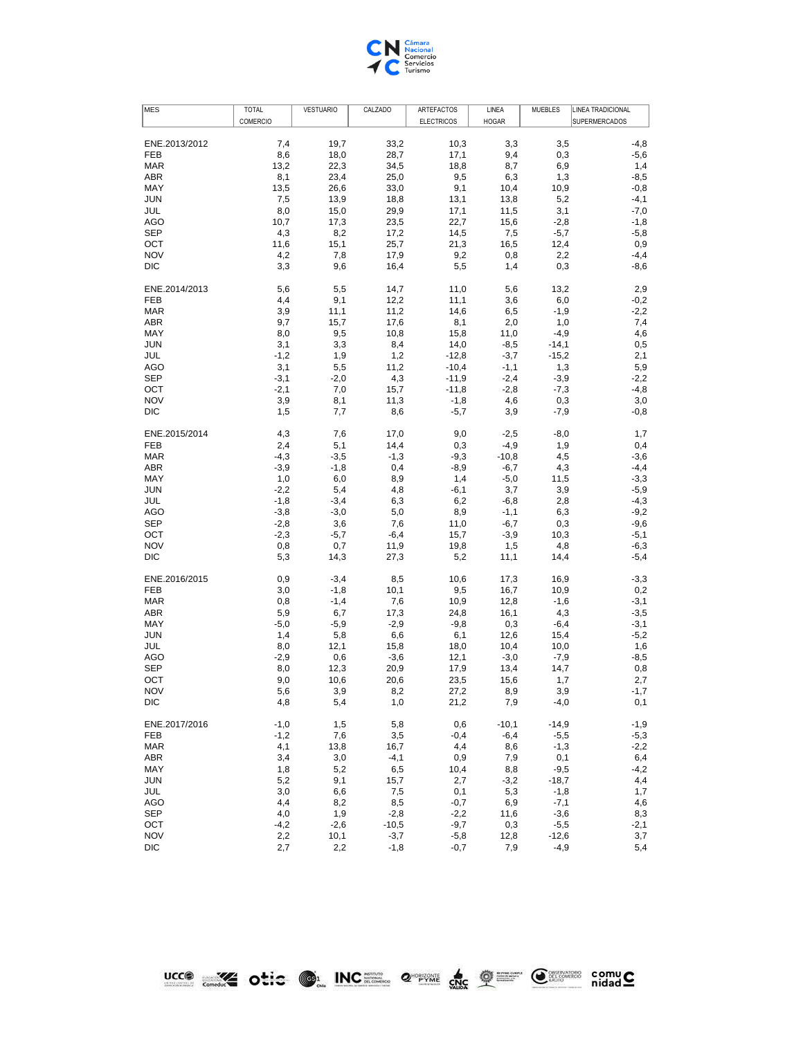

| COMERCIO<br><b>ELECTRICOS</b><br>SUPERMERCADOS<br><b>HOGAR</b><br>ENE.2013/2012<br>7,4<br>19,7<br>33,2<br>10,3<br>3,3<br>3,5<br>$-4,8$<br>8,6<br>28,7<br>FEB<br>18,0<br>17,1<br>9,4<br>0,3<br>$-5,6$<br><b>MAR</b><br>13,2<br>22,3<br>34,5<br>18,8<br>8,7<br>6,9<br>1,4<br>ABR<br>8,1<br>23,4<br>25,0<br>9,5<br>1,3<br>$-8,5$<br>6,3<br>MAY<br>9,1<br>13,5<br>26,6<br>33,0<br>10,4<br>10,9<br>$-0,8$<br><b>JUN</b><br>7,5<br>13,9<br>18,8<br>13,1<br>13,8<br>5,2<br>$-4,1$<br>8,0<br>15,0<br>29,9<br>17,1<br>11,5<br>3,1<br>$-7,0$<br>JUL<br>10,7<br>AGO<br>17,3<br>23,5<br>22,7<br>15,6<br>$-2,8$<br>$-1,8$<br><b>SEP</b><br>4,3<br>8,2<br>17,2<br>14,5<br>7,5<br>$-5,7$<br>$-5,8$<br>15,1<br>OCT<br>11,6<br>25,7<br>21,3<br>16,5<br>12,4<br>0,9<br><b>NOV</b><br>4,2<br>7,8<br>17,9<br>9,2<br>0,8<br>2,2<br>$-4,4$<br><b>DIC</b><br>3,3<br>9,6<br>16,4<br>5,5<br>0,3<br>1,4<br>$-8,6$<br>ENE.2014/2013<br>5,6<br>5,5<br>14,7<br>13,2<br>2,9<br>11,0<br>5,6<br>FEB<br>4,4<br>9,1<br>12,2<br>11,1<br>3,6<br>6,0<br>$-0,2$<br><b>MAR</b><br>3,9<br>11,1<br>11,2<br>14,6<br>6,5<br>$-1,9$<br>$-2,2$<br>9,7<br>ABR<br>15,7<br>17,6<br>8,1<br>2,0<br>1,0<br>7,4<br>MAY<br>8,0<br>9,5<br>10,8<br>15,8<br>11,0<br>$-4,9$<br>4,6<br><b>JUN</b><br>3,1<br>3,3<br>8,4<br>14,0<br>$-8,5$<br>$-14,1$<br>0,5<br>JUL<br>$-1,2$<br>1,9<br>1,2<br>$-12,8$<br>$-3,7$<br>$-15,2$<br>2,1<br>AGO<br>3,1<br>5,5<br>11,2<br>$-10,4$<br>$-1,1$<br>1,3<br>5,9<br><b>SEP</b><br>$-3,1$<br>$-2,0$<br>4,3<br>$-11,9$<br>$-2,4$<br>$-3,9$<br>$-2,2$<br>7,0<br>OCT<br>$-2,1$<br>15,7<br>$-11,8$<br>$-2,8$<br>$-7,3$<br>$-4,8$<br><b>NOV</b><br>3,9<br>8,1<br>11,3<br>$-1,8$<br>4,6<br>0,3<br>3,0<br>DIC<br>1,5<br>7,7<br>8,6<br>$-5,7$<br>$-7,9$<br>$-0,8$<br>3,9<br>ENE.2015/2014<br>4,3<br>$-8,0$<br>7,6<br>17,0<br>9,0<br>$-2,5$<br>1,7<br>FEB<br>2,4<br>5,1<br>14,4<br>0,3<br>$-4,9$<br>1,9<br>0,4<br><b>MAR</b><br>$-4,3$<br>$-3,5$<br>$-1,3$<br>$-9,3$<br>$-10,8$<br>4,5<br>$-3,6$<br>ABR<br>$-3,9$<br>$-1,8$<br>0,4<br>$-8,9$<br>$-6,7$<br>4,3<br>$-4,4$<br>MAY<br>1,0<br>6,0<br>8,9<br>1,4<br>$-5,0$<br>11,5<br>$-3,3$<br><b>JUN</b><br>$-2,2$<br>5,4<br>3,9<br>$-5,9$<br>4,8<br>-6,1<br>3,7<br>JUL<br>$-1,8$<br>$-3,4$<br>6,2<br>$-6,8$<br>2,8<br>$-4,3$<br>6,3<br>AGO<br>$-3,8$<br>$-3,0$<br>5,0<br>8,9<br>$-1,1$<br>6,3<br>$-9,2$<br><b>SEP</b><br>$-2,8$<br>3,6<br>7,6<br>11,0<br>$-6,7$<br>0,3<br>$-9,6$<br>$-2,3$<br>OCT<br>$-5,7$<br>15,7<br>$-3,9$<br>$-5,1$<br>$-6,4$<br>10,3<br><b>NOV</b><br>0,8<br>0,7<br>11,9<br>19,8<br>1,5<br>4,8<br>$-6,3$<br>DIC<br>5,3<br>14,3<br>27,3<br>5,2<br>11,1<br>14,4<br>$-5,4$<br>ENE.2016/2015<br>0,9<br>$-3,4$<br>10,6<br>17,3<br>16,9<br>$-3,3$<br>8,5<br>FEB<br>3,0<br>$-1,8$<br>10,1<br>9,5<br>16,7<br>10,9<br>0,2<br><b>MAR</b><br>0,8<br>$-1,4$<br>7,6<br>10,9<br>12,8<br>$-1,6$<br>$-3,1$<br>ABR<br>5,9<br>6,7<br>17,3<br>24,8<br>16,1<br>$-3,5$<br>4,3<br>MAY<br>$-5,0$<br>$-5,9$<br>$-2,9$<br>$-9,8$<br>0,3<br>$-3,1$<br>$-6,4$<br>6,6<br>$-5,2$<br><b>JUN</b><br>1,4<br>5,8<br>6,1<br>12,6<br>15,4<br>JUL<br>8,0<br>12,1<br>15,8<br>10,4<br>10,0<br>1,6<br>18,0<br>AGO<br>$-2,9$<br>0,6<br>$-3,6$<br>12,1<br>$-3,0$<br>$-7,9$<br>$-8,5$<br><b>SEP</b><br>8,0<br>12,3<br>20,9<br>17,9<br>13,4<br>0,8<br>14,7<br>OCT<br>9,0<br>10,6<br>20,6<br>23,5<br>15,6<br>1,7<br>2,7<br><b>NOV</b><br>5,6<br>3,9<br>8,2<br>27,2<br>8,9<br>3,9<br>$-1,7$<br>0,1<br>DIC<br>4,8<br>5,4<br>1,0<br>21,2<br>7,9<br>$-4,0$<br>$-1,0$<br>5,8<br>$-10,1$<br>$-14,9$<br>$-1,9$<br>ENE.2017/2016<br>1,5<br>0,6<br>FEB<br>$-1,2$<br>7,6<br>3,5<br>$-0,4$<br>$-6,4$<br>$-5,5$<br>$-5,3$<br>4,1<br>13,8<br>4,4<br>$-2,2$<br>MAR<br>16,7<br>8,6<br>$-1,3$<br>3,4<br>3,0<br>0,1<br>ABR<br>$-4,1$<br>0,9<br>7,9<br>6,4<br>1,8<br>5,2<br>6,5<br>8,8<br>$-9,5$<br>$-4,2$<br>MAY<br>10,4<br>5,2<br>9,1<br>$-18,7$<br>JUN<br>15,7<br>2,7<br>4,4<br>$-3,2$<br>3,0<br>JUL<br>6,6<br>7,5<br>0,1<br>5,3<br>$-1,8$<br>1,7<br>4,4<br>8,2<br>AGO<br>8,5<br>$-0,7$<br>6,9<br>$-7,1$<br>4,6<br><b>SEP</b><br>4,0<br>1,9<br>$-2,8$<br>$-2,2$<br>$-3,6$<br>8,3<br>11,6<br>OCT<br>$-9,7$<br>$-4,2$<br>$-2,6$<br>$-10,5$<br>0,3<br>$-5,5$<br>$-2,1$<br><b>NOV</b><br>2,2<br>10,1<br>$-3,7$<br>$-5,8$<br>12,8<br>$-12,6$<br>3,7<br>DIC<br>2,7<br>2,2<br>$-1,8$<br>$-0,7$<br>7,9<br>$-4,9$<br>5,4 | <b>MES</b> | <b>TOTAL</b> | <b>VESTUARIO</b> | CALZADO | ARTEFACTOS | LINEA | <b>MUEBLES</b> | LINEA TRADICIONAL |
|------------------------------------------------------------------------------------------------------------------------------------------------------------------------------------------------------------------------------------------------------------------------------------------------------------------------------------------------------------------------------------------------------------------------------------------------------------------------------------------------------------------------------------------------------------------------------------------------------------------------------------------------------------------------------------------------------------------------------------------------------------------------------------------------------------------------------------------------------------------------------------------------------------------------------------------------------------------------------------------------------------------------------------------------------------------------------------------------------------------------------------------------------------------------------------------------------------------------------------------------------------------------------------------------------------------------------------------------------------------------------------------------------------------------------------------------------------------------------------------------------------------------------------------------------------------------------------------------------------------------------------------------------------------------------------------------------------------------------------------------------------------------------------------------------------------------------------------------------------------------------------------------------------------------------------------------------------------------------------------------------------------------------------------------------------------------------------------------------------------------------------------------------------------------------------------------------------------------------------------------------------------------------------------------------------------------------------------------------------------------------------------------------------------------------------------------------------------------------------------------------------------------------------------------------------------------------------------------------------------------------------------------------------------------------------------------------------------------------------------------------------------------------------------------------------------------------------------------------------------------------------------------------------------------------------------------------------------------------------------------------------------------------------------------------------------------------------------------------------------------------------------------------------------------------------------------------------------------------------------------------------------------------------------------------------------------------------------------------------------------------------------------------------------------------------------------------------------------------------------------------------------------------------------------------------------------------------------------------------------------------------------------------------------------------------------------------------------------------------------------------------------------------------------------------------------------------------------------------------------------------------------------------------------------------------------------------------------------------------------------------------------------------------------------------------------------------------------------------------------------------------------------------------------------------------------------------------------------------------------------------------------------------------|------------|--------------|------------------|---------|------------|-------|----------------|-------------------|
|                                                                                                                                                                                                                                                                                                                                                                                                                                                                                                                                                                                                                                                                                                                                                                                                                                                                                                                                                                                                                                                                                                                                                                                                                                                                                                                                                                                                                                                                                                                                                                                                                                                                                                                                                                                                                                                                                                                                                                                                                                                                                                                                                                                                                                                                                                                                                                                                                                                                                                                                                                                                                                                                                                                                                                                                                                                                                                                                                                                                                                                                                                                                                                                                                                                                                                                                                                                                                                                                                                                                                                                                                                                                                                                                                                                                                                                                                                                                                                                                                                                                                                                                                                                                                                                                                    |            |              |                  |         |            |       |                |                   |
|                                                                                                                                                                                                                                                                                                                                                                                                                                                                                                                                                                                                                                                                                                                                                                                                                                                                                                                                                                                                                                                                                                                                                                                                                                                                                                                                                                                                                                                                                                                                                                                                                                                                                                                                                                                                                                                                                                                                                                                                                                                                                                                                                                                                                                                                                                                                                                                                                                                                                                                                                                                                                                                                                                                                                                                                                                                                                                                                                                                                                                                                                                                                                                                                                                                                                                                                                                                                                                                                                                                                                                                                                                                                                                                                                                                                                                                                                                                                                                                                                                                                                                                                                                                                                                                                                    |            |              |                  |         |            |       |                |                   |
|                                                                                                                                                                                                                                                                                                                                                                                                                                                                                                                                                                                                                                                                                                                                                                                                                                                                                                                                                                                                                                                                                                                                                                                                                                                                                                                                                                                                                                                                                                                                                                                                                                                                                                                                                                                                                                                                                                                                                                                                                                                                                                                                                                                                                                                                                                                                                                                                                                                                                                                                                                                                                                                                                                                                                                                                                                                                                                                                                                                                                                                                                                                                                                                                                                                                                                                                                                                                                                                                                                                                                                                                                                                                                                                                                                                                                                                                                                                                                                                                                                                                                                                                                                                                                                                                                    |            |              |                  |         |            |       |                |                   |
|                                                                                                                                                                                                                                                                                                                                                                                                                                                                                                                                                                                                                                                                                                                                                                                                                                                                                                                                                                                                                                                                                                                                                                                                                                                                                                                                                                                                                                                                                                                                                                                                                                                                                                                                                                                                                                                                                                                                                                                                                                                                                                                                                                                                                                                                                                                                                                                                                                                                                                                                                                                                                                                                                                                                                                                                                                                                                                                                                                                                                                                                                                                                                                                                                                                                                                                                                                                                                                                                                                                                                                                                                                                                                                                                                                                                                                                                                                                                                                                                                                                                                                                                                                                                                                                                                    |            |              |                  |         |            |       |                |                   |
|                                                                                                                                                                                                                                                                                                                                                                                                                                                                                                                                                                                                                                                                                                                                                                                                                                                                                                                                                                                                                                                                                                                                                                                                                                                                                                                                                                                                                                                                                                                                                                                                                                                                                                                                                                                                                                                                                                                                                                                                                                                                                                                                                                                                                                                                                                                                                                                                                                                                                                                                                                                                                                                                                                                                                                                                                                                                                                                                                                                                                                                                                                                                                                                                                                                                                                                                                                                                                                                                                                                                                                                                                                                                                                                                                                                                                                                                                                                                                                                                                                                                                                                                                                                                                                                                                    |            |              |                  |         |            |       |                |                   |
|                                                                                                                                                                                                                                                                                                                                                                                                                                                                                                                                                                                                                                                                                                                                                                                                                                                                                                                                                                                                                                                                                                                                                                                                                                                                                                                                                                                                                                                                                                                                                                                                                                                                                                                                                                                                                                                                                                                                                                                                                                                                                                                                                                                                                                                                                                                                                                                                                                                                                                                                                                                                                                                                                                                                                                                                                                                                                                                                                                                                                                                                                                                                                                                                                                                                                                                                                                                                                                                                                                                                                                                                                                                                                                                                                                                                                                                                                                                                                                                                                                                                                                                                                                                                                                                                                    |            |              |                  |         |            |       |                |                   |
|                                                                                                                                                                                                                                                                                                                                                                                                                                                                                                                                                                                                                                                                                                                                                                                                                                                                                                                                                                                                                                                                                                                                                                                                                                                                                                                                                                                                                                                                                                                                                                                                                                                                                                                                                                                                                                                                                                                                                                                                                                                                                                                                                                                                                                                                                                                                                                                                                                                                                                                                                                                                                                                                                                                                                                                                                                                                                                                                                                                                                                                                                                                                                                                                                                                                                                                                                                                                                                                                                                                                                                                                                                                                                                                                                                                                                                                                                                                                                                                                                                                                                                                                                                                                                                                                                    |            |              |                  |         |            |       |                |                   |
|                                                                                                                                                                                                                                                                                                                                                                                                                                                                                                                                                                                                                                                                                                                                                                                                                                                                                                                                                                                                                                                                                                                                                                                                                                                                                                                                                                                                                                                                                                                                                                                                                                                                                                                                                                                                                                                                                                                                                                                                                                                                                                                                                                                                                                                                                                                                                                                                                                                                                                                                                                                                                                                                                                                                                                                                                                                                                                                                                                                                                                                                                                                                                                                                                                                                                                                                                                                                                                                                                                                                                                                                                                                                                                                                                                                                                                                                                                                                                                                                                                                                                                                                                                                                                                                                                    |            |              |                  |         |            |       |                |                   |
|                                                                                                                                                                                                                                                                                                                                                                                                                                                                                                                                                                                                                                                                                                                                                                                                                                                                                                                                                                                                                                                                                                                                                                                                                                                                                                                                                                                                                                                                                                                                                                                                                                                                                                                                                                                                                                                                                                                                                                                                                                                                                                                                                                                                                                                                                                                                                                                                                                                                                                                                                                                                                                                                                                                                                                                                                                                                                                                                                                                                                                                                                                                                                                                                                                                                                                                                                                                                                                                                                                                                                                                                                                                                                                                                                                                                                                                                                                                                                                                                                                                                                                                                                                                                                                                                                    |            |              |                  |         |            |       |                |                   |
|                                                                                                                                                                                                                                                                                                                                                                                                                                                                                                                                                                                                                                                                                                                                                                                                                                                                                                                                                                                                                                                                                                                                                                                                                                                                                                                                                                                                                                                                                                                                                                                                                                                                                                                                                                                                                                                                                                                                                                                                                                                                                                                                                                                                                                                                                                                                                                                                                                                                                                                                                                                                                                                                                                                                                                                                                                                                                                                                                                                                                                                                                                                                                                                                                                                                                                                                                                                                                                                                                                                                                                                                                                                                                                                                                                                                                                                                                                                                                                                                                                                                                                                                                                                                                                                                                    |            |              |                  |         |            |       |                |                   |
|                                                                                                                                                                                                                                                                                                                                                                                                                                                                                                                                                                                                                                                                                                                                                                                                                                                                                                                                                                                                                                                                                                                                                                                                                                                                                                                                                                                                                                                                                                                                                                                                                                                                                                                                                                                                                                                                                                                                                                                                                                                                                                                                                                                                                                                                                                                                                                                                                                                                                                                                                                                                                                                                                                                                                                                                                                                                                                                                                                                                                                                                                                                                                                                                                                                                                                                                                                                                                                                                                                                                                                                                                                                                                                                                                                                                                                                                                                                                                                                                                                                                                                                                                                                                                                                                                    |            |              |                  |         |            |       |                |                   |
|                                                                                                                                                                                                                                                                                                                                                                                                                                                                                                                                                                                                                                                                                                                                                                                                                                                                                                                                                                                                                                                                                                                                                                                                                                                                                                                                                                                                                                                                                                                                                                                                                                                                                                                                                                                                                                                                                                                                                                                                                                                                                                                                                                                                                                                                                                                                                                                                                                                                                                                                                                                                                                                                                                                                                                                                                                                                                                                                                                                                                                                                                                                                                                                                                                                                                                                                                                                                                                                                                                                                                                                                                                                                                                                                                                                                                                                                                                                                                                                                                                                                                                                                                                                                                                                                                    |            |              |                  |         |            |       |                |                   |
|                                                                                                                                                                                                                                                                                                                                                                                                                                                                                                                                                                                                                                                                                                                                                                                                                                                                                                                                                                                                                                                                                                                                                                                                                                                                                                                                                                                                                                                                                                                                                                                                                                                                                                                                                                                                                                                                                                                                                                                                                                                                                                                                                                                                                                                                                                                                                                                                                                                                                                                                                                                                                                                                                                                                                                                                                                                                                                                                                                                                                                                                                                                                                                                                                                                                                                                                                                                                                                                                                                                                                                                                                                                                                                                                                                                                                                                                                                                                                                                                                                                                                                                                                                                                                                                                                    |            |              |                  |         |            |       |                |                   |
|                                                                                                                                                                                                                                                                                                                                                                                                                                                                                                                                                                                                                                                                                                                                                                                                                                                                                                                                                                                                                                                                                                                                                                                                                                                                                                                                                                                                                                                                                                                                                                                                                                                                                                                                                                                                                                                                                                                                                                                                                                                                                                                                                                                                                                                                                                                                                                                                                                                                                                                                                                                                                                                                                                                                                                                                                                                                                                                                                                                                                                                                                                                                                                                                                                                                                                                                                                                                                                                                                                                                                                                                                                                                                                                                                                                                                                                                                                                                                                                                                                                                                                                                                                                                                                                                                    |            |              |                  |         |            |       |                |                   |
|                                                                                                                                                                                                                                                                                                                                                                                                                                                                                                                                                                                                                                                                                                                                                                                                                                                                                                                                                                                                                                                                                                                                                                                                                                                                                                                                                                                                                                                                                                                                                                                                                                                                                                                                                                                                                                                                                                                                                                                                                                                                                                                                                                                                                                                                                                                                                                                                                                                                                                                                                                                                                                                                                                                                                                                                                                                                                                                                                                                                                                                                                                                                                                                                                                                                                                                                                                                                                                                                                                                                                                                                                                                                                                                                                                                                                                                                                                                                                                                                                                                                                                                                                                                                                                                                                    |            |              |                  |         |            |       |                |                   |
|                                                                                                                                                                                                                                                                                                                                                                                                                                                                                                                                                                                                                                                                                                                                                                                                                                                                                                                                                                                                                                                                                                                                                                                                                                                                                                                                                                                                                                                                                                                                                                                                                                                                                                                                                                                                                                                                                                                                                                                                                                                                                                                                                                                                                                                                                                                                                                                                                                                                                                                                                                                                                                                                                                                                                                                                                                                                                                                                                                                                                                                                                                                                                                                                                                                                                                                                                                                                                                                                                                                                                                                                                                                                                                                                                                                                                                                                                                                                                                                                                                                                                                                                                                                                                                                                                    |            |              |                  |         |            |       |                |                   |
|                                                                                                                                                                                                                                                                                                                                                                                                                                                                                                                                                                                                                                                                                                                                                                                                                                                                                                                                                                                                                                                                                                                                                                                                                                                                                                                                                                                                                                                                                                                                                                                                                                                                                                                                                                                                                                                                                                                                                                                                                                                                                                                                                                                                                                                                                                                                                                                                                                                                                                                                                                                                                                                                                                                                                                                                                                                                                                                                                                                                                                                                                                                                                                                                                                                                                                                                                                                                                                                                                                                                                                                                                                                                                                                                                                                                                                                                                                                                                                                                                                                                                                                                                                                                                                                                                    |            |              |                  |         |            |       |                |                   |
|                                                                                                                                                                                                                                                                                                                                                                                                                                                                                                                                                                                                                                                                                                                                                                                                                                                                                                                                                                                                                                                                                                                                                                                                                                                                                                                                                                                                                                                                                                                                                                                                                                                                                                                                                                                                                                                                                                                                                                                                                                                                                                                                                                                                                                                                                                                                                                                                                                                                                                                                                                                                                                                                                                                                                                                                                                                                                                                                                                                                                                                                                                                                                                                                                                                                                                                                                                                                                                                                                                                                                                                                                                                                                                                                                                                                                                                                                                                                                                                                                                                                                                                                                                                                                                                                                    |            |              |                  |         |            |       |                |                   |
|                                                                                                                                                                                                                                                                                                                                                                                                                                                                                                                                                                                                                                                                                                                                                                                                                                                                                                                                                                                                                                                                                                                                                                                                                                                                                                                                                                                                                                                                                                                                                                                                                                                                                                                                                                                                                                                                                                                                                                                                                                                                                                                                                                                                                                                                                                                                                                                                                                                                                                                                                                                                                                                                                                                                                                                                                                                                                                                                                                                                                                                                                                                                                                                                                                                                                                                                                                                                                                                                                                                                                                                                                                                                                                                                                                                                                                                                                                                                                                                                                                                                                                                                                                                                                                                                                    |            |              |                  |         |            |       |                |                   |
|                                                                                                                                                                                                                                                                                                                                                                                                                                                                                                                                                                                                                                                                                                                                                                                                                                                                                                                                                                                                                                                                                                                                                                                                                                                                                                                                                                                                                                                                                                                                                                                                                                                                                                                                                                                                                                                                                                                                                                                                                                                                                                                                                                                                                                                                                                                                                                                                                                                                                                                                                                                                                                                                                                                                                                                                                                                                                                                                                                                                                                                                                                                                                                                                                                                                                                                                                                                                                                                                                                                                                                                                                                                                                                                                                                                                                                                                                                                                                                                                                                                                                                                                                                                                                                                                                    |            |              |                  |         |            |       |                |                   |
|                                                                                                                                                                                                                                                                                                                                                                                                                                                                                                                                                                                                                                                                                                                                                                                                                                                                                                                                                                                                                                                                                                                                                                                                                                                                                                                                                                                                                                                                                                                                                                                                                                                                                                                                                                                                                                                                                                                                                                                                                                                                                                                                                                                                                                                                                                                                                                                                                                                                                                                                                                                                                                                                                                                                                                                                                                                                                                                                                                                                                                                                                                                                                                                                                                                                                                                                                                                                                                                                                                                                                                                                                                                                                                                                                                                                                                                                                                                                                                                                                                                                                                                                                                                                                                                                                    |            |              |                  |         |            |       |                |                   |
|                                                                                                                                                                                                                                                                                                                                                                                                                                                                                                                                                                                                                                                                                                                                                                                                                                                                                                                                                                                                                                                                                                                                                                                                                                                                                                                                                                                                                                                                                                                                                                                                                                                                                                                                                                                                                                                                                                                                                                                                                                                                                                                                                                                                                                                                                                                                                                                                                                                                                                                                                                                                                                                                                                                                                                                                                                                                                                                                                                                                                                                                                                                                                                                                                                                                                                                                                                                                                                                                                                                                                                                                                                                                                                                                                                                                                                                                                                                                                                                                                                                                                                                                                                                                                                                                                    |            |              |                  |         |            |       |                |                   |
|                                                                                                                                                                                                                                                                                                                                                                                                                                                                                                                                                                                                                                                                                                                                                                                                                                                                                                                                                                                                                                                                                                                                                                                                                                                                                                                                                                                                                                                                                                                                                                                                                                                                                                                                                                                                                                                                                                                                                                                                                                                                                                                                                                                                                                                                                                                                                                                                                                                                                                                                                                                                                                                                                                                                                                                                                                                                                                                                                                                                                                                                                                                                                                                                                                                                                                                                                                                                                                                                                                                                                                                                                                                                                                                                                                                                                                                                                                                                                                                                                                                                                                                                                                                                                                                                                    |            |              |                  |         |            |       |                |                   |
|                                                                                                                                                                                                                                                                                                                                                                                                                                                                                                                                                                                                                                                                                                                                                                                                                                                                                                                                                                                                                                                                                                                                                                                                                                                                                                                                                                                                                                                                                                                                                                                                                                                                                                                                                                                                                                                                                                                                                                                                                                                                                                                                                                                                                                                                                                                                                                                                                                                                                                                                                                                                                                                                                                                                                                                                                                                                                                                                                                                                                                                                                                                                                                                                                                                                                                                                                                                                                                                                                                                                                                                                                                                                                                                                                                                                                                                                                                                                                                                                                                                                                                                                                                                                                                                                                    |            |              |                  |         |            |       |                |                   |
|                                                                                                                                                                                                                                                                                                                                                                                                                                                                                                                                                                                                                                                                                                                                                                                                                                                                                                                                                                                                                                                                                                                                                                                                                                                                                                                                                                                                                                                                                                                                                                                                                                                                                                                                                                                                                                                                                                                                                                                                                                                                                                                                                                                                                                                                                                                                                                                                                                                                                                                                                                                                                                                                                                                                                                                                                                                                                                                                                                                                                                                                                                                                                                                                                                                                                                                                                                                                                                                                                                                                                                                                                                                                                                                                                                                                                                                                                                                                                                                                                                                                                                                                                                                                                                                                                    |            |              |                  |         |            |       |                |                   |
|                                                                                                                                                                                                                                                                                                                                                                                                                                                                                                                                                                                                                                                                                                                                                                                                                                                                                                                                                                                                                                                                                                                                                                                                                                                                                                                                                                                                                                                                                                                                                                                                                                                                                                                                                                                                                                                                                                                                                                                                                                                                                                                                                                                                                                                                                                                                                                                                                                                                                                                                                                                                                                                                                                                                                                                                                                                                                                                                                                                                                                                                                                                                                                                                                                                                                                                                                                                                                                                                                                                                                                                                                                                                                                                                                                                                                                                                                                                                                                                                                                                                                                                                                                                                                                                                                    |            |              |                  |         |            |       |                |                   |
|                                                                                                                                                                                                                                                                                                                                                                                                                                                                                                                                                                                                                                                                                                                                                                                                                                                                                                                                                                                                                                                                                                                                                                                                                                                                                                                                                                                                                                                                                                                                                                                                                                                                                                                                                                                                                                                                                                                                                                                                                                                                                                                                                                                                                                                                                                                                                                                                                                                                                                                                                                                                                                                                                                                                                                                                                                                                                                                                                                                                                                                                                                                                                                                                                                                                                                                                                                                                                                                                                                                                                                                                                                                                                                                                                                                                                                                                                                                                                                                                                                                                                                                                                                                                                                                                                    |            |              |                  |         |            |       |                |                   |
|                                                                                                                                                                                                                                                                                                                                                                                                                                                                                                                                                                                                                                                                                                                                                                                                                                                                                                                                                                                                                                                                                                                                                                                                                                                                                                                                                                                                                                                                                                                                                                                                                                                                                                                                                                                                                                                                                                                                                                                                                                                                                                                                                                                                                                                                                                                                                                                                                                                                                                                                                                                                                                                                                                                                                                                                                                                                                                                                                                                                                                                                                                                                                                                                                                                                                                                                                                                                                                                                                                                                                                                                                                                                                                                                                                                                                                                                                                                                                                                                                                                                                                                                                                                                                                                                                    |            |              |                  |         |            |       |                |                   |
|                                                                                                                                                                                                                                                                                                                                                                                                                                                                                                                                                                                                                                                                                                                                                                                                                                                                                                                                                                                                                                                                                                                                                                                                                                                                                                                                                                                                                                                                                                                                                                                                                                                                                                                                                                                                                                                                                                                                                                                                                                                                                                                                                                                                                                                                                                                                                                                                                                                                                                                                                                                                                                                                                                                                                                                                                                                                                                                                                                                                                                                                                                                                                                                                                                                                                                                                                                                                                                                                                                                                                                                                                                                                                                                                                                                                                                                                                                                                                                                                                                                                                                                                                                                                                                                                                    |            |              |                  |         |            |       |                |                   |
|                                                                                                                                                                                                                                                                                                                                                                                                                                                                                                                                                                                                                                                                                                                                                                                                                                                                                                                                                                                                                                                                                                                                                                                                                                                                                                                                                                                                                                                                                                                                                                                                                                                                                                                                                                                                                                                                                                                                                                                                                                                                                                                                                                                                                                                                                                                                                                                                                                                                                                                                                                                                                                                                                                                                                                                                                                                                                                                                                                                                                                                                                                                                                                                                                                                                                                                                                                                                                                                                                                                                                                                                                                                                                                                                                                                                                                                                                                                                                                                                                                                                                                                                                                                                                                                                                    |            |              |                  |         |            |       |                |                   |
|                                                                                                                                                                                                                                                                                                                                                                                                                                                                                                                                                                                                                                                                                                                                                                                                                                                                                                                                                                                                                                                                                                                                                                                                                                                                                                                                                                                                                                                                                                                                                                                                                                                                                                                                                                                                                                                                                                                                                                                                                                                                                                                                                                                                                                                                                                                                                                                                                                                                                                                                                                                                                                                                                                                                                                                                                                                                                                                                                                                                                                                                                                                                                                                                                                                                                                                                                                                                                                                                                                                                                                                                                                                                                                                                                                                                                                                                                                                                                                                                                                                                                                                                                                                                                                                                                    |            |              |                  |         |            |       |                |                   |
|                                                                                                                                                                                                                                                                                                                                                                                                                                                                                                                                                                                                                                                                                                                                                                                                                                                                                                                                                                                                                                                                                                                                                                                                                                                                                                                                                                                                                                                                                                                                                                                                                                                                                                                                                                                                                                                                                                                                                                                                                                                                                                                                                                                                                                                                                                                                                                                                                                                                                                                                                                                                                                                                                                                                                                                                                                                                                                                                                                                                                                                                                                                                                                                                                                                                                                                                                                                                                                                                                                                                                                                                                                                                                                                                                                                                                                                                                                                                                                                                                                                                                                                                                                                                                                                                                    |            |              |                  |         |            |       |                |                   |
|                                                                                                                                                                                                                                                                                                                                                                                                                                                                                                                                                                                                                                                                                                                                                                                                                                                                                                                                                                                                                                                                                                                                                                                                                                                                                                                                                                                                                                                                                                                                                                                                                                                                                                                                                                                                                                                                                                                                                                                                                                                                                                                                                                                                                                                                                                                                                                                                                                                                                                                                                                                                                                                                                                                                                                                                                                                                                                                                                                                                                                                                                                                                                                                                                                                                                                                                                                                                                                                                                                                                                                                                                                                                                                                                                                                                                                                                                                                                                                                                                                                                                                                                                                                                                                                                                    |            |              |                  |         |            |       |                |                   |
|                                                                                                                                                                                                                                                                                                                                                                                                                                                                                                                                                                                                                                                                                                                                                                                                                                                                                                                                                                                                                                                                                                                                                                                                                                                                                                                                                                                                                                                                                                                                                                                                                                                                                                                                                                                                                                                                                                                                                                                                                                                                                                                                                                                                                                                                                                                                                                                                                                                                                                                                                                                                                                                                                                                                                                                                                                                                                                                                                                                                                                                                                                                                                                                                                                                                                                                                                                                                                                                                                                                                                                                                                                                                                                                                                                                                                                                                                                                                                                                                                                                                                                                                                                                                                                                                                    |            |              |                  |         |            |       |                |                   |
|                                                                                                                                                                                                                                                                                                                                                                                                                                                                                                                                                                                                                                                                                                                                                                                                                                                                                                                                                                                                                                                                                                                                                                                                                                                                                                                                                                                                                                                                                                                                                                                                                                                                                                                                                                                                                                                                                                                                                                                                                                                                                                                                                                                                                                                                                                                                                                                                                                                                                                                                                                                                                                                                                                                                                                                                                                                                                                                                                                                                                                                                                                                                                                                                                                                                                                                                                                                                                                                                                                                                                                                                                                                                                                                                                                                                                                                                                                                                                                                                                                                                                                                                                                                                                                                                                    |            |              |                  |         |            |       |                |                   |
|                                                                                                                                                                                                                                                                                                                                                                                                                                                                                                                                                                                                                                                                                                                                                                                                                                                                                                                                                                                                                                                                                                                                                                                                                                                                                                                                                                                                                                                                                                                                                                                                                                                                                                                                                                                                                                                                                                                                                                                                                                                                                                                                                                                                                                                                                                                                                                                                                                                                                                                                                                                                                                                                                                                                                                                                                                                                                                                                                                                                                                                                                                                                                                                                                                                                                                                                                                                                                                                                                                                                                                                                                                                                                                                                                                                                                                                                                                                                                                                                                                                                                                                                                                                                                                                                                    |            |              |                  |         |            |       |                |                   |
|                                                                                                                                                                                                                                                                                                                                                                                                                                                                                                                                                                                                                                                                                                                                                                                                                                                                                                                                                                                                                                                                                                                                                                                                                                                                                                                                                                                                                                                                                                                                                                                                                                                                                                                                                                                                                                                                                                                                                                                                                                                                                                                                                                                                                                                                                                                                                                                                                                                                                                                                                                                                                                                                                                                                                                                                                                                                                                                                                                                                                                                                                                                                                                                                                                                                                                                                                                                                                                                                                                                                                                                                                                                                                                                                                                                                                                                                                                                                                                                                                                                                                                                                                                                                                                                                                    |            |              |                  |         |            |       |                |                   |
|                                                                                                                                                                                                                                                                                                                                                                                                                                                                                                                                                                                                                                                                                                                                                                                                                                                                                                                                                                                                                                                                                                                                                                                                                                                                                                                                                                                                                                                                                                                                                                                                                                                                                                                                                                                                                                                                                                                                                                                                                                                                                                                                                                                                                                                                                                                                                                                                                                                                                                                                                                                                                                                                                                                                                                                                                                                                                                                                                                                                                                                                                                                                                                                                                                                                                                                                                                                                                                                                                                                                                                                                                                                                                                                                                                                                                                                                                                                                                                                                                                                                                                                                                                                                                                                                                    |            |              |                  |         |            |       |                |                   |
|                                                                                                                                                                                                                                                                                                                                                                                                                                                                                                                                                                                                                                                                                                                                                                                                                                                                                                                                                                                                                                                                                                                                                                                                                                                                                                                                                                                                                                                                                                                                                                                                                                                                                                                                                                                                                                                                                                                                                                                                                                                                                                                                                                                                                                                                                                                                                                                                                                                                                                                                                                                                                                                                                                                                                                                                                                                                                                                                                                                                                                                                                                                                                                                                                                                                                                                                                                                                                                                                                                                                                                                                                                                                                                                                                                                                                                                                                                                                                                                                                                                                                                                                                                                                                                                                                    |            |              |                  |         |            |       |                |                   |
|                                                                                                                                                                                                                                                                                                                                                                                                                                                                                                                                                                                                                                                                                                                                                                                                                                                                                                                                                                                                                                                                                                                                                                                                                                                                                                                                                                                                                                                                                                                                                                                                                                                                                                                                                                                                                                                                                                                                                                                                                                                                                                                                                                                                                                                                                                                                                                                                                                                                                                                                                                                                                                                                                                                                                                                                                                                                                                                                                                                                                                                                                                                                                                                                                                                                                                                                                                                                                                                                                                                                                                                                                                                                                                                                                                                                                                                                                                                                                                                                                                                                                                                                                                                                                                                                                    |            |              |                  |         |            |       |                |                   |
|                                                                                                                                                                                                                                                                                                                                                                                                                                                                                                                                                                                                                                                                                                                                                                                                                                                                                                                                                                                                                                                                                                                                                                                                                                                                                                                                                                                                                                                                                                                                                                                                                                                                                                                                                                                                                                                                                                                                                                                                                                                                                                                                                                                                                                                                                                                                                                                                                                                                                                                                                                                                                                                                                                                                                                                                                                                                                                                                                                                                                                                                                                                                                                                                                                                                                                                                                                                                                                                                                                                                                                                                                                                                                                                                                                                                                                                                                                                                                                                                                                                                                                                                                                                                                                                                                    |            |              |                  |         |            |       |                |                   |
|                                                                                                                                                                                                                                                                                                                                                                                                                                                                                                                                                                                                                                                                                                                                                                                                                                                                                                                                                                                                                                                                                                                                                                                                                                                                                                                                                                                                                                                                                                                                                                                                                                                                                                                                                                                                                                                                                                                                                                                                                                                                                                                                                                                                                                                                                                                                                                                                                                                                                                                                                                                                                                                                                                                                                                                                                                                                                                                                                                                                                                                                                                                                                                                                                                                                                                                                                                                                                                                                                                                                                                                                                                                                                                                                                                                                                                                                                                                                                                                                                                                                                                                                                                                                                                                                                    |            |              |                  |         |            |       |                |                   |
|                                                                                                                                                                                                                                                                                                                                                                                                                                                                                                                                                                                                                                                                                                                                                                                                                                                                                                                                                                                                                                                                                                                                                                                                                                                                                                                                                                                                                                                                                                                                                                                                                                                                                                                                                                                                                                                                                                                                                                                                                                                                                                                                                                                                                                                                                                                                                                                                                                                                                                                                                                                                                                                                                                                                                                                                                                                                                                                                                                                                                                                                                                                                                                                                                                                                                                                                                                                                                                                                                                                                                                                                                                                                                                                                                                                                                                                                                                                                                                                                                                                                                                                                                                                                                                                                                    |            |              |                  |         |            |       |                |                   |
|                                                                                                                                                                                                                                                                                                                                                                                                                                                                                                                                                                                                                                                                                                                                                                                                                                                                                                                                                                                                                                                                                                                                                                                                                                                                                                                                                                                                                                                                                                                                                                                                                                                                                                                                                                                                                                                                                                                                                                                                                                                                                                                                                                                                                                                                                                                                                                                                                                                                                                                                                                                                                                                                                                                                                                                                                                                                                                                                                                                                                                                                                                                                                                                                                                                                                                                                                                                                                                                                                                                                                                                                                                                                                                                                                                                                                                                                                                                                                                                                                                                                                                                                                                                                                                                                                    |            |              |                  |         |            |       |                |                   |
|                                                                                                                                                                                                                                                                                                                                                                                                                                                                                                                                                                                                                                                                                                                                                                                                                                                                                                                                                                                                                                                                                                                                                                                                                                                                                                                                                                                                                                                                                                                                                                                                                                                                                                                                                                                                                                                                                                                                                                                                                                                                                                                                                                                                                                                                                                                                                                                                                                                                                                                                                                                                                                                                                                                                                                                                                                                                                                                                                                                                                                                                                                                                                                                                                                                                                                                                                                                                                                                                                                                                                                                                                                                                                                                                                                                                                                                                                                                                                                                                                                                                                                                                                                                                                                                                                    |            |              |                  |         |            |       |                |                   |
|                                                                                                                                                                                                                                                                                                                                                                                                                                                                                                                                                                                                                                                                                                                                                                                                                                                                                                                                                                                                                                                                                                                                                                                                                                                                                                                                                                                                                                                                                                                                                                                                                                                                                                                                                                                                                                                                                                                                                                                                                                                                                                                                                                                                                                                                                                                                                                                                                                                                                                                                                                                                                                                                                                                                                                                                                                                                                                                                                                                                                                                                                                                                                                                                                                                                                                                                                                                                                                                                                                                                                                                                                                                                                                                                                                                                                                                                                                                                                                                                                                                                                                                                                                                                                                                                                    |            |              |                  |         |            |       |                |                   |
|                                                                                                                                                                                                                                                                                                                                                                                                                                                                                                                                                                                                                                                                                                                                                                                                                                                                                                                                                                                                                                                                                                                                                                                                                                                                                                                                                                                                                                                                                                                                                                                                                                                                                                                                                                                                                                                                                                                                                                                                                                                                                                                                                                                                                                                                                                                                                                                                                                                                                                                                                                                                                                                                                                                                                                                                                                                                                                                                                                                                                                                                                                                                                                                                                                                                                                                                                                                                                                                                                                                                                                                                                                                                                                                                                                                                                                                                                                                                                                                                                                                                                                                                                                                                                                                                                    |            |              |                  |         |            |       |                |                   |
|                                                                                                                                                                                                                                                                                                                                                                                                                                                                                                                                                                                                                                                                                                                                                                                                                                                                                                                                                                                                                                                                                                                                                                                                                                                                                                                                                                                                                                                                                                                                                                                                                                                                                                                                                                                                                                                                                                                                                                                                                                                                                                                                                                                                                                                                                                                                                                                                                                                                                                                                                                                                                                                                                                                                                                                                                                                                                                                                                                                                                                                                                                                                                                                                                                                                                                                                                                                                                                                                                                                                                                                                                                                                                                                                                                                                                                                                                                                                                                                                                                                                                                                                                                                                                                                                                    |            |              |                  |         |            |       |                |                   |
|                                                                                                                                                                                                                                                                                                                                                                                                                                                                                                                                                                                                                                                                                                                                                                                                                                                                                                                                                                                                                                                                                                                                                                                                                                                                                                                                                                                                                                                                                                                                                                                                                                                                                                                                                                                                                                                                                                                                                                                                                                                                                                                                                                                                                                                                                                                                                                                                                                                                                                                                                                                                                                                                                                                                                                                                                                                                                                                                                                                                                                                                                                                                                                                                                                                                                                                                                                                                                                                                                                                                                                                                                                                                                                                                                                                                                                                                                                                                                                                                                                                                                                                                                                                                                                                                                    |            |              |                  |         |            |       |                |                   |
|                                                                                                                                                                                                                                                                                                                                                                                                                                                                                                                                                                                                                                                                                                                                                                                                                                                                                                                                                                                                                                                                                                                                                                                                                                                                                                                                                                                                                                                                                                                                                                                                                                                                                                                                                                                                                                                                                                                                                                                                                                                                                                                                                                                                                                                                                                                                                                                                                                                                                                                                                                                                                                                                                                                                                                                                                                                                                                                                                                                                                                                                                                                                                                                                                                                                                                                                                                                                                                                                                                                                                                                                                                                                                                                                                                                                                                                                                                                                                                                                                                                                                                                                                                                                                                                                                    |            |              |                  |         |            |       |                |                   |
|                                                                                                                                                                                                                                                                                                                                                                                                                                                                                                                                                                                                                                                                                                                                                                                                                                                                                                                                                                                                                                                                                                                                                                                                                                                                                                                                                                                                                                                                                                                                                                                                                                                                                                                                                                                                                                                                                                                                                                                                                                                                                                                                                                                                                                                                                                                                                                                                                                                                                                                                                                                                                                                                                                                                                                                                                                                                                                                                                                                                                                                                                                                                                                                                                                                                                                                                                                                                                                                                                                                                                                                                                                                                                                                                                                                                                                                                                                                                                                                                                                                                                                                                                                                                                                                                                    |            |              |                  |         |            |       |                |                   |
|                                                                                                                                                                                                                                                                                                                                                                                                                                                                                                                                                                                                                                                                                                                                                                                                                                                                                                                                                                                                                                                                                                                                                                                                                                                                                                                                                                                                                                                                                                                                                                                                                                                                                                                                                                                                                                                                                                                                                                                                                                                                                                                                                                                                                                                                                                                                                                                                                                                                                                                                                                                                                                                                                                                                                                                                                                                                                                                                                                                                                                                                                                                                                                                                                                                                                                                                                                                                                                                                                                                                                                                                                                                                                                                                                                                                                                                                                                                                                                                                                                                                                                                                                                                                                                                                                    |            |              |                  |         |            |       |                |                   |
|                                                                                                                                                                                                                                                                                                                                                                                                                                                                                                                                                                                                                                                                                                                                                                                                                                                                                                                                                                                                                                                                                                                                                                                                                                                                                                                                                                                                                                                                                                                                                                                                                                                                                                                                                                                                                                                                                                                                                                                                                                                                                                                                                                                                                                                                                                                                                                                                                                                                                                                                                                                                                                                                                                                                                                                                                                                                                                                                                                                                                                                                                                                                                                                                                                                                                                                                                                                                                                                                                                                                                                                                                                                                                                                                                                                                                                                                                                                                                                                                                                                                                                                                                                                                                                                                                    |            |              |                  |         |            |       |                |                   |
|                                                                                                                                                                                                                                                                                                                                                                                                                                                                                                                                                                                                                                                                                                                                                                                                                                                                                                                                                                                                                                                                                                                                                                                                                                                                                                                                                                                                                                                                                                                                                                                                                                                                                                                                                                                                                                                                                                                                                                                                                                                                                                                                                                                                                                                                                                                                                                                                                                                                                                                                                                                                                                                                                                                                                                                                                                                                                                                                                                                                                                                                                                                                                                                                                                                                                                                                                                                                                                                                                                                                                                                                                                                                                                                                                                                                                                                                                                                                                                                                                                                                                                                                                                                                                                                                                    |            |              |                  |         |            |       |                |                   |
|                                                                                                                                                                                                                                                                                                                                                                                                                                                                                                                                                                                                                                                                                                                                                                                                                                                                                                                                                                                                                                                                                                                                                                                                                                                                                                                                                                                                                                                                                                                                                                                                                                                                                                                                                                                                                                                                                                                                                                                                                                                                                                                                                                                                                                                                                                                                                                                                                                                                                                                                                                                                                                                                                                                                                                                                                                                                                                                                                                                                                                                                                                                                                                                                                                                                                                                                                                                                                                                                                                                                                                                                                                                                                                                                                                                                                                                                                                                                                                                                                                                                                                                                                                                                                                                                                    |            |              |                  |         |            |       |                |                   |
|                                                                                                                                                                                                                                                                                                                                                                                                                                                                                                                                                                                                                                                                                                                                                                                                                                                                                                                                                                                                                                                                                                                                                                                                                                                                                                                                                                                                                                                                                                                                                                                                                                                                                                                                                                                                                                                                                                                                                                                                                                                                                                                                                                                                                                                                                                                                                                                                                                                                                                                                                                                                                                                                                                                                                                                                                                                                                                                                                                                                                                                                                                                                                                                                                                                                                                                                                                                                                                                                                                                                                                                                                                                                                                                                                                                                                                                                                                                                                                                                                                                                                                                                                                                                                                                                                    |            |              |                  |         |            |       |                |                   |
|                                                                                                                                                                                                                                                                                                                                                                                                                                                                                                                                                                                                                                                                                                                                                                                                                                                                                                                                                                                                                                                                                                                                                                                                                                                                                                                                                                                                                                                                                                                                                                                                                                                                                                                                                                                                                                                                                                                                                                                                                                                                                                                                                                                                                                                                                                                                                                                                                                                                                                                                                                                                                                                                                                                                                                                                                                                                                                                                                                                                                                                                                                                                                                                                                                                                                                                                                                                                                                                                                                                                                                                                                                                                                                                                                                                                                                                                                                                                                                                                                                                                                                                                                                                                                                                                                    |            |              |                  |         |            |       |                |                   |
|                                                                                                                                                                                                                                                                                                                                                                                                                                                                                                                                                                                                                                                                                                                                                                                                                                                                                                                                                                                                                                                                                                                                                                                                                                                                                                                                                                                                                                                                                                                                                                                                                                                                                                                                                                                                                                                                                                                                                                                                                                                                                                                                                                                                                                                                                                                                                                                                                                                                                                                                                                                                                                                                                                                                                                                                                                                                                                                                                                                                                                                                                                                                                                                                                                                                                                                                                                                                                                                                                                                                                                                                                                                                                                                                                                                                                                                                                                                                                                                                                                                                                                                                                                                                                                                                                    |            |              |                  |         |            |       |                |                   |
|                                                                                                                                                                                                                                                                                                                                                                                                                                                                                                                                                                                                                                                                                                                                                                                                                                                                                                                                                                                                                                                                                                                                                                                                                                                                                                                                                                                                                                                                                                                                                                                                                                                                                                                                                                                                                                                                                                                                                                                                                                                                                                                                                                                                                                                                                                                                                                                                                                                                                                                                                                                                                                                                                                                                                                                                                                                                                                                                                                                                                                                                                                                                                                                                                                                                                                                                                                                                                                                                                                                                                                                                                                                                                                                                                                                                                                                                                                                                                                                                                                                                                                                                                                                                                                                                                    |            |              |                  |         |            |       |                |                   |
|                                                                                                                                                                                                                                                                                                                                                                                                                                                                                                                                                                                                                                                                                                                                                                                                                                                                                                                                                                                                                                                                                                                                                                                                                                                                                                                                                                                                                                                                                                                                                                                                                                                                                                                                                                                                                                                                                                                                                                                                                                                                                                                                                                                                                                                                                                                                                                                                                                                                                                                                                                                                                                                                                                                                                                                                                                                                                                                                                                                                                                                                                                                                                                                                                                                                                                                                                                                                                                                                                                                                                                                                                                                                                                                                                                                                                                                                                                                                                                                                                                                                                                                                                                                                                                                                                    |            |              |                  |         |            |       |                |                   |
|                                                                                                                                                                                                                                                                                                                                                                                                                                                                                                                                                                                                                                                                                                                                                                                                                                                                                                                                                                                                                                                                                                                                                                                                                                                                                                                                                                                                                                                                                                                                                                                                                                                                                                                                                                                                                                                                                                                                                                                                                                                                                                                                                                                                                                                                                                                                                                                                                                                                                                                                                                                                                                                                                                                                                                                                                                                                                                                                                                                                                                                                                                                                                                                                                                                                                                                                                                                                                                                                                                                                                                                                                                                                                                                                                                                                                                                                                                                                                                                                                                                                                                                                                                                                                                                                                    |            |              |                  |         |            |       |                |                   |
|                                                                                                                                                                                                                                                                                                                                                                                                                                                                                                                                                                                                                                                                                                                                                                                                                                                                                                                                                                                                                                                                                                                                                                                                                                                                                                                                                                                                                                                                                                                                                                                                                                                                                                                                                                                                                                                                                                                                                                                                                                                                                                                                                                                                                                                                                                                                                                                                                                                                                                                                                                                                                                                                                                                                                                                                                                                                                                                                                                                                                                                                                                                                                                                                                                                                                                                                                                                                                                                                                                                                                                                                                                                                                                                                                                                                                                                                                                                                                                                                                                                                                                                                                                                                                                                                                    |            |              |                  |         |            |       |                |                   |
|                                                                                                                                                                                                                                                                                                                                                                                                                                                                                                                                                                                                                                                                                                                                                                                                                                                                                                                                                                                                                                                                                                                                                                                                                                                                                                                                                                                                                                                                                                                                                                                                                                                                                                                                                                                                                                                                                                                                                                                                                                                                                                                                                                                                                                                                                                                                                                                                                                                                                                                                                                                                                                                                                                                                                                                                                                                                                                                                                                                                                                                                                                                                                                                                                                                                                                                                                                                                                                                                                                                                                                                                                                                                                                                                                                                                                                                                                                                                                                                                                                                                                                                                                                                                                                                                                    |            |              |                  |         |            |       |                |                   |
|                                                                                                                                                                                                                                                                                                                                                                                                                                                                                                                                                                                                                                                                                                                                                                                                                                                                                                                                                                                                                                                                                                                                                                                                                                                                                                                                                                                                                                                                                                                                                                                                                                                                                                                                                                                                                                                                                                                                                                                                                                                                                                                                                                                                                                                                                                                                                                                                                                                                                                                                                                                                                                                                                                                                                                                                                                                                                                                                                                                                                                                                                                                                                                                                                                                                                                                                                                                                                                                                                                                                                                                                                                                                                                                                                                                                                                                                                                                                                                                                                                                                                                                                                                                                                                                                                    |            |              |                  |         |            |       |                |                   |
|                                                                                                                                                                                                                                                                                                                                                                                                                                                                                                                                                                                                                                                                                                                                                                                                                                                                                                                                                                                                                                                                                                                                                                                                                                                                                                                                                                                                                                                                                                                                                                                                                                                                                                                                                                                                                                                                                                                                                                                                                                                                                                                                                                                                                                                                                                                                                                                                                                                                                                                                                                                                                                                                                                                                                                                                                                                                                                                                                                                                                                                                                                                                                                                                                                                                                                                                                                                                                                                                                                                                                                                                                                                                                                                                                                                                                                                                                                                                                                                                                                                                                                                                                                                                                                                                                    |            |              |                  |         |            |       |                |                   |
|                                                                                                                                                                                                                                                                                                                                                                                                                                                                                                                                                                                                                                                                                                                                                                                                                                                                                                                                                                                                                                                                                                                                                                                                                                                                                                                                                                                                                                                                                                                                                                                                                                                                                                                                                                                                                                                                                                                                                                                                                                                                                                                                                                                                                                                                                                                                                                                                                                                                                                                                                                                                                                                                                                                                                                                                                                                                                                                                                                                                                                                                                                                                                                                                                                                                                                                                                                                                                                                                                                                                                                                                                                                                                                                                                                                                                                                                                                                                                                                                                                                                                                                                                                                                                                                                                    |            |              |                  |         |            |       |                |                   |
|                                                                                                                                                                                                                                                                                                                                                                                                                                                                                                                                                                                                                                                                                                                                                                                                                                                                                                                                                                                                                                                                                                                                                                                                                                                                                                                                                                                                                                                                                                                                                                                                                                                                                                                                                                                                                                                                                                                                                                                                                                                                                                                                                                                                                                                                                                                                                                                                                                                                                                                                                                                                                                                                                                                                                                                                                                                                                                                                                                                                                                                                                                                                                                                                                                                                                                                                                                                                                                                                                                                                                                                                                                                                                                                                                                                                                                                                                                                                                                                                                                                                                                                                                                                                                                                                                    |            |              |                  |         |            |       |                |                   |

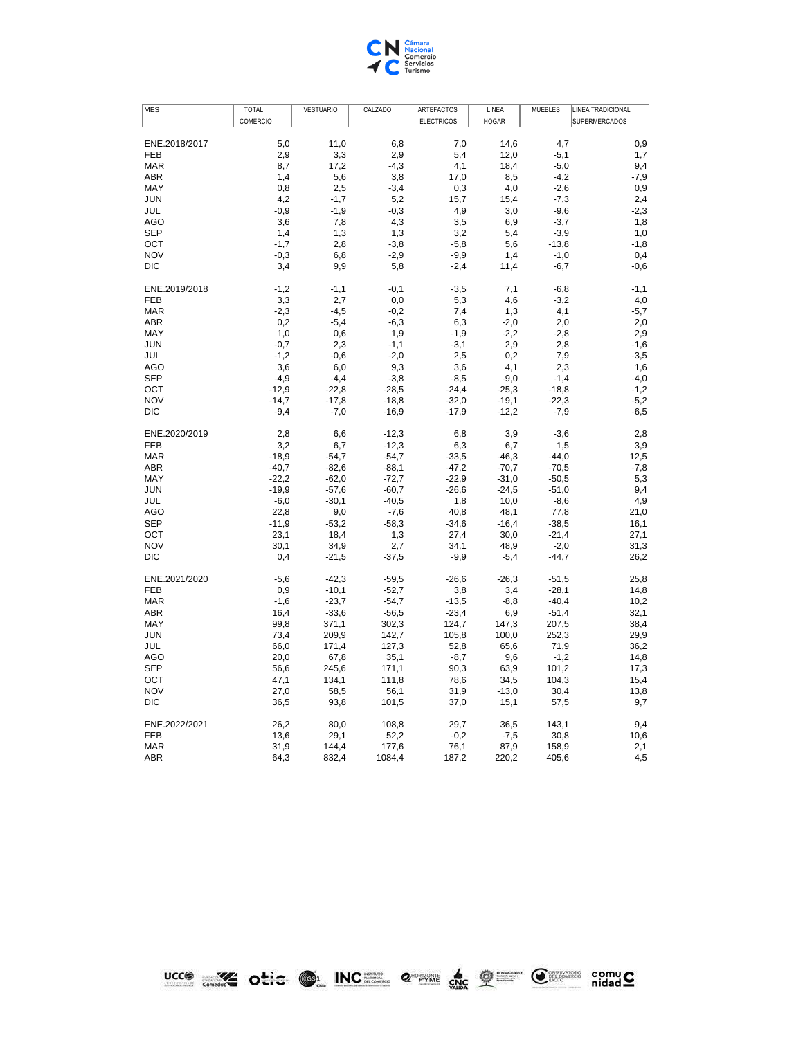

| <b>MES</b>        | <b>TOTAL</b> | <b>VESTUARIO</b> | CALZADO       | ARTEFACTOS        | LINEA        | <b>MUEBLES</b>   | LINEA TRADICIONAL    |
|-------------------|--------------|------------------|---------------|-------------------|--------------|------------------|----------------------|
|                   | COMERCIO     |                  |               | <b>ELECTRICOS</b> | <b>HOGAR</b> |                  | <b>SUPERMERCADOS</b> |
|                   |              |                  |               |                   |              |                  |                      |
| ENE.2018/2017     | 5,0          | 11,0             | 6,8           | 7,0               | 14,6         | 4.7              | 0,9                  |
| <b>FEB</b>        | 2,9          | 3,3              | 2,9           | 5,4               | 12,0         | $-5,1$           | 1,7                  |
| <b>MAR</b>        | 8,7          | 17,2             | $-4,3$        | 4,1               | 18,4         | $-5,0$           | 9,4                  |
| <b>ABR</b>        | 1,4          | 5,6              | 3,8           | 17,0              | 8,5          | $-4,2$           | $-7,9$               |
| MAY<br><b>JUN</b> | 0,8<br>4,2   | 2,5<br>$-1,7$    | $-3,4$        | 0,3<br>15,7       | 4,0          | $-2,6$           | 0,9                  |
| JUL               | $-0.9$       | $-1,9$           | 5,2<br>$-0.3$ | 4,9               | 15,4<br>3,0  | $-7,3$<br>$-9,6$ | 2,4<br>$-2,3$        |
| <b>AGO</b>        | 3,6          | 7,8              | 4,3           | 3,5               | 6,9          | $-3,7$           | 1,8                  |
| <b>SEP</b>        | 1,4          | 1,3              | 1,3           | 3,2               | 5,4          | $-3.9$           | 1,0                  |
| OCT               | $-1,7$       | 2,8              | $-3,8$        | $-5,8$            | 5,6          | $-13,8$          | $-1,8$               |
| <b>NOV</b>        | $-0,3$       | 6,8              | $-2,9$        | $-9,9$            | 1,4          | $-1,0$           | 0,4                  |
| <b>DIC</b>        | 3,4          | 9,9              | 5,8           | $-2,4$            | 11,4         | $-6,7$           | $-0,6$               |
|                   |              |                  |               |                   |              |                  |                      |
| ENE.2019/2018     | $-1,2$       | $-1,1$           | $-0,1$        | $-3,5$            | 7,1          | $-6, 8$          | $-1,1$               |
| FEB               | 3,3          | 2,7              | 0,0           | 5,3               | 4,6          | $-3,2$           | 4,0                  |
| <b>MAR</b>        | $-2,3$       | $-4,5$           | $-0,2$        | 7,4               | 1,3          | 4,1              | $-5,7$               |
| ABR               | 0,2          | $-5,4$           | $-6,3$        | 6,3               | $-2,0$       | 2,0              | 2,0                  |
| MAY               | 1,0          | 0,6              | 1,9           | $-1,9$            | $-2,2$       | $-2,8$           | 2,9                  |
| <b>JUN</b>        | $-0,7$       | 2,3              | $-1,1$        | $-3,1$            | 2,9          | 2,8              | $-1,6$               |
| JUL               | $-1,2$       | $-0,6$           | $-2,0$        | 2,5               | 0,2          | 7,9              | $-3,5$               |
| AGO               | 3,6          | 6,0              | 9,3           | 3,6               | 4,1          | 2,3              | 1,6                  |
| <b>SEP</b>        | $-4,9$       | $-4,4$           | $-3,8$        | $-8,5$            | $-9,0$       | $-1,4$           | $-4,0$               |
| OCT               | $-12,9$      | $-22,8$          | $-28,5$       | $-24,4$           | $-25,3$      | $-18,8$          | $-1,2$               |
| <b>NOV</b>        | $-14,7$      | $-17,8$          | $-18,8$       | $-32,0$           | $-19,1$      | $-22.3$          | $-5,2$               |
| <b>DIC</b>        | $-9,4$       | $-7,0$           | $-16,9$       | $-17,9$           | $-12,2$      | $-7,9$           | $-6,5$               |
|                   |              |                  |               |                   |              |                  |                      |
| ENE.2020/2019     | 2,8          | 6,6              | $-12,3$       | 6,8               | 3,9          | $-3,6$           | 2,8                  |
| <b>FEB</b>        | 3,2          | 6,7              | $-12,3$       | 6,3               | 6,7          | 1,5              | 3,9                  |
| <b>MAR</b>        | $-18.9$      | $-54,7$          | $-54,7$       | $-33,5$           | $-46,3$      | $-44,0$          | 12,5                 |
| ABR               | $-40,7$      | $-82,6$          | $-88.1$       | $-47,2$           | $-70,7$      | $-70,5$          | $-7,8$               |
| MAY               | $-22,2$      | $-62,0$          | $-72,7$       | $-22,9$           | $-31,0$      | $-50,5$          | 5,3                  |
| <b>JUN</b>        | $-19.9$      | $-57,6$          | $-60,7$       | $-26,6$           | $-24,5$      | $-51,0$          | 9,4                  |
| JUL               | $-6,0$       | $-30,1$          | $-40,5$       | 1,8               | 10,0         | $-8,6$           | 4,9                  |
| AGO               | 22,8         | 9,0              | $-7,6$        | 40,8              | 48,1         | 77,8             | 21,0                 |
| <b>SEP</b>        | $-11,9$      | $-53,2$          | $-58.3$       | $-34,6$           | $-16,4$      | $-38,5$          | 16,1                 |
| OCT               | 23,1         | 18,4             | 1,3           | 27,4              | 30,0         | $-21,4$          | 27,1                 |
| <b>NOV</b>        | 30,1         | 34,9             | 2,7           | 34,1              | 48,9         | $-2,0$           | 31,3                 |
| <b>DIC</b>        | 0,4          | $-21,5$          | $-37,5$       | $-9,9$            | $-5,4$       | $-44,7$          | 26,2                 |
| ENE.2021/2020     | $-5,6$       | $-42,3$          | $-59,5$       | $-26,6$           | $-26,3$      | $-51,5$          | 25,8                 |
| <b>FEB</b>        | 0,9          | $-10,1$          | $-52,7$       | 3,8               | 3,4          | $-28,1$          | 14,8                 |
| <b>MAR</b>        | $-1.6$       | $-23,7$          | $-54,7$       | $-13,5$           | $-8,8$       | $-40,4$          | 10,2                 |
| <b>ABR</b>        | 16,4         | $-33,6$          | $-56,5$       | $-23,4$           | 6,9          | $-51,4$          | 32,1                 |
| MAY               | 99,8         | 371,1            | 302,3         | 124,7             | 147,3        | 207,5            | 38,4                 |
| <b>JUN</b>        | 73,4         | 209.9            | 142,7         | 105,8             | 100,0        | 252,3            | 29,9                 |
| JUL               | 66,0         | 171,4            | 127,3         | 52,8              | 65,6         | 71,9             | 36,2                 |
| AGO               | 20,0         | 67,8             | 35,1          | $-8,7$            | 9,6          | $-1,2$           | 14,8                 |
| <b>SEP</b>        | 56,6         | 245,6            | 171,1         | 90,3              | 63,9         | 101,2            | 17,3                 |
| OCT               | 47,1         | 134,1            | 111,8         | 78,6              | 34,5         | 104,3            | 15,4                 |
| <b>NOV</b>        | 27,0         | 58,5             | 56,1          | 31,9              | $-13,0$      | 30,4             | 13,8                 |
| <b>DIC</b>        | 36,5         | 93,8             | 101,5         | 37,0              | 15,1         | 57,5             | 9,7                  |
|                   |              |                  |               |                   |              |                  |                      |
| ENE.2022/2021     | 26,2         | 80,0             | 108,8         | 29,7              | 36,5         | 143,1            | 9,4                  |
| <b>FEB</b>        | 13,6         | 29,1             | 52,2          | $-0,2$            | $-7,5$       | 30,8             | 10,6                 |
| <b>MAR</b>        | 31,9         | 144,4            | 177,6         | 76,1              | 87,9         | 158,9            | 2,1                  |
| ABR               | 64,3         | 832,4            | 1084,4        | 187,2             | 220,2        | 405,6            | 4,5                  |

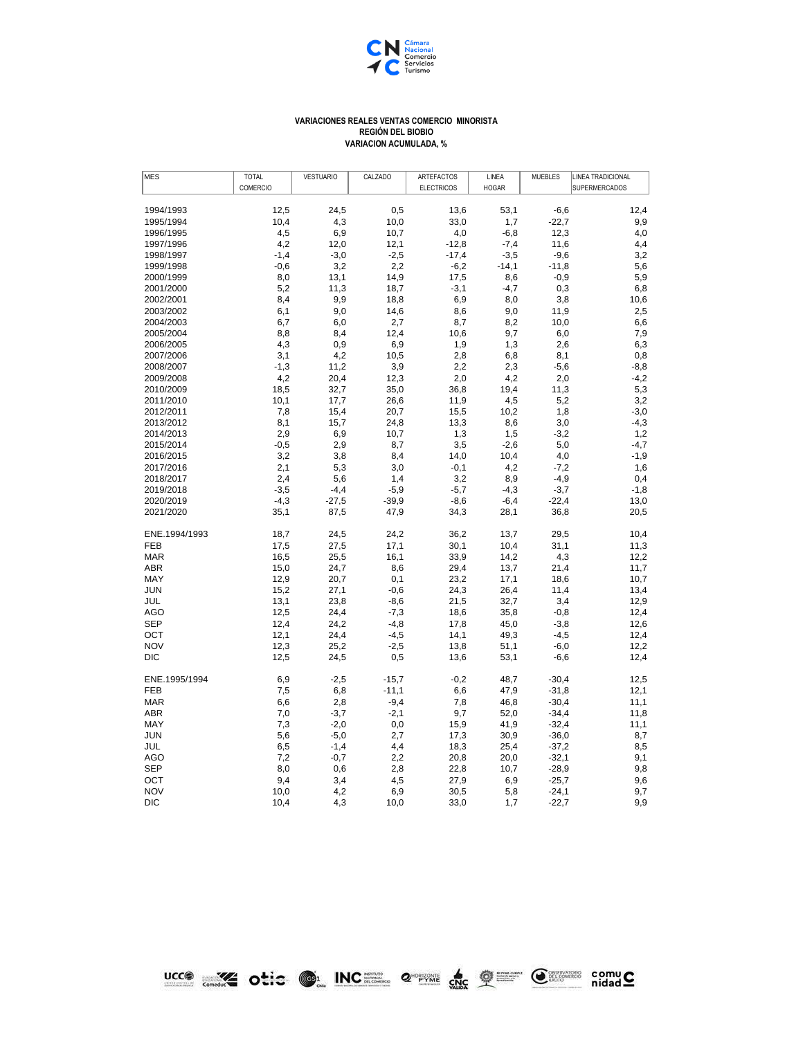

## **REGIÓN DEL BIOBIO VARIACION ACUMULADA, % VARIACIONES REALES VENTAS COMERCIO MINORISTA**

| MES           | <b>TOTAL</b>    | <b>VESTUARIO</b> | CALZADO | ARTEFACTOS        | LINEA        | <b>MUEBLES</b> | LINEA TRADICIONAL    |
|---------------|-----------------|------------------|---------|-------------------|--------------|----------------|----------------------|
|               | <b>COMERCIO</b> |                  |         | <b>ELECTRICOS</b> | <b>HOGAR</b> |                | <b>SUPERMERCADOS</b> |
|               |                 |                  |         |                   |              |                |                      |
| 1994/1993     | 12,5            | 24,5             | 0,5     | 13,6              | 53,1         | $-6,6$         | 12,4                 |
| 1995/1994     | 10,4            | 4,3              | 10,0    | 33,0              | 1,7          | $-22.7$        | 9,9                  |
| 1996/1995     | 4,5             | 6,9              | 10,7    | 4,0               | $-6,8$       | 12,3           | 4,0                  |
| 1997/1996     | 4,2             | 12,0             | 12,1    | $-12,8$           | $-7,4$       | 11,6           | 4,4                  |
| 1998/1997     | $-1,4$          | $-3,0$           | $-2,5$  | $-17,4$           | $-3,5$       | $-9,6$         | 3,2                  |
| 1999/1998     | $-0,6$          | 3,2              | 2,2     | $-6,2$            | $-14,1$      | $-11,8$        | 5,6                  |
| 2000/1999     | 8,0             | 13,1             | 14,9    | 17,5              | 8,6          | $-0,9$         | 5,9                  |
| 2001/2000     | 5,2             | 11,3             | 18,7    | $-3,1$            | $-4,7$       | 0,3            | 6,8                  |
| 2002/2001     | 8,4             | 9,9              | 18,8    | 6,9               | 8,0          | 3,8            | 10,6                 |
| 2003/2002     | 6,1             | 9,0              | 14,6    | 8,6               | 9,0          | 11,9           | 2,5                  |
| 2004/2003     | 6,7             | 6,0              | 2,7     | 8,7               | 8,2          | 10,0           | 6,6                  |
| 2005/2004     | 8,8             | 8,4              | 12,4    | 10,6              | 9,7          | 6,0            | 7,9                  |
| 2006/2005     | 4,3             | 0,9              | 6,9     | 1,9               | 1,3          | 2,6            | 6,3                  |
| 2007/2006     | 3,1             | 4,2              | 10,5    | 2,8               | 6,8          | 8,1            | 0,8                  |
| 2008/2007     | $-1,3$          | 11,2             | 3,9     | 2,2               | 2,3          | $-5,6$         | $-8,8$               |
| 2009/2008     | 4,2             | 20,4             | 12,3    | 2,0               | 4,2          | 2,0            | $-4,2$               |
| 2010/2009     | 18,5            | 32,7             | 35,0    | 36,8              | 19,4         | 11,3           | 5,3                  |
| 2011/2010     | 10,1            | 17,7             | 26,6    | 11,9              | 4,5          | 5,2            | 3,2                  |
| 2012/2011     | 7,8             | 15,4             | 20,7    | 15,5              | 10,2         | 1,8            | $-3,0$               |
| 2013/2012     | 8,1             | 15,7             | 24,8    | 13,3              | 8,6          | 3,0            | $-4,3$               |
| 2014/2013     | 2,9             | 6,9              | 10,7    | 1,3               | 1,5          | $-3,2$         | 1,2                  |
| 2015/2014     | $-0,5$          | 2,9              | 8,7     | 3,5               | $-2,6$       | 5,0            | $-4,7$               |
| 2016/2015     | 3,2             | 3,8              | 8,4     | 14,0              | 10,4         | 4,0            | $-1,9$               |
| 2017/2016     | 2,1             | 5,3              | 3,0     | $-0,1$            | 4,2          | $-7,2$         | 1,6                  |
| 2018/2017     | 2,4             | 5,6              | 1,4     | 3,2               | 8,9          | $-4,9$         | 0,4                  |
| 2019/2018     | $-3,5$          | $-4,4$           | $-5,9$  | $-5,7$            | $-4,3$       | $-3,7$         | $-1,8$               |
| 2020/2019     | $-4,3$          | $-27,5$          | $-39,9$ | $-8,6$            | $-6,4$       | $-22,4$        | 13,0                 |
| 2021/2020     | 35,1            | 87,5             | 47,9    | 34,3              | 28,1         | 36,8           | 20,5                 |
| ENE.1994/1993 | 18,7            | 24,5             | 24,2    | 36,2              | 13,7         | 29,5           | 10,4                 |
| <b>FEB</b>    | 17,5            | 27,5             | 17,1    | 30,1              | 10,4         | 31,1           | 11,3                 |
| <b>MAR</b>    | 16,5            | 25,5             | 16,1    | 33,9              | 14,2         | 4,3            | 12,2                 |
| ABR           | 15,0            | 24,7             | 8,6     | 29,4              | 13,7         | 21,4           | 11,7                 |
| MAY           | 12,9            | 20,7             | 0,1     | 23,2              | 17,1         | 18,6           | 10,7                 |
| <b>JUN</b>    | 15,2            | 27,1             | $-0,6$  | 24,3              | 26,4         | 11,4           | 13,4                 |
| JUL           | 13,1            | 23,8             | $-8,6$  | 21,5              | 32,7         | 3,4            | 12,9                 |
| AGO           | 12,5            | 24,4             | $-7,3$  | 18,6              | 35,8         | $-0,8$         | 12,4                 |
| <b>SEP</b>    | 12,4            | 24,2             | $-4,8$  | 17,8              | 45,0         | $-3,8$         | 12,6                 |
| OCT           | 12,1            | 24,4             | $-4,5$  | 14,1              | 49,3         | $-4,5$         | 12,4                 |
| <b>NOV</b>    | 12,3            | 25,2             | $-2,5$  | 13,8              | 51,1         | $-6,0$         | 12,2                 |
| <b>DIC</b>    | 12,5            | 24,5             | 0,5     | 13,6              | 53,1         | $-6,6$         | 12,4                 |
| ENE.1995/1994 | 6,9             | $-2,5$           | $-15,7$ | $-0,2$            | 48,7         | $-30,4$        | 12,5                 |
| <b>FEB</b>    | 7,5             | 6,8              | $-11,1$ | 6,6               | 47,9         | $-31,8$        | 12,1                 |
| <b>MAR</b>    | 6,6             | 2,8              | $-9,4$  | 7,8               | 46,8         | $-30,4$        | 11,1                 |
| <b>ABR</b>    | 7,0             | $-3,7$           | $-2,1$  | 9,7               | 52,0         | $-34,4$        | 11,8                 |
| <b>MAY</b>    | 7,3             | $-2,0$           | 0,0     | 15,9              | 41,9         | $-32,4$        | 11,1                 |
| <b>JUN</b>    | 5,6             | $-5,0$           | 2,7     | 17,3              | 30,9         | $-36,0$        | 8,7                  |
| JUL           | 6,5             | $-1,4$           | 4,4     | 18,3              | 25,4         | $-37,2$        | 8,5                  |
| AGO           | 7,2             | $-0,7$           | 2,2     | 20,8              | 20,0         | $-32,1$        | 9,1                  |
| <b>SEP</b>    | 8,0             | 0,6              | 2,8     | 22,8              | 10,7         | $-28,9$        | 9,8                  |
| OCT           | 9,4             | 3,4              | 4,5     | 27,9              | 6,9          | $-25,7$        | 9,6                  |
| <b>NOV</b>    | 10,0            | 4,2              | 6,9     | 30,5              | 5,8          | $-24,1$        | 9,7                  |
| <b>DIC</b>    | 10,4            | 4,3              | 10,0    | 33,0              | 1,7          | $-22,7$        | 9,9                  |

**UCCO WAS ONCE ON INCREASE OF A SHOP OF SHOP COMPUS**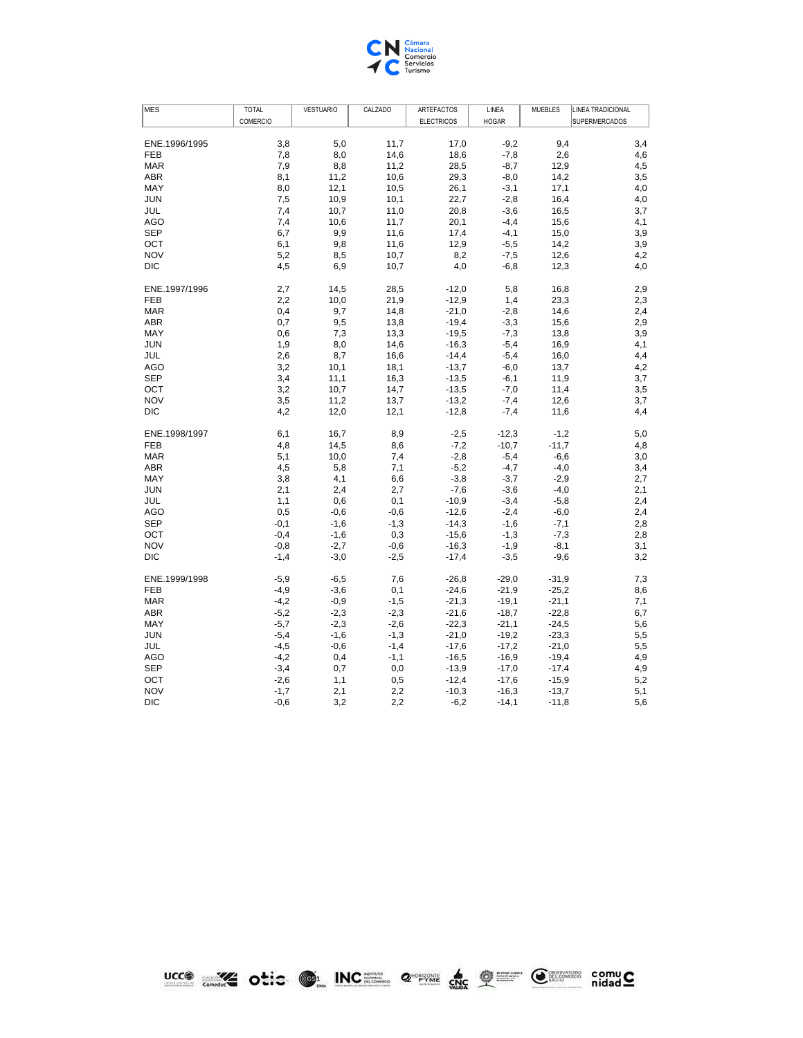

| <b>MES</b>    | <b>TOTAL</b> | <b>VESTUARIO</b> | CALZADO | ARTEFACTOS        | LINEA        | <b>MUEBLES</b> | LINEA TRADICIONAL    |
|---------------|--------------|------------------|---------|-------------------|--------------|----------------|----------------------|
|               | COMERCIO     |                  |         | <b>ELECTRICOS</b> | <b>HOGAR</b> |                | <b>SUPERMERCADOS</b> |
|               |              |                  |         |                   |              |                |                      |
| ENE.1996/1995 | 3,8          | 5,0              | 11,7    | 17,0              | $-9,2$       | 9,4            | 3,4                  |
| <b>FEB</b>    | 7,8          | 8,0              | 14,6    | 18,6              | $-7,8$       | 2,6            | 4,6                  |
| <b>MAR</b>    | 7,9          | 8,8              | 11,2    | 28,5              | $-8,7$       | 12,9           | 4,5                  |
| ABR           | 8,1          | 11,2             | 10,6    | 29,3              | $-8,0$       | 14,2           | 3,5                  |
| MAY           | 8,0          | 12,1             | 10,5    | 26,1              | $-3,1$       | 17,1           | 4,0                  |
| <b>JUN</b>    | 7,5          | 10,9             | 10,1    | 22,7              | $-2,8$       | 16,4           | 4,0                  |
| JUL           | 7,4          | 10,7             | 11,0    | 20,8              | $-3,6$       | 16,5           | 3,7                  |
| <b>AGO</b>    | 7,4          | 10,6             | 11,7    | 20,1              | $-4,4$       | 15,6           | 4,1                  |
| <b>SEP</b>    | 6,7          | 9,9              | 11,6    | 17,4              | $-4,1$       | 15,0           | 3,9                  |
| OCT           | 6,1          | 9,8              | 11,6    | 12,9              | $-5,5$       | 14,2           | 3,9                  |
| <b>NOV</b>    | 5,2          | 8,5              | 10,7    | 8,2               | $-7,5$       | 12,6           | 4,2                  |
| <b>DIC</b>    | 4,5          | 6,9              | 10,7    | 4,0               | $-6,8$       | 12,3           | 4,0                  |
|               |              |                  |         |                   |              |                |                      |
| ENE.1997/1996 | 2,7          | 14,5             | 28,5    | $-12,0$           | 5,8          | 16,8           | 2,9                  |
| <b>FEB</b>    | 2,2          | 10,0             | 21,9    | $-12,9$           | 1,4          | 23,3           | 2,3                  |
| <b>MAR</b>    | 0,4          | 9,7              | 14,8    | $-21,0$           | $-2,8$       | 14,6           | 2,4                  |
| <b>ABR</b>    | 0,7          | 9,5              | 13,8    | $-19,4$           | $-3,3$       | 15,6           | 2,9                  |
| MAY           | 0,6          | 7,3              | 13,3    | $-19,5$           | $-7,3$       | 13,8           | 3,9                  |
| <b>JUN</b>    | 1,9          | 8,0              | 14,6    | $-16,3$           | $-5,4$       | 16,9           | 4,1                  |
| JUL           | 2,6          | 8,7              | 16,6    | $-14,4$           | $-5,4$       | 16,0           | 4,4                  |
| <b>AGO</b>    | 3,2          | 10,1             | 18,1    | $-13,7$           | $-6,0$       | 13,7           | 4,2                  |
| <b>SEP</b>    | 3,4          | 11,1             | 16,3    | $-13,5$           | $-6,1$       | 11,9           | 3,7                  |
| OCT           | 3,2          | 10,7             | 14,7    | $-13,5$           | $-7,0$       | 11,4           | 3,5                  |
| <b>NOV</b>    | 3,5          | 11,2             | 13,7    | $-13,2$           | $-7,4$       | 12,6           | 3,7                  |
| <b>DIC</b>    | 4,2          | 12,0             | 12,1    | $-12,8$           | $-7,4$       | 11,6           | 4,4                  |
|               |              |                  |         |                   |              |                |                      |
| ENE.1998/1997 | 6,1          | 16,7             | 8,9     | $-2,5$            | $-12,3$      | $-1,2$         | 5,0                  |
| <b>FEB</b>    | 4,8          | 14,5             | 8,6     | $-7,2$            | $-10,7$      | $-11,7$        | 4,8                  |
| <b>MAR</b>    | 5,1          | 10,0             | 7,4     | $-2,8$            | $-5,4$       | $-6,6$         | 3,0                  |
| <b>ABR</b>    | 4,5          | 5,8              | 7,1     | $-5,2$            | $-4,7$       | $-4,0$         | 3,4                  |
| MAY           | 3,8          | 4,1              | 6,6     | $-3,8$            | $-3,7$       | $-2,9$         | 2,7                  |
| <b>JUN</b>    | 2,1          | 2,4              | 2,7     | $-7,6$            | $-3,6$       | $-4,0$         | 2,1                  |
| JUL           | 1,1          | 0,6              | 0,1     | $-10,9$           | $-3,4$       | $-5,8$         | 2,4                  |
| <b>AGO</b>    | 0,5          | $-0,6$           | $-0,6$  | $-12,6$           | $-2,4$       | $-6,0$         | 2,4                  |
| <b>SEP</b>    | $-0.1$       | $-1,6$           | $-1,3$  | $-14,3$           | $-1,6$       | $-7,1$         | 2,8                  |
| OCT           | $-0,4$       | $-1,6$           | 0,3     | $-15,6$           | $-1,3$       | $-7,3$         | 2,8                  |
| <b>NOV</b>    | $-0,8$       | $-2,7$           | $-0,6$  | $-16,3$           | $-1,9$       | $-8,1$         | 3,1                  |
| <b>DIC</b>    | $-1,4$       | $-3,0$           | $-2,5$  | $-17,4$           | $-3,5$       | $-9,6$         | 3,2                  |
|               |              |                  |         |                   |              |                |                      |
| ENE.1999/1998 | $-5,9$       | $-6,5$           | 7,6     | $-26,8$           | $-29,0$      | $-31,9$        | 7,3                  |
| <b>FEB</b>    | $-4,9$       | $-3,6$           | 0,1     | $-24,6$           | $-21,9$      | $-25,2$        | 8,6                  |
| <b>MAR</b>    | $-4,2$       | $-0,9$           | $-1,5$  | $-21,3$           | $-19,1$      | $-21,1$        | 7,1                  |
| <b>ABR</b>    | $-5,2$       | $-2,3$           | $-2,3$  | $-21,6$           | $-18,7$      | $-22,8$        | 6,7                  |
| MAY           | $-5,7$       | $-2,3$           | $-2,6$  | $-22,3$           | $-21,1$      | $-24,5$        | 5,6                  |
| <b>JUN</b>    | $-5,4$       | $-1,6$           | $-1,3$  | $-21,0$           | $-19,2$      | $-23,3$        | 5,5                  |
| JUL           | $-4,5$       | $-0,6$           | $-1,4$  | $-17,6$           | $-17,2$      | $-21,0$        | 5,5                  |
| <b>AGO</b>    | $-4,2$       | 0,4              | $-1,1$  | $-16,5$           | $-16,9$      | $-19,4$        | 4,9                  |
| <b>SEP</b>    | $-3,4$       | 0,7              | 0,0     | $-13,9$           | $-17,0$      | $-17,4$        | 4,9                  |
| OCT           | $-2,6$       | 1,1              | 0,5     | $-12,4$           | $-17,6$      | $-15,9$        | 5,2                  |
| <b>NOV</b>    | $-1,7$       | 2,1              | 2,2     | $-10,3$           | $-16,3$      | $-13,7$        | 5,1                  |
| <b>DIC</b>    | $-0,6$       | 3,2              | 2,2     | $-6,2$            | $-14,1$      | $-11,8$        | 5,6                  |



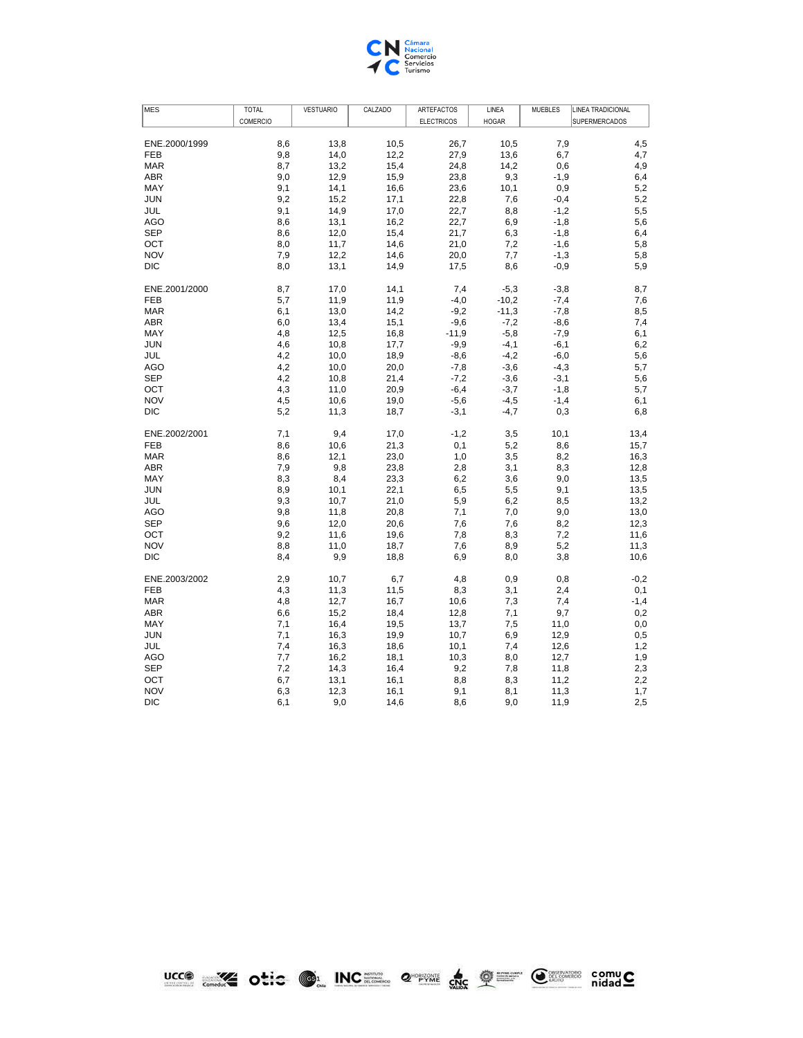

| <b>MES</b>               | <b>TOTAL</b> | <b>VESTUARIO</b> | CALZADO      | <b>ARTEFACTOS</b> | LINEA        | <b>MUEBLES</b> | LINEA TRADICIONAL    |
|--------------------------|--------------|------------------|--------------|-------------------|--------------|----------------|----------------------|
|                          | COMERCIO     |                  |              | <b>ELECTRICOS</b> | <b>HOGAR</b> |                | <b>SUPERMERCADOS</b> |
|                          |              |                  |              |                   |              |                |                      |
| ENE.2000/1999            | 8,6          | 13,8             | 10,5         | 26,7              | 10,5         | 7,9            | 4,5                  |
| <b>FEB</b>               | 9,8          | 14,0             | 12,2         | 27,9              | 13,6         | 6,7            | 4,7                  |
| <b>MAR</b>               | 8,7          | 13,2             | 15,4         | 24,8              | 14,2         | 0,6            | 4,9                  |
| <b>ABR</b>               | 9,0          | 12,9             | 15,9         | 23,8              | 9,3          | $-1,9$         | 6,4                  |
| MAY                      | 9,1          | 14,1             | 16,6         | 23,6              | 10,1         | 0,9            | 5,2                  |
| <b>JUN</b>               | 9,2          | 15,2             | 17,1         | 22,8              | 7,6          | $-0,4$         | 5,2                  |
| JUL                      | 9,1          | 14,9             | 17,0         | 22,7              | 8,8          | $-1,2$         | 5,5                  |
| <b>AGO</b>               | 8,6          | 13,1             | 16,2         | 22,7              | 6,9          | $-1,8$         | 5,6                  |
| <b>SEP</b>               | 8,6          | 12,0             | 15,4         | 21,7              | 6,3          | $-1,8$         | 6,4                  |
| OCT                      | 8,0          | 11,7             | 14,6         | 21,0              | 7,2          | $-1,6$         | 5,8                  |
| <b>NOV</b>               | 7,9          | 12,2             | 14,6         | 20,0              | 7,7          | $-1,3$         | 5,8                  |
| <b>DIC</b>               | 8,0          | 13,1             | 14,9         | 17,5              | 8,6          | $-0,9$         | 5,9                  |
|                          |              |                  |              |                   |              |                |                      |
| ENE.2001/2000            | 8,7          | 17,0             | 14,1         | 7,4               | $-5,3$       | $-3,8$         | 8,7                  |
| <b>FEB</b>               | 5,7          | 11,9             | 11,9         | $-4,0$            | $-10,2$      | $-7,4$         | 7,6                  |
| <b>MAR</b>               | 6,1          | 13,0             | 14,2         | $-9,2$            | $-11,3$      | $-7,8$         | 8,5                  |
| <b>ABR</b>               | 6,0          | 13,4             | 15,1         | $-9,6$            | $-7,2$       | $-8,6$         | 7,4                  |
| MAY                      | 4,8          | 12,5             | 16,8         | $-11,9$           | $-5,8$       | $-7,9$         | 6,1                  |
| <b>JUN</b>               | 4,6          | 10,8             | 17,7         | $-9,9$            | $-4,1$       | $-6,1$         | 6,2                  |
| JUL                      | 4,2          | 10,0             | 18,9         | $-8,6$            | $-4,2$       | $-6,0$         | 5,6                  |
| <b>AGO</b>               | 4,2          | 10,0             | 20,0         | $-7,8$            | $-3,6$       | $-4,3$         | 5,7                  |
| <b>SEP</b>               | 4,2          | 10,8             | 21,4         | $-7,2$            | $-3,6$       | $-3,1$         | 5,6                  |
| OCT                      | 4,3          | 11,0             | 20,9         | $-6,4$            | $-3,7$       | $-1,8$         | 5,7                  |
| <b>NOV</b>               | 4,5          | 10.6             | 19,0         | $-5,6$            | $-4,5$       | $-1,4$         | 6,1                  |
| <b>DIC</b>               | 5,2          | 11,3             | 18,7         | $-3,1$            | $-4,7$       | 0,3            | 6,8                  |
|                          |              |                  |              |                   |              |                |                      |
| ENE.2002/2001            | 7,1          | 9,4              | 17,0         | $-1,2$            | 3,5          | 10,1           | 13,4                 |
| <b>FEB</b>               | 8,6          | 10,6             | 21,3         | 0,1               | 5,2          | 8,6            | 15,7                 |
| <b>MAR</b>               | 8,6          | 12,1             | 23,0         | 1,0               | 3,5          | 8,2            | 16,3                 |
| <b>ABR</b>               | 7,9          | 9,8              | 23,8         | 2,8               | 3,1          | 8,3            | 12,8                 |
| MAY                      | 8,3          | 8,4              | 23,3         | 6,2               | 3,6          | 9,0            | 13,5                 |
| <b>JUN</b>               | 8,9          | 10,1             | 22,1         | 6,5               | 5,5          | 9,1            | 13,5                 |
| JUL                      | 9,3          | 10,7             | 21,0         | 5,9               | 6,2          | 8,5            | 13,2                 |
| <b>AGO</b>               | 9,8          | 11,8             | 20,8         | 7,1               | 7,0          | 9,0            | 13,0                 |
| <b>SEP</b>               | 9,6          | 12,0             | 20,6         | 7,6               | 7,6          | 8,2            | 12,3                 |
| OCT                      | 9,2          | 11,6             | 19,6         | 7,8               | 8,3          | 7,2            | 11,6                 |
| <b>NOV</b>               | 8,8          | 11,0             | 18,7         | 7,6               | 8,9          | 5,2            | 11,3                 |
| <b>DIC</b>               | 8,4          | 9,9              | 18,8         | 6,9               | 8,0          | 3,8            | 10,6                 |
|                          |              |                  |              |                   |              |                |                      |
| ENE.2003/2002            | 2,9          | 10.7             | 6,7          | 4,8               | 0,9          | 0,8            | $-0,2$               |
| <b>FEB</b>               | 4,3          | 11,3             | 11,5         | 8,3               | 3,1          | 2,4            | 0,1                  |
| <b>MAR</b>               | 4,8          | 12,7             | 16,7         | 10,6              | 7,3          | 7,4            | $-1,4$               |
| <b>ABR</b>               | 6,6          | 15,2             | 18,4         | 12,8              | 7,1          | 9,7            | 0,2                  |
| MAY                      | 7,1          | 16,4             | 19,5         | 13,7              | 7,5          | 11,0           | 0,0                  |
| <b>JUN</b>               | 7,1          | 16,3             | 19,9         | 10,7              | 6,9          | 12,9           | 0,5                  |
| JUL<br><b>AGO</b>        | 7,4          | 16,3<br>16,2     | 18,6         | 10,1<br>10,3      | 7,4          | 12,6           | 1,2<br>1,9           |
|                          | 7,7          |                  | 18,1         |                   | 8,0          | 12,7           |                      |
| <b>SEP</b><br><b>OCT</b> | 7,2<br>6,7   | 14,3<br>13,1     | 16,4<br>16,1 | 9,2<br>8,8        | 7,8          | 11,8<br>11,2   | 2,3                  |
| <b>NOV</b>               | 6,3          | 12,3             | 16,1         | 9,1               | 8,3<br>8,1   | 11,3           | 2,2<br>1,7           |
| <b>DIC</b>               | 6,1          | 9,0              | 14,6         | 8,6               | 9,0          | 11,9           | 2,5                  |
|                          |              |                  |              |                   |              |                |                      |



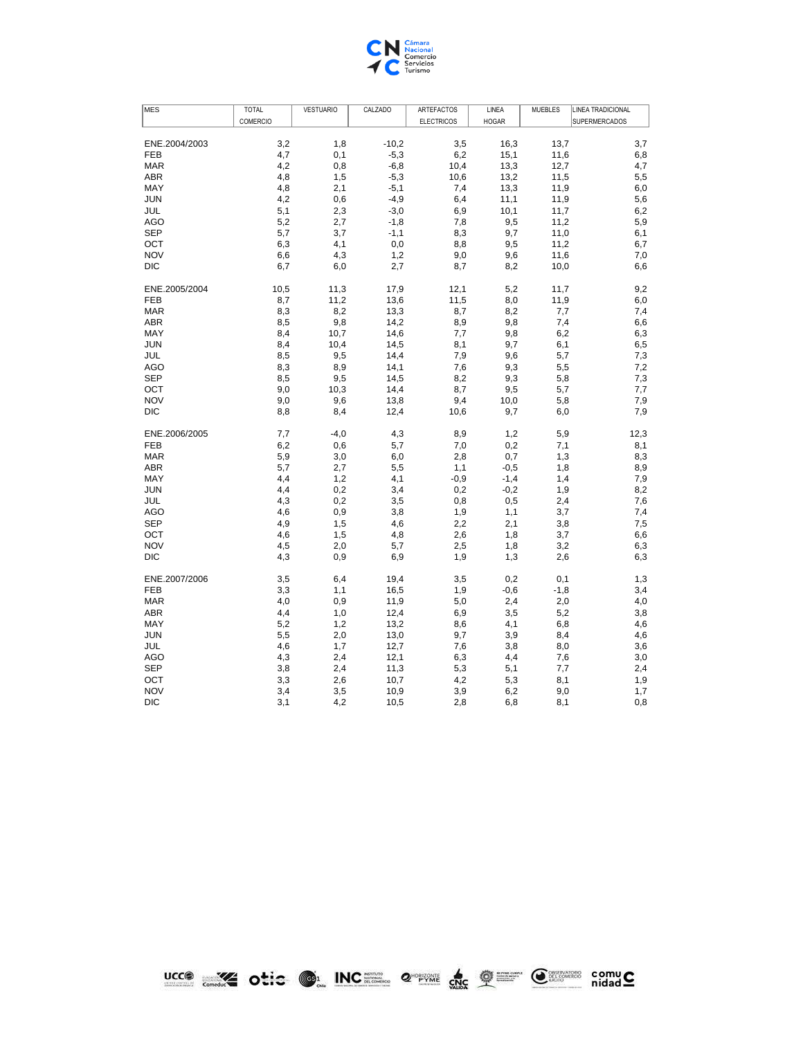

| <b>MES</b>    | <b>TOTAL</b> | <b>VESTUARIO</b> | CALZADO | <b>ARTEFACTOS</b> | LINEA        | <b>MUEBLES</b> | <b>LINEA TRADICIONAL</b> |
|---------------|--------------|------------------|---------|-------------------|--------------|----------------|--------------------------|
|               | COMERCIO     |                  |         | <b>ELECTRICOS</b> | <b>HOGAR</b> |                | <b>SUPERMERCADOS</b>     |
|               |              |                  |         |                   |              |                |                          |
| ENE.2004/2003 | 3,2          | 1,8              | $-10,2$ | 3,5               | 16,3         | 13,7           | 3,7                      |
| <b>FEB</b>    | 4,7          | 0,1              | $-5,3$  | 6,2               | 15,1         | 11,6           | 6,8                      |
| <b>MAR</b>    | 4,2          | 0,8              | $-6,8$  | 10,4              | 13,3         | 12,7           | 4,7                      |
| <b>ABR</b>    | 4,8          | 1,5              | $-5,3$  | 10,6              | 13,2         | 11,5           | 5,5                      |
| MAY           | 4,8          | 2,1              | $-5,1$  | 7,4               | 13,3         | 11,9           | 6,0                      |
| <b>JUN</b>    | 4,2          | 0,6              | $-4,9$  | 6,4               | 11,1         | 11,9           | 5,6                      |
| JUL           | 5,1          | 2,3              | $-3,0$  | 6,9               | 10,1         | 11,7           | 6,2                      |
| AGO           | 5,2          | 2,7              | $-1,8$  | 7,8               | 9,5          | 11,2           | 5,9                      |
| <b>SEP</b>    | 5,7          | 3,7              | $-1,1$  | 8,3               | 9,7          | 11,0           | 6,1                      |
| OCT           | 6,3          | 4,1              | 0,0     | 8,8               | 9,5          | 11,2           | 6,7                      |
| <b>NOV</b>    | 6,6          | 4,3              | 1,2     | 9,0               | 9,6          | 11,6           | 7,0                      |
| DIC           | 6,7          | 6,0              | 2,7     | 8,7               | 8,2          | 10,0           | 6,6                      |
| ENE.2005/2004 | 10,5         | 11,3             | 17,9    | 12,1              | 5,2          | 11,7           | 9,2                      |
| <b>FEB</b>    | 8,7          | 11,2             | 13,6    | 11,5              | 8,0          | 11,9           | 6,0                      |
| <b>MAR</b>    | 8,3          | 8,2              | 13,3    | 8,7               | 8,2          | 7,7            | 7,4                      |
| ABR           | 8,5          | 9,8              | 14,2    | 8,9               | 9,8          | 7,4            | 6,6                      |
| MAY           | 8,4          | 10,7             | 14,6    | 7,7               | 9,8          | 6,2            | 6,3                      |
| <b>JUN</b>    | 8,4          | 10,4             | 14,5    | 8,1               | 9,7          | 6,1            | 6,5                      |
| JUL           | 8,5          | 9,5              | 14,4    | 7,9               | 9,6          | 5,7            | 7,3                      |
| AGO           | 8,3          | 8,9              | 14,1    | 7,6               | 9,3          | 5,5            | 7,2                      |
| <b>SEP</b>    | 8,5          | 9,5              | 14,5    | 8,2               | 9,3          | 5,8            | 7,3                      |
| OCT           | 9,0          | 10,3             | 14,4    | 8,7               | 9,5          | 5,7            | 7,7                      |
| <b>NOV</b>    | 9,0          | 9,6              | 13,8    | 9,4               | 10,0         | 5,8            | 7,9                      |
| DIC           | 8,8          | 8,4              | 12,4    | 10,6              | 9,7          | 6,0            | 7,9                      |
| ENE.2006/2005 | 7,7          | $-4,0$           | 4,3     | 8,9               | 1,2          | 5,9            | 12,3                     |
| FEB           | 6,2          | 0,6              | 5,7     | 7,0               | 0,2          | 7,1            | 8,1                      |
| <b>MAR</b>    | 5,9          | 3,0              | 6,0     | 2,8               | 0,7          | 1,3            | 8,3                      |
| <b>ABR</b>    | 5,7          | 2,7              | 5,5     | 1,1               | $-0,5$       | 1,8            | 8,9                      |
| MAY           | 4,4          | 1,2              | 4,1     | $-0,9$            | $-1,4$       | 1,4            | 7,9                      |
| <b>JUN</b>    | 4,4          | 0,2              | 3,4     | 0,2               | $-0,2$       | 1,9            | 8,2                      |
| JUL           | 4,3          | 0,2              | 3,5     | 0,8               | 0,5          | 2,4            | 7,6                      |
| <b>AGO</b>    | 4,6          | 0,9              | 3,8     | 1,9               | 1,1          | 3,7            | 7,4                      |
| <b>SEP</b>    | 4,9          | 1,5              | 4,6     | 2,2               | 2,1          | 3,8            | 7,5                      |
| OCT           | 4,6          | 1,5              | 4,8     | 2,6               | 1,8          | 3,7            | 6,6                      |
| <b>NOV</b>    | 4,5          | 2,0              | 5,7     | 2,5               | 1,8          | 3,2            | 6,3                      |
| <b>DIC</b>    | 4,3          | 0,9              | 6,9     | 1,9               | 1,3          | 2,6            | 6,3                      |
| ENE.2007/2006 | 3,5          | 6,4              | 19,4    | 3,5               | 0,2          | 0,1            | 1,3                      |
| <b>FEB</b>    | 3,3          | 1,1              | 16,5    | 1,9               | $-0,6$       | $-1,8$         | 3,4                      |
| <b>MAR</b>    | 4,0          | 0,9              | 11,9    | 5,0               | 2,4          | 2,0            | 4,0                      |
| <b>ABR</b>    | 4,4          | 1,0              | 12,4    | 6,9               | 3,5          | 5,2            | 3,8                      |
| MAY           | 5,2          | 1,2              | 13,2    | 8,6               | 4,1          | 6,8            | 4,6                      |
| <b>JUN</b>    | 5,5          | 2,0              | 13,0    | 9,7               | 3,9          | 8,4            | 4,6                      |
| JUL           | 4,6          | 1,7              | 12,7    | 7,6               | 3,8          | 8,0            | 3,6                      |
| <b>AGO</b>    | 4,3          | 2,4              | 12,1    | 6,3               | 4,4          | 7,6            | 3,0                      |
| <b>SEP</b>    | 3,8          | 2,4              | 11,3    | 5,3               | 5,1          | 7,7            | 2,4                      |
| OCT           | 3,3          | 2,6              | 10,7    | 4,2               | 5,3          | 8,1            | 1,9                      |
| <b>NOV</b>    | 3,4          | 3,5              | 10,9    | 3,9               | 6,2          | 9,0            | 1,7                      |
| <b>DIC</b>    | 3,1          | 4,2              | 10,5    | 2,8               | 6,8          | 8,1            | 0,8                      |

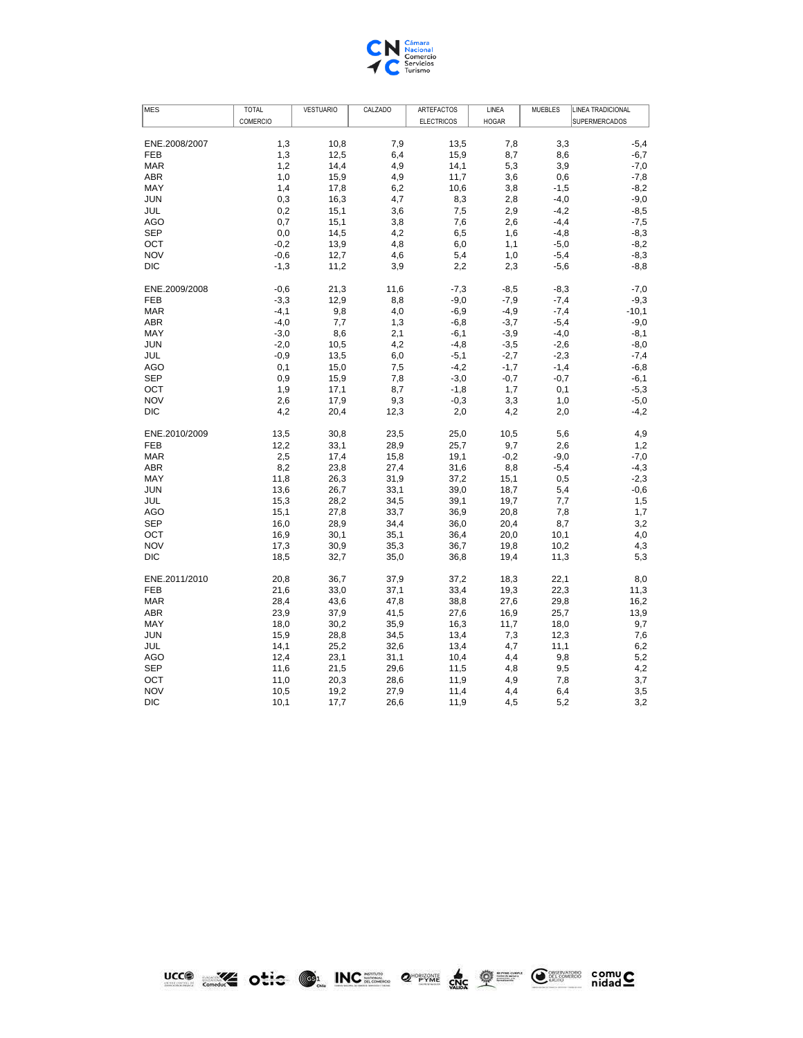

| <b>MES</b>    | <b>TOTAL</b> | <b>VESTUARIO</b> | CALZADO | ARTEFACTOS        | LINEA        | <b>MUEBLES</b> | <b>LINEA TRADICIONAL</b> |
|---------------|--------------|------------------|---------|-------------------|--------------|----------------|--------------------------|
|               | COMERCIO     |                  |         | <b>ELECTRICOS</b> | <b>HOGAR</b> |                | SUPERMERCADOS            |
|               |              |                  |         |                   |              |                |                          |
| ENE.2008/2007 | 1,3          | 10,8             | 7,9     | 13,5              | 7,8          | 3,3            | $-5,4$                   |
| <b>FEB</b>    | 1,3          | 12,5             | 6,4     | 15,9              | 8,7          | 8,6            | $-6,7$                   |
| <b>MAR</b>    | 1,2          | 14,4             | 4,9     | 14,1              | 5,3          | 3,9            | $-7,0$                   |
| <b>ABR</b>    | 1,0          | 15,9             | 4,9     | 11,7              | 3,6          | 0,6            | $-7,8$                   |
| MAY           | 1,4          | 17,8             | 6,2     | 10,6              | 3,8          | $-1,5$         | $-8,2$                   |
| <b>JUN</b>    | 0,3          | 16,3             | 4,7     | 8,3               | 2,8          | $-4,0$         | -9,0                     |
| JUL           | 0,2          | 15,1             | 3,6     | 7,5               | 2,9          | $-4,2$         | $-8,5$                   |
| <b>AGO</b>    | 0,7          | 15,1             | 3,8     | 7,6               | 2,6          | $-4,4$         | $-7,5$                   |
| <b>SEP</b>    | 0,0          | 14,5             | 4,2     | 6,5               | 1,6          | $-4,8$         | $-8,3$                   |
| OCT           | $-0,2$       | 13,9             | 4,8     | 6,0               | 1,1          | $-5,0$         | $-8,2$                   |
| <b>NOV</b>    | $-0,6$       | 12,7             | 4,6     | 5,4               | 1,0          | $-5,4$         | $-8,3$                   |
| <b>DIC</b>    | $-1,3$       | 11,2             | 3,9     | 2,2               | 2,3          | $-5,6$         | $-8,8$                   |
| ENE.2009/2008 | $-0,6$       | 21,3             | 11,6    | $-7,3$            | $-8,5$       | $-8,3$         | $-7,0$                   |
| <b>FEB</b>    | $-3,3$       | 12,9             | 8,8     | $-9.0$            | $-7,9$       | $-7,4$         | $-9,3$                   |
| <b>MAR</b>    | $-4,1$       | 9,8              | 4,0     | $-6,9$            | $-4,9$       | $-7,4$         | $-10,1$                  |
| <b>ABR</b>    | $-4,0$       | 7,7              | 1,3     | $-6,8$            | $-3,7$       | $-5,4$         | $-9,0$                   |
| MAY           | $-3,0$       | 8,6              | 2,1     | $-6,1$            | $-3,9$       | $-4,0$         | $-8,1$                   |
| <b>JUN</b>    | $-2,0$       | 10,5             | 4,2     | $-4,8$            | $-3,5$       | $-2,6$         | $-8,0$                   |
| JUL           | $-0,9$       | 13,5             | 6,0     | $-5,1$            | $-2,7$       | $-2,3$         | $-7,4$                   |
| <b>AGO</b>    | 0,1          | 15,0             | 7,5     | $-4,2$            | $-1,7$       | $-1,4$         | $-6,8$                   |
| <b>SEP</b>    | 0,9          | 15,9             | 7,8     | $-3,0$            | $-0,7$       | $-0,7$         | -6,1                     |
| OCT           | 1,9          | 17,1             | 8,7     | $-1,8$            | 1,7          | 0,1            | $-5,3$                   |
| <b>NOV</b>    | 2,6          | 17,9             | 9,3     | $-0,3$            | 3,3          | 1,0            | $-5,0$                   |
| <b>DIC</b>    | 4,2          | 20,4             | 12,3    | 2,0               | 4,2          | 2,0            | $-4,2$                   |
| ENE.2010/2009 | 13,5         | 30,8             | 23,5    | 25,0              | 10,5         | 5,6            | 4,9                      |
| <b>FEB</b>    | 12,2         | 33,1             | 28,9    | 25,7              | 9,7          | 2,6            | 1,2                      |
| <b>MAR</b>    | 2,5          | 17,4             | 15,8    | 19,1              | $-0,2$       | $-9,0$         | $-7,0$                   |
| <b>ABR</b>    | 8,2          | 23,8             | 27,4    | 31,6              | 8,8          | $-5,4$         | $-4,3$                   |
| <b>MAY</b>    | 11,8         | 26,3             | 31,9    | 37,2              | 15,1         | 0,5            | $-2,3$                   |
| <b>JUN</b>    | 13,6         | 26,7             | 33,1    | 39,0              | 18,7         | 5,4            | $-0,6$                   |
| JUL           | 15,3         | 28,2             | 34,5    | 39,1              | 19,7         | 7,7            | 1,5                      |
| <b>AGO</b>    | 15,1         | 27,8             | 33,7    | 36,9              | 20,8         | 7,8            | 1,7                      |
| <b>SEP</b>    | 16,0         | 28,9             | 34,4    | 36,0              | 20,4         | 8,7            | 3,2                      |
| OCT           | 16,9         | 30,1             | 35,1    | 36,4              | 20,0         | 10,1           | 4,0                      |
| <b>NOV</b>    | 17,3         | 30,9             | 35,3    | 36,7              | 19,8         | 10,2           | 4,3                      |
| <b>DIC</b>    | 18,5         | 32,7             | 35,0    | 36,8              | 19,4         | 11,3           | 5,3                      |
| ENE.2011/2010 | 20,8         | 36,7             | 37,9    | 37,2              | 18,3         | 22,1           | 8,0                      |
| <b>FEB</b>    | 21,6         | 33,0             | 37,1    | 33,4              | 19,3         | 22,3           | 11,3                     |
| <b>MAR</b>    | 28,4         | 43,6             | 47,8    | 38,8              | 27,6         | 29,8           | 16,2                     |
| <b>ABR</b>    | 23,9         | 37,9             | 41,5    | 27,6              | 16,9         | 25,7           | 13,9                     |
| MAY           | 18,0         | 30,2             | 35,9    | 16,3              | 11,7         | 18,0           | 9,7                      |
| <b>JUN</b>    | 15,9         | 28,8             | 34,5    | 13,4              | 7,3          | 12,3           | 7,6                      |
| JUL           | 14,1         | 25,2             | 32,6    | 13,4              | 4,7          | 11,1           | 6,2                      |
| <b>AGO</b>    | 12,4         | 23,1             | 31,1    | 10,4              | 4,4          | 9,8            | 5,2                      |
| <b>SEP</b>    | 11,6         | 21,5             | 29,6    | 11,5              | 4,8          | 9,5            | 4,2                      |
| OCT           | 11,0         | 20,3             | 28,6    | 11,9              | 4,9          | 7,8            | 3,7                      |
| <b>NOV</b>    | 10,5         | 19,2             | 27,9    | 11,4              | 4,4          | 6,4            | 3,5                      |
| <b>DIC</b>    | 10,1         | 17,7             | 26,6    | 11,9              | 4,5          | 5,2            | 3,2                      |

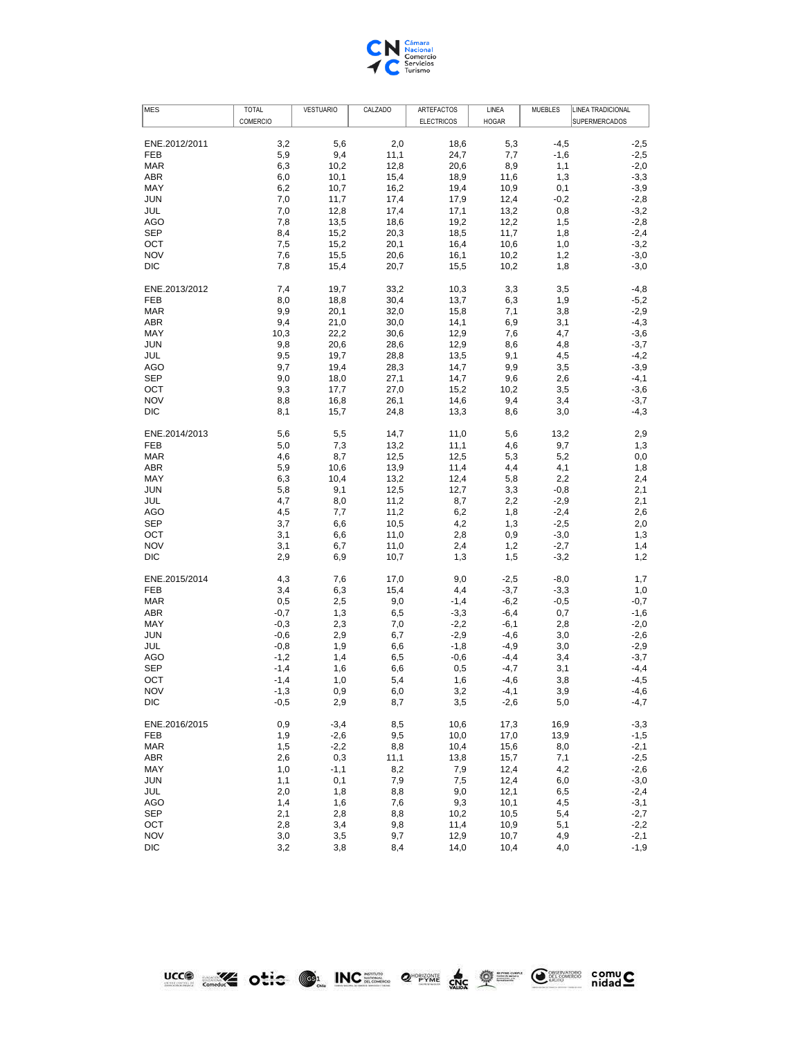

| <b>MES</b>        | <b>TOTAL</b> | <b>VESTUARIO</b> | CALZADO    | ARTEFACTOS        | LINEA        | <b>MUEBLES</b> | LINEA TRADICIONAL |
|-------------------|--------------|------------------|------------|-------------------|--------------|----------------|-------------------|
|                   | COMERCIO     |                  |            | <b>ELECTRICOS</b> | <b>HOGAR</b> |                | SUPERMERCADOS     |
|                   |              |                  |            |                   |              |                |                   |
| ENE.2012/2011     | 3,2          | 5,6              | 2,0        | 18,6              | 5,3          | $-4,5$         | $-2,5$            |
| FEB               | 5,9          | 9,4              | 11,1       | 24,7              | 7,7          | $-1,6$         | $-2,5$            |
| <b>MAR</b>        | 6,3          | 10,2             | 12,8       | 20,6              | 8,9          | 1,1            | $-2,0$            |
| ABR               | 6,0          | 10,1             | 15,4       | 18,9              | 11,6         | 1,3            | $-3,3$            |
| MAY               | 6,2          | 10,7             | 16,2       | 19,4              | 10,9         | 0,1            | $-3,9$            |
| <b>JUN</b>        | 7,0          | 11,7             | 17,4       | 17,9              | 12,4         | $-0,2$         | $-2,8$            |
| JUL               | 7,0          | 12,8             | 17,4       | 17,1              | 13,2         | 0,8            | $-3,2$            |
| <b>AGO</b>        | 7,8          | 13,5             | 18,6       | 19,2              | 12,2         | 1,5            | $-2,8$            |
| <b>SEP</b>        | 8,4          | 15,2             | 20,3       | 18,5              | 11,7         | 1,8            | $-2,4$            |
| OCT               | 7,5          | 15,2             | 20,1       | 16,4              | 10,6         | 1,0            | $-3,2$            |
| <b>NOV</b>        | 7,6          | 15,5             | 20,6       | 16,1              | 10,2         | 1,2            | $-3,0$            |
| <b>DIC</b>        | 7,8          | 15,4             | 20,7       | 15,5              | 10,2         | 1,8            | $-3,0$            |
| ENE.2013/2012     | 7,4          | 19,7             | 33,2       | 10,3              | 3,3          | 3,5            | $-4,8$            |
| <b>FEB</b>        | 8,0          | 18,8             | 30,4       | 13,7              | 6,3          | 1,9            | $-5,2$            |
| <b>MAR</b>        | 9,9          | 20,1             | 32,0       | 15,8              | 7,1          | 3,8            | $-2,9$            |
| ABR               | 9,4          | 21,0             | 30,0       | 14,1              | 6,9          | 3,1            | $-4,3$            |
| MAY               | 10,3         | 22,2             | 30,6       | 12,9              | 7,6          | 4,7            | $-3,6$            |
| <b>JUN</b>        | 9,8          | 20,6             | 28,6       | 12,9              | 8,6          | 4,8            | $-3,7$            |
| JUL               | 9,5          | 19,7             | 28,8       | 13,5              | 9,1          | 4,5            | $-4,2$            |
| <b>AGO</b>        | 9,7          | 19,4             | 28,3       | 14,7              | 9,9          | 3,5            | $-3,9$            |
| <b>SEP</b>        | 9,0          | 18,0             | 27,1       | 14,7              | 9,6          | 2,6            | $-4,1$            |
| OCT               | 9,3          | 17,7             | 27,0       | 15,2              | 10,2         | 3,5            | $-3,6$            |
| <b>NOV</b>        | 8,8          | 16,8             | 26,1       | 14,6              | 9,4          | 3,4            | $-3,7$            |
| DIC               | 8,1          | 15,7             | 24,8       | 13,3              | 8,6          | 3,0            | $-4,3$            |
|                   |              |                  |            |                   |              |                |                   |
| ENE.2014/2013     | 5,6          | 5,5              | 14,7       | 11,0              | 5,6          | 13,2           | 2,9               |
| FEB               | 5,0          | 7,3              | 13,2       | 11,1              | 4,6          | 9,7            | 1,3               |
| MAR               | 4,6          | 8,7              | 12,5       | 12,5              | 5,3          | 5,2            | $_{0,0}$          |
| ABR               | 5,9          | 10,6             | 13,9       | 11,4              | 4,4          | 4,1            | 1,8               |
| MAY               | 6,3          | 10,4             | 13,2       | 12,4              | 5,8          | 2,2            | 2,4               |
| <b>JUN</b>        | 5,8          | 9,1              | 12,5       | 12,7              | 3,3          | $-0,8$         | 2,1               |
| JUL               | 4,7          | 8,0              | 11,2       | 8,7               | 2,2          | $-2,9$         | 2,1               |
| <b>AGO</b>        | 4,5          | 7,7              | 11,2       | 6,2               | 1,8          | $-2,4$         | 2,6               |
| <b>SEP</b>        | 3,7          | 6,6              | 10,5       | 4,2               | 1,3          | $-2,5$         | 2,0               |
| OCT               | 3,1          | 6,6              | 11,0       | 2,8               | 0,9          | $-3,0$         | 1,3               |
| <b>NOV</b>        | 3,1          | 6,7              | 11,0       | 2,4               | 1,2          | $-2,7$         | 1,4               |
| DIC               | 2,9          | 6,9              | 10,7       | 1,3               | 1,5          | $-3,2$         | 1,2               |
| ENE.2015/2014     | 4,3          | 7,6              | 17,0       | 9,0               | $-2,5$       | $-8,0$         | 1,7               |
| FEB               | 3,4          | 6,3              | 15,4       | 4,4               | $-3,7$       | $-3,3$         | 1,0               |
| <b>MAR</b>        | 0,5          | 2,5              | 9,0        | $-1,4$            | $-6,2$       | $-0,5$         | $-0,7$            |
| ABR               | $-0,7$       | 1,3              | 6,5        | $-3,3$            | $-6,4$       | 0,7            | $-1,6$            |
| MAY               | $-0,3$       | 2,3              | 7,0        | $-2,2$            | $-6,1$       | 2,8            | $-2,0$            |
| <b>JUN</b>        | $-0,6$       | 2,9              | 6,7        | $-2,9$            | $-4,6$       | 3,0            | $-2,6$            |
| JUL               | $-0,8$       | 1,9              | 6,6        | $-1,8$            | $-4,9$       | 3,0            | $-2,9$            |
| <b>AGO</b>        | $-1,2$       | 1,4              | 6,5        | $-0,6$            | $-4,4$       | 3,4            | $-3,7$            |
| <b>SEP</b>        | $-1,4$       | 1,6              | 6,6        | 0,5               | $-4,7$       | 3,1            | $-4,4$            |
| OCT               | $-1,4$       | 1,0              | 5,4        | 1,6               | $-4,6$       | 3,8            | $-4,5$            |
| <b>NOV</b>        | $-1,3$       | $_{0,9}$         | 6,0        | 3,2               | $-4,1$       | 3,9            | $-4,6$            |
| DIC               | $-0,5$       | 2,9              | 8,7        | 3,5               | $-2,6$       | 5,0            | -4,7              |
|                   |              |                  |            |                   |              |                |                   |
| ENE.2016/2015     | 0,9          | $-3,4$           | 8,5        | 10,6              | 17,3         | 16,9           | $-3,3$            |
| FEB               | 1,9          | $-2,6$           | 9,5        | 10,0              | 17,0         | 13,9           | $-1,5$            |
| MAR               | 1,5          | $-2,2$           | 8,8        | 10,4              | 15,6         | 8,0            | $-2,1$            |
| ABR               | 2,6          | 0,3              | 11,1       | 13,8              | 15,7         | 7,1            | $-2,5$            |
| MAY               | 1,0          | $-1,1$           | 8,2        | 7,9               | 12,4         | 4,2            | $-2,6$            |
| <b>JUN</b>        | 1,1          | 0,1              | 7,9        | 7,5               | 12,4         | 6,0            | $-3,0$            |
| JUL               | 2,0          | 1,8              | 8,8        | 9,0               | 12,1         | 6,5            | $-2,4$            |
| AGO               | 1,4          | 1,6              | 7,6        | 9,3               | 10,1         | 4,5            | $-3,1$            |
| <b>SEP</b>        | 2,1          | 2,8              | 8,8        | 10,2              | 10,5         | 5,4            | $-2,7$            |
| OCT<br><b>NOV</b> | 2,8<br>3,0   | 3,4              | 9,8<br>9,7 | 11,4<br>12,9      | 10,9<br>10,7 | 5,1<br>4,9     | $-2,2$<br>$-2,1$  |
| DIC               | 3,2          | 3,5              |            |                   |              |                |                   |
|                   |              | 3,8              | 8,4        | 14,0              | 10,4         | 4,0            | $-1,9$            |